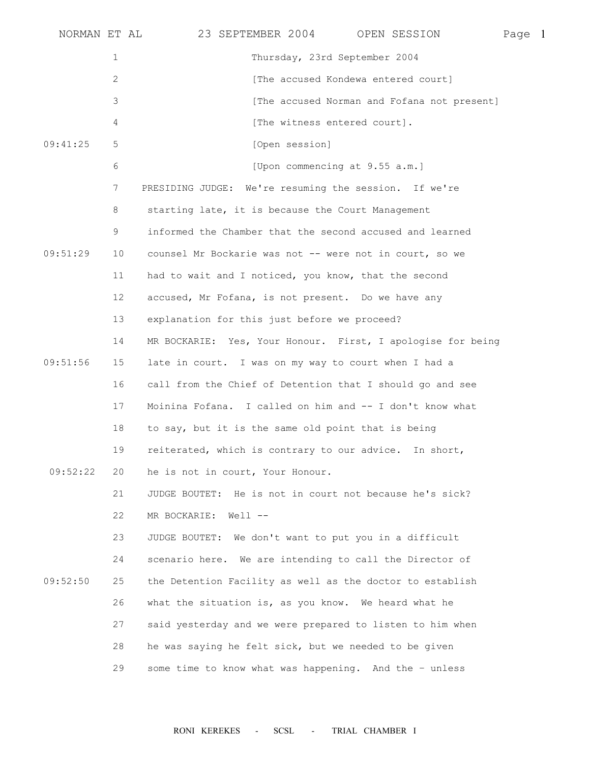| NORMAN ET AL |              | 23 SEPTEMBER 2004 OPEN SESSION                              | Page 1 |  |
|--------------|--------------|-------------------------------------------------------------|--------|--|
|              | $\mathbf{1}$ | Thursday, 23rd September 2004                               |        |  |
|              | 2            | [The accused Kondewa entered court]                         |        |  |
|              | 3            | [The accused Norman and Fofana not present]                 |        |  |
|              | 4            | [The witness entered court].                                |        |  |
| 09:41:25     | 5            | [Open session]                                              |        |  |
|              | 6            | [Upon commencing at 9.55 a.m.]                              |        |  |
|              | 7            | PRESIDING JUDGE: We're resuming the session. If we're       |        |  |
|              | 8            | starting late, it is because the Court Management           |        |  |
|              | 9            | informed the Chamber that the second accused and learned    |        |  |
| 09:51:29     | 10           | counsel Mr Bockarie was not -- were not in court, so we     |        |  |
|              | 11           | had to wait and I noticed, you know, that the second        |        |  |
|              | 12           | accused, Mr Fofana, is not present. Do we have any          |        |  |
|              | 13           | explanation for this just before we proceed?                |        |  |
|              | 14           | MR BOCKARIE: Yes, Your Honour. First, I apologise for being |        |  |
| 09:51:56     | 15           | late in court. I was on my way to court when I had a        |        |  |
|              | 16           | call from the Chief of Detention that I should go and see   |        |  |
|              | 17           | Moinina Fofana. I called on him and -- I don't know what    |        |  |
|              | 18           | to say, but it is the same old point that is being          |        |  |
|              | 19           | reiterated, which is contrary to our advice. In short,      |        |  |
| 09:52:22     | 20           | he is not in court, Your Honour.                            |        |  |
|              | 21           | JUDGE BOUTET: He is not in court not because he's sick?     |        |  |
|              | 22           | MR BOCKARIE: Well --                                        |        |  |
|              | 23           | JUDGE BOUTET: We don't want to put you in a difficult       |        |  |
|              | 24           | scenario here. We are intending to call the Director of     |        |  |
| 09:52:50     | 25           | the Detention Facility as well as the doctor to establish   |        |  |
|              | 26           | what the situation is, as you know. We heard what he        |        |  |
|              | 27           | said yesterday and we were prepared to listen to him when   |        |  |
|              | 28           | he was saying he felt sick, but we needed to be given       |        |  |
|              | 29           | some time to know what was happening. And the - unless      |        |  |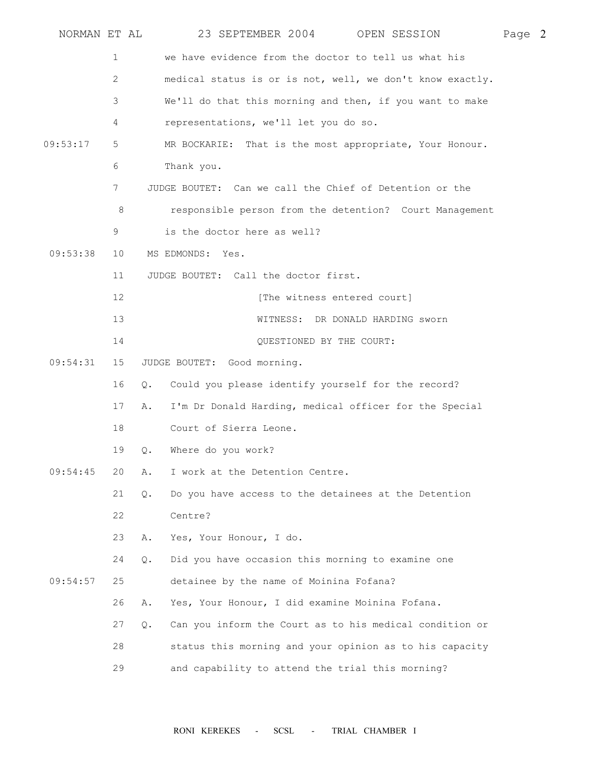| NORMAN ET AL |    |                             |                                                 | 23 SEPTEMBER 2004 OPEN SESSION                            | Page 2 |
|--------------|----|-----------------------------|-------------------------------------------------|-----------------------------------------------------------|--------|
|              | 1  |                             |                                                 | we have evidence from the doctor to tell us what his      |        |
|              | 2  |                             |                                                 | medical status is or is not, well, we don't know exactly. |        |
|              | 3  |                             |                                                 | We'll do that this morning and then, if you want to make  |        |
|              | 4  |                             | representations, we'll let you do so.           |                                                           |        |
| 09:53:17     | 5  |                             |                                                 | MR BOCKARIE: That is the most appropriate, Your Honour.   |        |
|              | 6  | Thank you.                  |                                                 |                                                           |        |
|              | 7  |                             |                                                 | JUDGE BOUTET: Can we call the Chief of Detention or the   |        |
|              | 8  |                             |                                                 | responsible person from the detention? Court Management   |        |
|              | 9  |                             | is the doctor here as well?                     |                                                           |        |
| 09:53:38     | 10 | MS EDMONDS: Yes.            |                                                 |                                                           |        |
|              | 11 |                             | JUDGE BOUTET: Call the doctor first.            |                                                           |        |
|              | 12 |                             | [The witness entered court]                     |                                                           |        |
|              | 13 |                             |                                                 | WITNESS: DR DONALD HARDING sworn                          |        |
|              | 14 |                             | QUESTIONED BY THE COURT:                        |                                                           |        |
| 09:54:31     | 15 | JUDGE BOUTET: Good morning. |                                                 |                                                           |        |
|              | 16 | 0.                          |                                                 | Could you please identify yourself for the record?        |        |
|              | 17 | Α.                          |                                                 | I'm Dr Donald Harding, medical officer for the Special    |        |
|              | 18 |                             | Court of Sierra Leone.                          |                                                           |        |
|              | 19 | Where do you work?<br>Q.    |                                                 |                                                           |        |
| 09:54:45     | 20 | Α.                          | I work at the Detention Centre.                 |                                                           |        |
|              | 21 | $Q$ .                       |                                                 | Do you have access to the detainees at the Detention      |        |
|              | 22 | Centre?                     |                                                 |                                                           |        |
|              | 23 | Α.                          | Yes, Your Honour, I do.                         |                                                           |        |
|              | 24 | Q.                          |                                                 | Did you have occasion this morning to examine one         |        |
| 09:54:57     | 25 |                             | detainee by the name of Moinina Fofana?         |                                                           |        |
|              | 26 | Α.                          | Yes, Your Honour, I did examine Moinina Fofana. |                                                           |        |
|              | 27 | $\circ$ .                   |                                                 | Can you inform the Court as to his medical condition or   |        |
|              | 28 |                             |                                                 | status this morning and your opinion as to his capacity   |        |
|              | 29 |                             |                                                 | and capability to attend the trial this morning?          |        |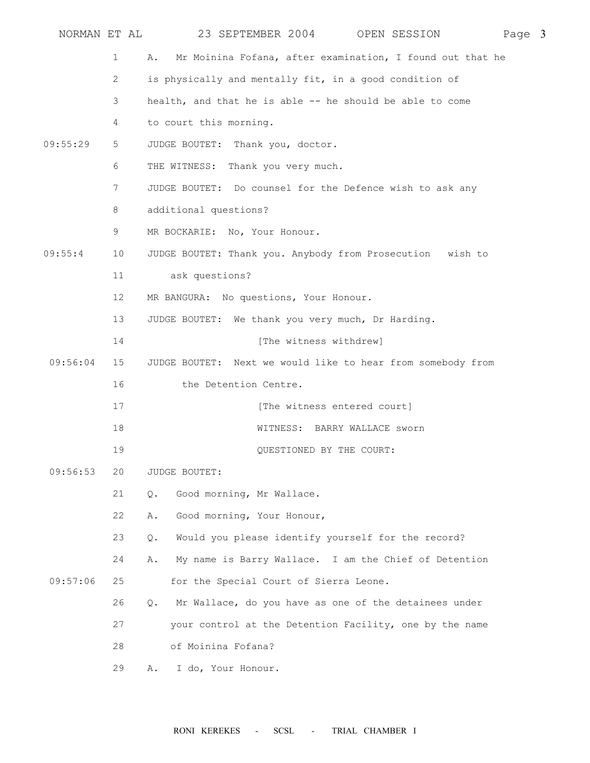| NORMAN ET AL |                 | 23 SEPTEMBER 2004 OPEN SESSION<br>Page 3                            |  |
|--------------|-----------------|---------------------------------------------------------------------|--|
|              | $\mathbf{1}$    | Mr Moinina Fofana, after examination, I found out that he<br>Α.     |  |
|              | 2               | is physically and mentally fit, in a good condition of              |  |
|              | 3               | health, and that he is able -- he should be able to come            |  |
|              | 4               | to court this morning.                                              |  |
| 09:55:29     | 5               | JUDGE BOUTET: Thank you, doctor.                                    |  |
|              | 6               | THE WITNESS: Thank you very much.                                   |  |
|              | 7               | JUDGE BOUTET: Do counsel for the Defence wish to ask any            |  |
|              | 8               | additional questions?                                               |  |
|              | 9               | MR BOCKARIE: No, Your Honour.                                       |  |
| 09:55:4      | 10              | JUDGE BOUTET: Thank you. Anybody from Prosecution wish to           |  |
|              | 11              | ask questions?                                                      |  |
|              | 12 <sup>°</sup> | MR BANGURA: No questions, Your Honour.                              |  |
|              | 13              | JUDGE BOUTET: We thank you very much, Dr Harding.                   |  |
|              | 14              | [The witness withdrew]                                              |  |
| 09:56:04     | 15              | JUDGE BOUTET: Next we would like to hear from somebody from         |  |
|              | 16              | the Detention Centre.                                               |  |
|              | 17              | [The witness entered court]                                         |  |
|              | 18              | WITNESS: BARRY WALLACE sworn                                        |  |
|              | 19              | QUESTIONED BY THE COURT:                                            |  |
| 09:56:53     | 20              | JUDGE BOUTET:                                                       |  |
|              | 21              | Good morning, Mr Wallace.<br>Q.                                     |  |
|              | 22              | Good morning, Your Honour,<br>Α.                                    |  |
|              | 23              | Would you please identify yourself for the record?<br>$Q_{\bullet}$ |  |
|              | 24              | My name is Barry Wallace. I am the Chief of Detention<br>Α.         |  |
| 09:57:06     | 25              | for the Special Court of Sierra Leone.                              |  |
|              | 26              | Mr Wallace, do you have as one of the detainees under<br>Q.         |  |
|              | 27              | your control at the Detention Facility, one by the name             |  |
|              | 28              | of Moinina Fofana?                                                  |  |
|              | 29              | I do, Your Honour.<br>Α.                                            |  |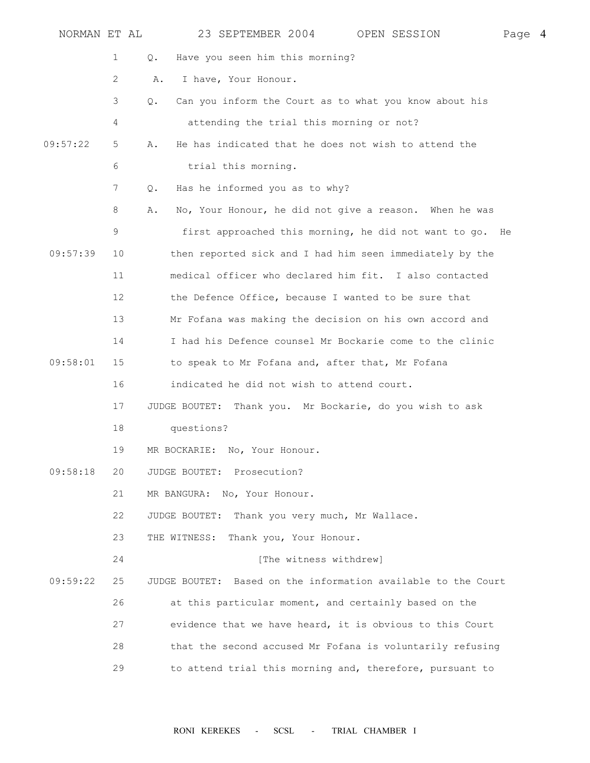| NORMAN ET AL |             | 23 SEPTEMBER 2004 OPEN SESSION                                | Page 4 |  |
|--------------|-------------|---------------------------------------------------------------|--------|--|
|              | $\mathbf 1$ | Have you seen him this morning?<br>Q.                         |        |  |
|              | 2           | I have, Your Honour.<br>Α.                                    |        |  |
|              | 3           | Can you inform the Court as to what you know about his<br>Q.  |        |  |
|              | 4           | attending the trial this morning or not?                      |        |  |
| 09:57:22     | 5           | He has indicated that he does not wish to attend the<br>Α.    |        |  |
|              | 6           | trial this morning.                                           |        |  |
|              | 7           | Has he informed you as to why?<br>Q.                          |        |  |
|              | 8           | No, Your Honour, he did not give a reason. When he was<br>Α.  |        |  |
|              | 9           | first approached this morning, he did not want to go. He      |        |  |
| 09:57:39     | 10          | then reported sick and I had him seen immediately by the      |        |  |
|              | 11          | medical officer who declared him fit. I also contacted        |        |  |
|              | 12          | the Defence Office, because I wanted to be sure that          |        |  |
|              | 13          | Mr Fofana was making the decision on his own accord and       |        |  |
|              | 14          | I had his Defence counsel Mr Bockarie come to the clinic      |        |  |
| 09:58:01     | 15          | to speak to Mr Fofana and, after that, Mr Fofana              |        |  |
|              | 16          | indicated he did not wish to attend court.                    |        |  |
|              | 17          | JUDGE BOUTET: Thank you. Mr Bockarie, do you wish to ask      |        |  |
|              | 18          | questions?                                                    |        |  |
|              | 19          | MR BOCKARIE: No, Your Honour.                                 |        |  |
| 09:58:18     | 20          | JUDGE BOUTET: Prosecution?                                    |        |  |
|              | 21          | MR BANGURA: No, Your Honour.                                  |        |  |
|              | 22          | Thank you very much, Mr Wallace.<br>JUDGE BOUTET:             |        |  |
|              | 23          | THE WITNESS:<br>Thank you, Your Honour.                       |        |  |
|              | 24          | [The witness withdrew]                                        |        |  |
| 09:59:22     | 25          | JUDGE BOUTET: Based on the information available to the Court |        |  |
|              | 26          | at this particular moment, and certainly based on the         |        |  |
|              | 27          | evidence that we have heard, it is obvious to this Court      |        |  |
|              | 28          | that the second accused Mr Fofana is voluntarily refusing     |        |  |
|              | 29          | to attend trial this morning and, therefore, pursuant to      |        |  |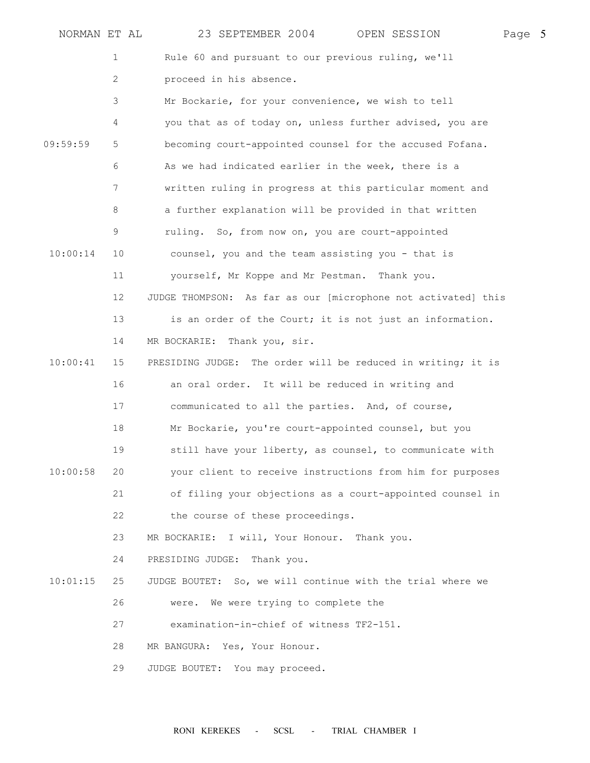| NORMAN ET AL |    | 23 SEPTEMBER 2004<br>Page 5<br>OPEN SESSION                   |  |
|--------------|----|---------------------------------------------------------------|--|
|              | 1  | Rule 60 and pursuant to our previous ruling, we'll            |  |
|              | 2  | proceed in his absence.                                       |  |
|              | 3  | Mr Bockarie, for your convenience, we wish to tell            |  |
|              | 4  | you that as of today on, unless further advised, you are      |  |
| 09:59:59     | 5  | becoming court-appointed counsel for the accused Fofana.      |  |
|              | 6  | As we had indicated earlier in the week, there is a           |  |
|              | 7  | written ruling in progress at this particular moment and      |  |
|              | 8  | a further explanation will be provided in that written        |  |
|              | 9  | ruling. So, from now on, you are court-appointed              |  |
| 10:00:14     | 10 | counsel, you and the team assisting you - that is             |  |
|              | 11 | yourself, Mr Koppe and Mr Pestman. Thank you.                 |  |
|              | 12 | JUDGE THOMPSON: As far as our [microphone not activated] this |  |
|              | 13 | is an order of the Court; it is not just an information.      |  |
|              | 14 | Thank you, sir.<br>MR BOCKARIE:                               |  |
| 10:00:41     | 15 | PRESIDING JUDGE: The order will be reduced in writing; it is  |  |
|              | 16 | an oral order. It will be reduced in writing and              |  |
|              | 17 | communicated to all the parties. And, of course,              |  |
|              | 18 | Mr Bockarie, you're court-appointed counsel, but you          |  |
|              | 19 | still have your liberty, as counsel, to communicate with      |  |
| 10:00:58     | 20 | your client to receive instructions from him for purposes     |  |
|              | 21 | of filing your objections as a court-appointed counsel in     |  |
|              | 22 | the course of these proceedings.                              |  |
|              | 23 | MR BOCKARIE: I will, Your Honour. Thank you.                  |  |
|              | 24 | PRESIDING JUDGE: Thank you.                                   |  |
| 10:01:15     | 25 | JUDGE BOUTET: So, we will continue with the trial where we    |  |
|              | 26 | We were trying to complete the<br>were.                       |  |
|              | 27 | examination-in-chief of witness TF2-151.                      |  |
|              | 28 | MR BANGURA: Yes, Your Honour.                                 |  |
|              | 29 | JUDGE BOUTET: You may proceed.                                |  |
|              |    |                                                               |  |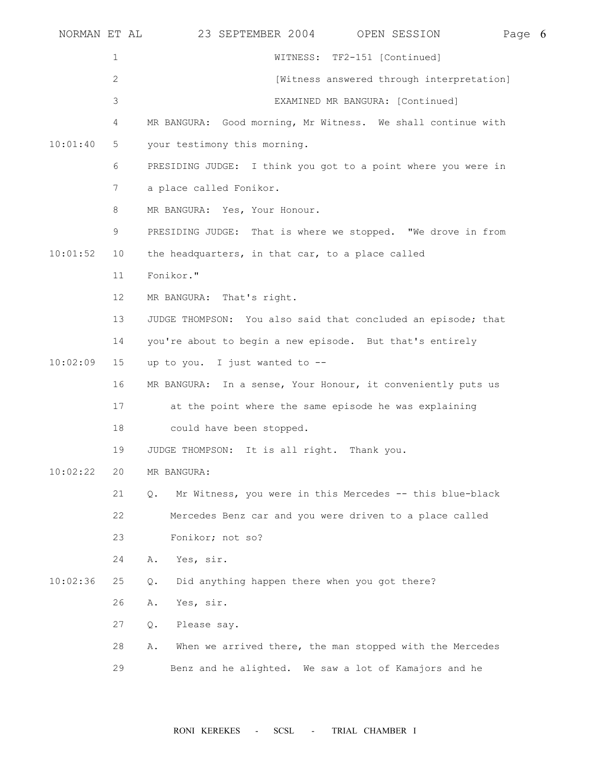| NORMAN ET AL |                 | 23 SEPTEMBER 2004<br>OPEN SESSION<br>Page 6                    |  |
|--------------|-----------------|----------------------------------------------------------------|--|
|              | $\mathbf{1}$    | WITNESS: TF2-151 [Continued]                                   |  |
|              | $\mathbf{2}$    | [Witness answered through interpretation]                      |  |
|              | 3               | EXAMINED MR BANGURA: [Continued]                               |  |
|              | 4               | MR BANGURA: Good morning, Mr Witness. We shall continue with   |  |
| 10:01:40     | 5               | your testimony this morning.                                   |  |
|              | 6               | PRESIDING JUDGE: I think you got to a point where you were in  |  |
|              | 7               | a place called Fonikor.                                        |  |
|              | 8               | MR BANGURA: Yes, Your Honour.                                  |  |
|              | 9               | PRESIDING JUDGE: That is where we stopped. "We drove in from   |  |
| 10:01:52     | 10              | the headquarters, in that car, to a place called               |  |
|              | 11              | Fonikor."                                                      |  |
|              | 12 <sup>°</sup> | MR BANGURA: That's right.                                      |  |
|              | 13              | JUDGE THOMPSON: You also said that concluded an episode; that  |  |
|              | 14              | you're about to begin a new episode. But that's entirely       |  |
| 10:02:09     | 15              | up to you. I just wanted to --                                 |  |
|              | 16              | MR BANGURA: In a sense, Your Honour, it conveniently puts us   |  |
|              | 17              | at the point where the same episode he was explaining          |  |
|              | 18              | could have been stopped.                                       |  |
|              | 19              | JUDGE THOMPSON: It is all right. Thank you.                    |  |
| 10:02:22     | 20              | MR BANGURA:                                                    |  |
|              | 21              | Mr Witness, you were in this Mercedes -- this blue-black<br>Q. |  |
|              | 22              | Mercedes Benz car and you were driven to a place called        |  |
|              | 23              | Fonikor; not so?                                               |  |
|              | 24              | Yes, sir.<br>Α.                                                |  |
| 10:02:36     | 25              | Did anything happen there when you got there?<br>Q.            |  |
|              | 26              | Yes, sir.<br>Α.                                                |  |
|              | 27              | Please say.<br>Q.                                              |  |
|              | 28              | When we arrived there, the man stopped with the Mercedes<br>Α. |  |
|              | 29              | Benz and he alighted. We saw a lot of Kamajors and he          |  |
|              |                 |                                                                |  |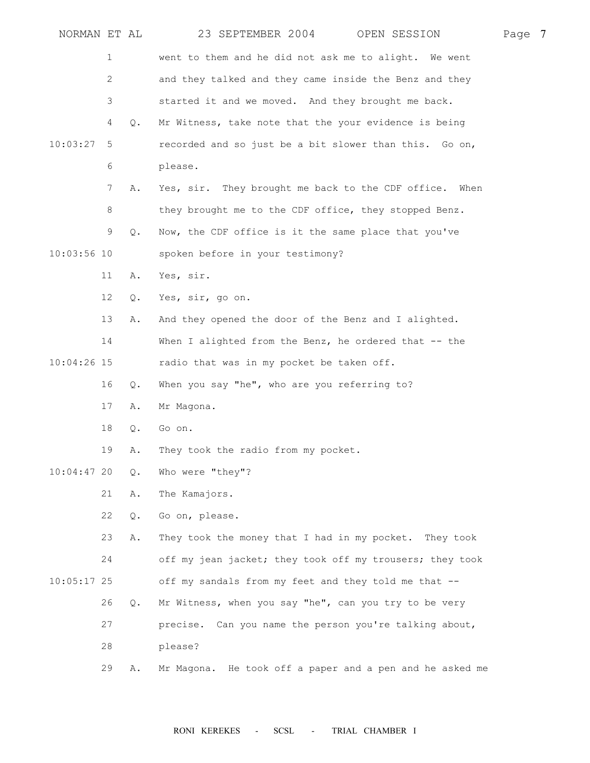| NORMAN ET AL  |                |               | 23 SEPTEMBER 2004 OPEN SESSION                           | Page 7 |  |
|---------------|----------------|---------------|----------------------------------------------------------|--------|--|
|               | 1              |               | went to them and he did not ask me to alight. We went    |        |  |
|               | $\overline{c}$ |               | and they talked and they came inside the Benz and they   |        |  |
|               | 3              |               | started it and we moved. And they brought me back.       |        |  |
|               | 4              | Q.            | Mr Witness, take note that the your evidence is being    |        |  |
| 10:03:27      | 5              |               | recorded and so just be a bit slower than this. Go on,   |        |  |
|               | 6              |               | please.                                                  |        |  |
|               | 7              | Α.            | Yes, sir. They brought me back to the CDF office. When   |        |  |
|               | 8              |               | they brought me to the CDF office, they stopped Benz.    |        |  |
|               | 9              | Q.            | Now, the CDF office is it the same place that you've     |        |  |
| $10:03:56$ 10 |                |               | spoken before in your testimony?                         |        |  |
|               | 11             | Α.            | Yes, sir.                                                |        |  |
|               | 12             | Q.            | Yes, sir, go on.                                         |        |  |
|               | 13             | Α.            | And they opened the door of the Benz and I alighted.     |        |  |
|               | 14             |               | When I alighted from the Benz, he ordered that -- the    |        |  |
| $10:04:26$ 15 |                |               | radio that was in my pocket be taken off.                |        |  |
|               | 16             | $Q_{\bullet}$ | When you say "he", who are you referring to?             |        |  |
|               | 17             | Α.            | Mr Magona.                                               |        |  |
|               | 18             | Q.            | Go on.                                                   |        |  |
|               | 19             | Α.            | They took the radio from my pocket.                      |        |  |
| $10:04:47$ 20 |                | $Q$ .         | Who were "they"?                                         |        |  |
|               | 21             | Α.            | The Kamajors.                                            |        |  |
|               | 22             | Q.            | Go on, please.                                           |        |  |
|               | 23             | Α.            | They took the money that I had in my pocket. They took   |        |  |
|               | 24             |               | off my jean jacket; they took off my trousers; they took |        |  |
| $10:05:17$ 25 |                |               | off my sandals from my feet and they told me that --     |        |  |
|               | 26             | Q.            | Mr Witness, when you say "he", can you try to be very    |        |  |
|               | 27             |               | precise. Can you name the person you're talking about,   |        |  |
|               | 28             |               | please?                                                  |        |  |
|               | 29             | Α.            | Mr Magona. He took off a paper and a pen and he asked me |        |  |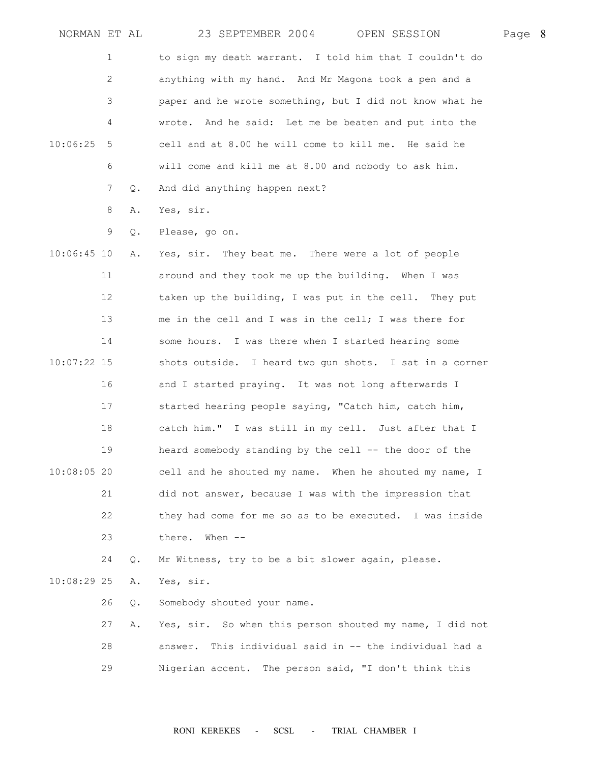| NORMAN ET AL  |    |       | 23 SEPTEMBER 2004<br>OPEN SESSION                          | Page 8 |  |
|---------------|----|-------|------------------------------------------------------------|--------|--|
|               | 1  |       | to sign my death warrant. I told him that I couldn't do    |        |  |
|               | 2  |       | anything with my hand. And Mr Magona took a pen and a      |        |  |
|               | 3  |       | paper and he wrote something, but I did not know what he   |        |  |
|               | 4  |       | And he said: Let me be beaten and put into the<br>wrote.   |        |  |
| 10:06:25      | 5  |       | cell and at 8.00 he will come to kill me. He said he       |        |  |
|               | 6  |       | will come and kill me at 8.00 and nobody to ask him.       |        |  |
|               | 7  | Q.    | And did anything happen next?                              |        |  |
|               | 8  | Α.    | Yes, sir.                                                  |        |  |
|               | 9  | Q.    | Please, go on.                                             |        |  |
| $10:06:45$ 10 |    | Α.    | Yes, sir. They beat me. There were a lot of people         |        |  |
|               | 11 |       | around and they took me up the building. When I was        |        |  |
|               | 12 |       | taken up the building, I was put in the cell. They put     |        |  |
|               | 13 |       | me in the cell and I was in the cell; I was there for      |        |  |
|               | 14 |       | some hours. I was there when I started hearing some        |        |  |
| $10:07:22$ 15 |    |       | shots outside. I heard two gun shots. I sat in a corner    |        |  |
|               | 16 |       | and I started praying. It was not long afterwards I        |        |  |
|               | 17 |       | started hearing people saying, "Catch him, catch him,      |        |  |
|               | 18 |       | catch him." I was still in my cell. Just after that I      |        |  |
|               | 19 |       | heard somebody standing by the cell -- the door of the     |        |  |
| $10:08:05$ 20 |    |       | cell and he shouted my name. When he shouted my name, I    |        |  |
|               | 21 |       | did not answer, because I was with the impression that     |        |  |
|               | 22 |       | they had come for me so as to be executed. I was inside    |        |  |
|               | 23 |       | there.<br>When $--$                                        |        |  |
|               | 24 | $Q$ . | Mr Witness, try to be a bit slower again, please.          |        |  |
| $10:08:29$ 25 |    | Α.    | Yes, sir.                                                  |        |  |
|               | 26 | Q.    | Somebody shouted your name.                                |        |  |
|               | 27 | Α.    | Yes, sir. So when this person shouted my name, I did not   |        |  |
|               | 28 |       | This individual said in -- the individual had a<br>answer. |        |  |
|               | 29 |       | Nigerian accent. The person said, "I don't think this      |        |  |
|               |    |       |                                                            |        |  |
|               |    |       |                                                            |        |  |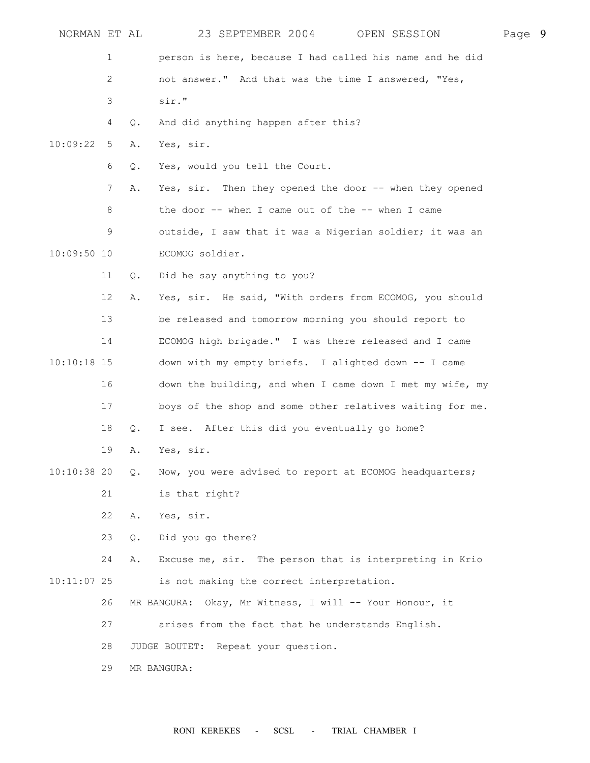| NORMAN ET AL  |                           |               | 23 SEPTEMBER 2004<br>OPEN SESSION                         | Page 9 |  |
|---------------|---------------------------|---------------|-----------------------------------------------------------|--------|--|
|               | 1                         |               | person is here, because I had called his name and he did  |        |  |
|               | $\mathbf{2}^{\mathsf{I}}$ |               | not answer." And that was the time I answered, "Yes,      |        |  |
|               | 3                         |               | sir."                                                     |        |  |
|               | 4                         | Q.            | And did anything happen after this?                       |        |  |
| 10:09:22      | 5                         | Α.            | Yes, sir.                                                 |        |  |
|               | 6                         | Q.            | Yes, would you tell the Court.                            |        |  |
|               | 7                         | Α.            | Yes, sir. Then they opened the door -- when they opened   |        |  |
|               | 8                         |               | the door -- when I came out of the -- when I came         |        |  |
|               | 9                         |               | outside, I saw that it was a Nigerian soldier; it was an  |        |  |
| $10:09:50$ 10 |                           |               | ECOMOG soldier.                                           |        |  |
|               | 11                        | Q.            | Did he say anything to you?                               |        |  |
|               | 12                        | Α.            | Yes, sir. He said, "With orders from ECOMOG, you should   |        |  |
|               | 13                        |               | be released and tomorrow morning you should report to     |        |  |
|               | 14                        |               | ECOMOG high brigade." I was there released and I came     |        |  |
| $10:10:18$ 15 |                           |               | down with my empty briefs. I alighted down -- I came      |        |  |
|               | 16                        |               | down the building, and when I came down I met my wife, my |        |  |
|               | 17                        |               | boys of the shop and some other relatives waiting for me. |        |  |
|               | 18                        | Q.            | I see. After this did you eventually go home?             |        |  |
|               | 19                        | Α.            | Yes, sir.                                                 |        |  |
| $10:10:38$ 20 |                           | $Q_{\bullet}$ | Now, you were advised to report at ECOMOG headquarters;   |        |  |
|               | 21                        |               | is that right?                                            |        |  |
|               | 22                        | Α.            | Yes, sir.                                                 |        |  |
|               | 23                        | Q.            | Did you go there?                                         |        |  |
|               | 24                        | Α.            | Excuse me, sir. The person that is interpreting in Krio   |        |  |
| $10:11:07$ 25 |                           |               | is not making the correct interpretation.                 |        |  |
|               | 26                        |               | MR BANGURA: Okay, Mr Witness, I will -- Your Honour, it   |        |  |
|               | 27                        |               | arises from the fact that he understands English.         |        |  |
|               | 28                        |               | JUDGE BOUTET: Repeat your question.                       |        |  |
|               | 29                        |               | MR BANGURA:                                               |        |  |
|               |                           |               |                                                           |        |  |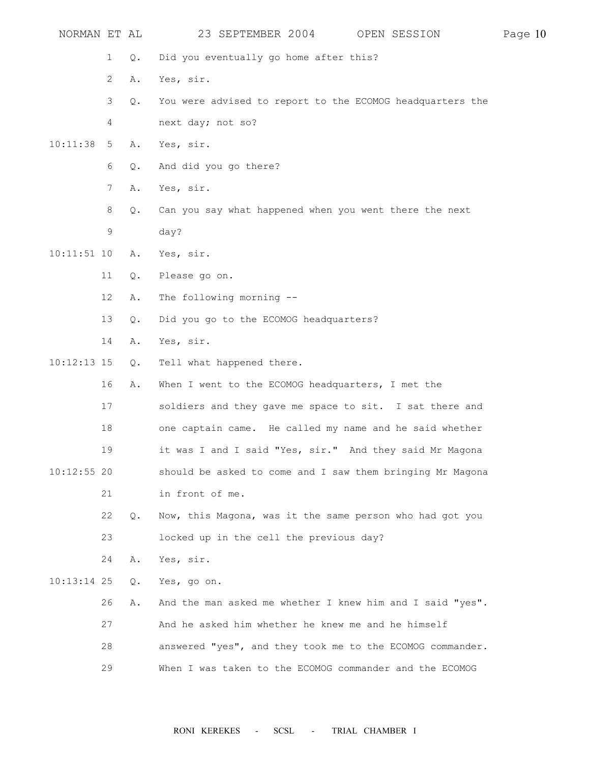| NORMAN ET AL  |                 |               | 23 SEPTEMBER 2004<br>OPEN SESSION                         | Page 10 |
|---------------|-----------------|---------------|-----------------------------------------------------------|---------|
|               | 1               | $Q$ .         | Did you eventually go home after this?                    |         |
|               | 2               | Α.            | Yes, sir.                                                 |         |
|               | 3               | $Q$ .         | You were advised to report to the ECOMOG headquarters the |         |
|               | 4               |               | next day; not so?                                         |         |
| 10:11:38      | $5\overline{)}$ | Α.            | Yes, sir.                                                 |         |
|               | 6               | Q.            | And did you go there?                                     |         |
|               | $7^{\circ}$     | Α.            | Yes, sir.                                                 |         |
|               | 8               | $Q$ .         | Can you say what happened when you went there the next    |         |
|               | 9               |               | day?                                                      |         |
| $10:11:51$ 10 |                 | Α.            | Yes, sir.                                                 |         |
|               | 11              | Q.            | Please go on.                                             |         |
|               | 12              | Α.            | The following morning --                                  |         |
|               | 13              | Q.            | Did you go to the ECOMOG headquarters?                    |         |
|               | 14              | Α.            | Yes, sir.                                                 |         |
| $10:12:13$ 15 |                 | Q.            | Tell what happened there.                                 |         |
|               | 16              | Α.            | When I went to the ECOMOG headquarters, I met the         |         |
|               | 17              |               | soldiers and they gave me space to sit. I sat there and   |         |
|               | 18              |               | one captain came. He called my name and he said whether   |         |
|               | 19              |               | it was I and I said "Yes, sir." And they said Mr Magona   |         |
| $10:12:55$ 20 |                 |               | should be asked to come and I saw them bringing Mr Magona |         |
|               | 21              |               | in front of me.                                           |         |
|               | 22              | Q.            | Now, this Magona, was it the same person who had got you  |         |
|               | 23              |               | locked up in the cell the previous day?                   |         |
|               | 24              | Α.            | Yes, sir.                                                 |         |
| $10:13:14$ 25 |                 | $Q_{\bullet}$ | Yes, go on.                                               |         |
|               | 26              | Α.            | And the man asked me whether I knew him and I said "yes". |         |
|               | 27              |               | And he asked him whether he knew me and he himself        |         |
|               | 28              |               | answered "yes", and they took me to the ECOMOG commander. |         |
|               | 29              |               | When I was taken to the ECOMOG commander and the ECOMOG   |         |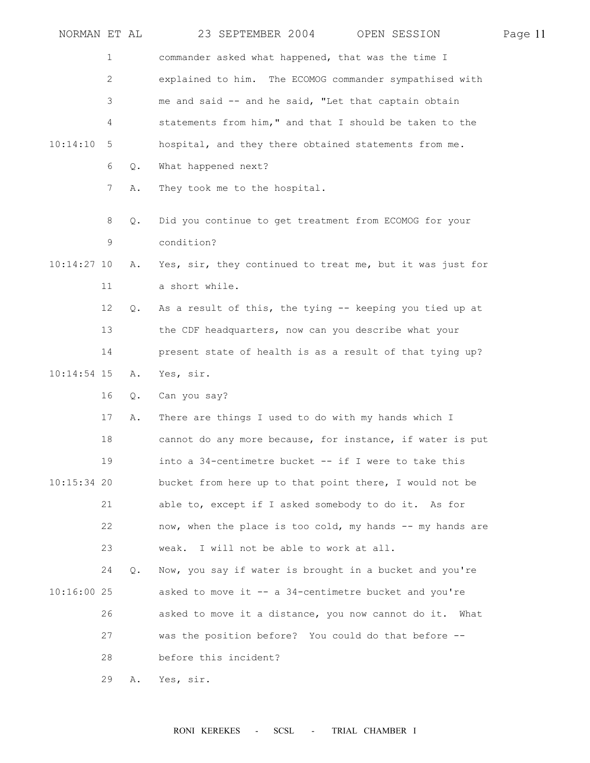|               | NORMAN ET AL   |               | 23 SEPTEMBER 2004 OPEN SESSION                             | Page 11 |
|---------------|----------------|---------------|------------------------------------------------------------|---------|
|               | 1              |               | commander asked what happened, that was the time I         |         |
|               | $\overline{c}$ |               | explained to him. The ECOMOG commander sympathised with    |         |
|               | 3              |               | me and said -- and he said, "Let that captain obtain       |         |
|               | 4              |               | statements from him," and that I should be taken to the    |         |
| 10:14:10      | 5              |               | hospital, and they there obtained statements from me.      |         |
|               | 6              | $Q$ .         | What happened next?                                        |         |
|               | 7              | Α.            | They took me to the hospital.                              |         |
|               | 8              | $Q_{\bullet}$ | Did you continue to get treatment from ECOMOG for your     |         |
|               | 9              |               | condition?                                                 |         |
| $10:14:27$ 10 |                | Α.            | Yes, sir, they continued to treat me, but it was just for  |         |
|               | 11             |               | a short while.                                             |         |
|               | 12             | Q.            | As a result of this, the tying -- keeping you tied up at   |         |
|               | 13             |               | the CDF headquarters, now can you describe what your       |         |
|               | 14             |               | present state of health is as a result of that tying up?   |         |
| $10:14:54$ 15 |                | Α.            | Yes, sir.                                                  |         |
|               | 16             | Q.            | Can you say?                                               |         |
|               | 17             | Α.            | There are things I used to do with my hands which I        |         |
|               | 18             |               | cannot do any more because, for instance, if water is put  |         |
|               | 19             |               | into a 34-centimetre bucket -- if I were to take this      |         |
| $10:15:34$ 20 |                |               | bucket from here up to that point there, I would not be    |         |
|               | 21             |               | able to, except if I asked somebody to do it. As for       |         |
|               | 22             |               | now, when the place is too cold, my hands -- my hands are  |         |
|               | 23             |               | weak. I will not be able to work at all.                   |         |
|               | 24             | Q.            | Now, you say if water is brought in a bucket and you're    |         |
| $10:16:00$ 25 |                |               | asked to move it -- a 34-centimetre bucket and you're      |         |
|               | 26             |               | asked to move it a distance, you now cannot do it.<br>What |         |
|               | 27             |               | was the position before? You could do that before --       |         |
|               | 28             |               | before this incident?                                      |         |
|               | 29             | Α.            | Yes, sir.                                                  |         |
|               |                |               |                                                            |         |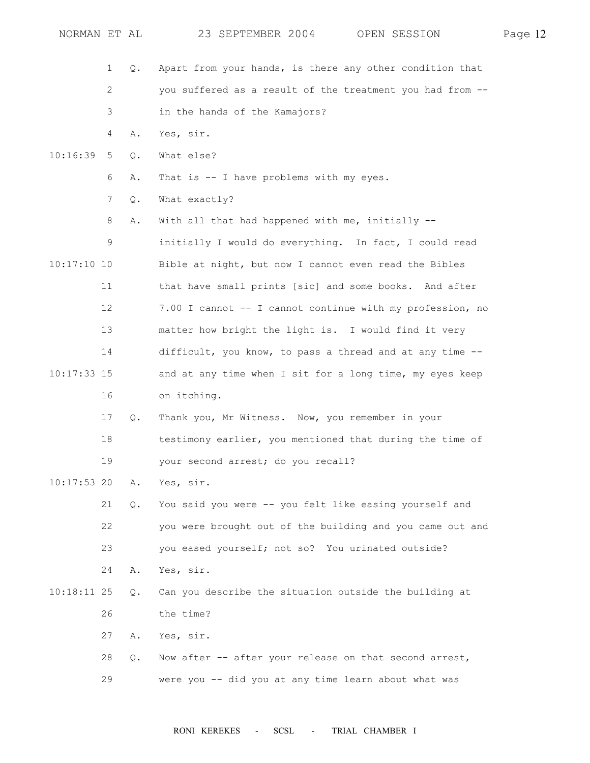| NORMAN ET AL  |                   |       | 23 SEPTEMBER 2004<br>OPEN SESSION                         | Page 12 |
|---------------|-------------------|-------|-----------------------------------------------------------|---------|
|               | 1                 | Q.    | Apart from your hands, is there any other condition that  |         |
|               | 2                 |       | you suffered as a result of the treatment you had from -- |         |
|               | 3                 |       | in the hands of the Kamajors?                             |         |
|               | 4                 | Α.    | Yes, sir.                                                 |         |
| 10:16:39      | 5                 | Q.    | What else?                                                |         |
|               | 6                 | Α.    | That is -- I have problems with my eyes.                  |         |
|               | 7                 | Q.    | What exactly?                                             |         |
|               | 8                 | Α.    | With all that had happened with me, initially --          |         |
|               | 9                 |       | initially I would do everything. In fact, I could read    |         |
| $10:17:10$ 10 |                   |       | Bible at night, but now I cannot even read the Bibles     |         |
|               | 11                |       | that have small prints [sic] and some books. And after    |         |
|               | $12 \overline{ }$ |       | 7.00 I cannot -- I cannot continue with my profession, no |         |
|               | 13                |       | matter how bright the light is. I would find it very      |         |
|               | 14                |       | difficult, you know, to pass a thread and at any time --  |         |
| $10:17:33$ 15 |                   |       | and at any time when I sit for a long time, my eyes keep  |         |
|               | 16                |       | on itching.                                               |         |
|               | 17                | Q.    | Thank you, Mr Witness. Now, you remember in your          |         |
|               | 18                |       | testimony earlier, you mentioned that during the time of  |         |
|               | 19                |       | your second arrest; do you recall?                        |         |
| $10:17:53$ 20 |                   | Α.    | Yes, sir.                                                 |         |
|               | 21                | $Q$ . | You said you were -- you felt like easing yourself and    |         |
|               | 22                |       | you were brought out of the building and you came out and |         |
|               | 23                |       | you eased yourself; not so? You urinated outside?         |         |
|               | 24                | Α.    | Yes, sir.                                                 |         |
| $10:18:11$ 25 |                   | $Q$ . | Can you describe the situation outside the building at    |         |
|               | 26                |       | the time?                                                 |         |
|               | 27                | Α.    | Yes, sir.                                                 |         |
|               | 28                | Q.    | Now after -- after your release on that second arrest,    |         |
|               | 29                |       | were you -- did you at any time learn about what was      |         |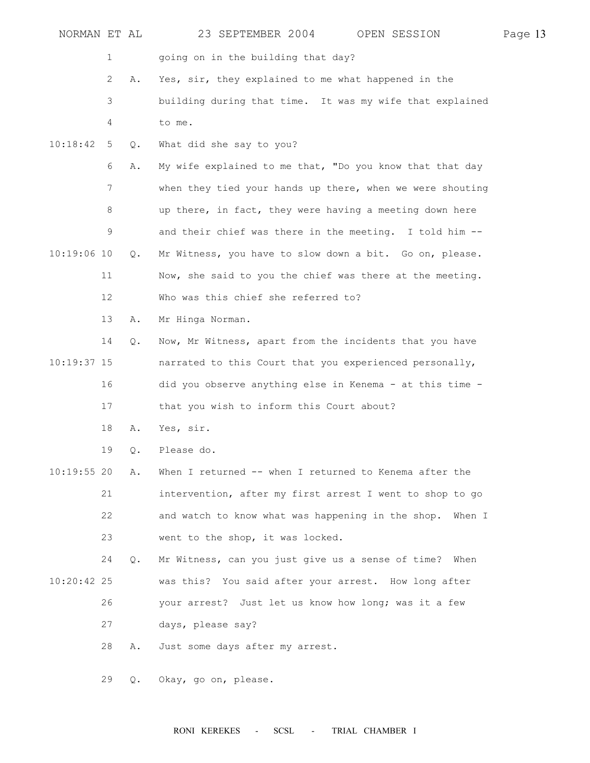| NORMAN ET AL  |    |       | 23 SEPTEMBER 2004<br>OPEN SESSION                         | Page 13 |
|---------------|----|-------|-----------------------------------------------------------|---------|
|               | 1  |       | going on in the building that day?                        |         |
|               | 2  | Α.    | Yes, sir, they explained to me what happened in the       |         |
|               | 3  |       | building during that time. It was my wife that explained  |         |
|               | 4  |       | to me.                                                    |         |
| 10:18:42      | 5  | $Q$ . | What did she say to you?                                  |         |
|               | 6  | Α.    | My wife explained to me that, "Do you know that that day  |         |
|               | 7  |       | when they tied your hands up there, when we were shouting |         |
|               | 8  |       | up there, in fact, they were having a meeting down here   |         |
|               | 9  |       | and their chief was there in the meeting. I told him --   |         |
| $10:19:06$ 10 |    | $Q$ . | Mr Witness, you have to slow down a bit. Go on, please.   |         |
|               | 11 |       | Now, she said to you the chief was there at the meeting.  |         |
|               | 12 |       | Who was this chief she referred to?                       |         |
|               | 13 | Α.    | Mr Hinga Norman.                                          |         |
|               | 14 | Q.    | Now, Mr Witness, apart from the incidents that you have   |         |
| $10:19:37$ 15 |    |       | narrated to this Court that you experienced personally,   |         |
|               | 16 |       | did you observe anything else in Kenema - at this time -  |         |
|               | 17 |       | that you wish to inform this Court about?                 |         |
|               | 18 | Α.    | Yes, sir.                                                 |         |
|               | 19 | Q.    | Please do.                                                |         |
| $10:19:55$ 20 |    | Α.    | When I returned -- when I returned to Kenema after the    |         |
|               | 21 |       | intervention, after my first arrest I went to shop to go  |         |
|               | 22 |       | and watch to know what was happening in the shop. When I  |         |
|               | 23 |       | went to the shop, it was locked.                          |         |
|               | 24 | Q.    | Mr Witness, can you just give us a sense of time? When    |         |
| $10:20:42$ 25 |    |       | was this? You said after your arrest. How long after      |         |
|               | 26 |       | your arrest? Just let us know how long; was it a few      |         |
|               | 27 |       | days, please say?                                         |         |
|               | 28 | Α.    | Just some days after my arrest.                           |         |
|               | 29 | Q.    | Okay, go on, please.                                      |         |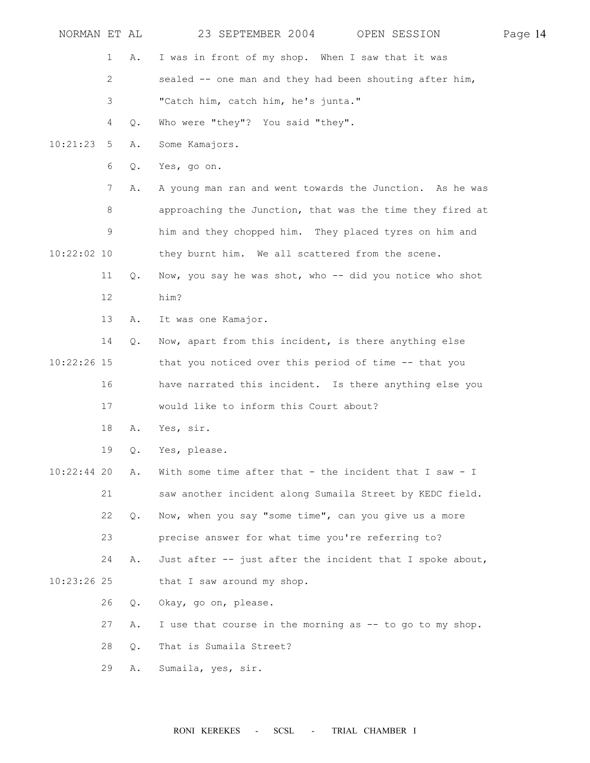| NORMAN ET AL  |    |               | 23 SEPTEMBER 2004 OPEN SESSION                            | Page 14 |
|---------------|----|---------------|-----------------------------------------------------------|---------|
|               | 1  | Α.            | I was in front of my shop. When I saw that it was         |         |
|               | 2  |               | sealed -- one man and they had been shouting after him,   |         |
|               | 3  |               | "Catch him, catch him, he's junta."                       |         |
|               | 4  | $Q$ .         | Who were "they"? You said "they".                         |         |
| 10:21:23      | 5  | Α.            | Some Kamajors.                                            |         |
|               | 6  | Q.            | Yes, go on.                                               |         |
|               | 7  | Α.            | A young man ran and went towards the Junction. As he was  |         |
|               | 8  |               | approaching the Junction, that was the time they fired at |         |
|               | 9  |               | him and they chopped him. They placed tyres on him and    |         |
| $10:22:02$ 10 |    |               | they burnt him. We all scattered from the scene.          |         |
|               | 11 | Q.            | Now, you say he was shot, who -- did you notice who shot  |         |
|               | 12 |               | him?                                                      |         |
|               | 13 | Α.            | It was one Kamajor.                                       |         |
|               | 14 | Q.            | Now, apart from this incident, is there anything else     |         |
| $10:22:26$ 15 |    |               | that you noticed over this period of time -- that you     |         |
|               | 16 |               | have narrated this incident. Is there anything else you   |         |
|               | 17 |               | would like to inform this Court about?                    |         |
|               | 18 | Α.            | Yes, sir.                                                 |         |
|               | 19 | Q.            | Yes, please.                                              |         |
| $10:22:44$ 20 |    | Α.            | With some time after that - the incident that I saw - I   |         |
|               | 21 |               | saw another incident along Sumaila Street by KEDC field.  |         |
|               | 22 | Q.            | Now, when you say "some time", can you give us a more     |         |
|               | 23 |               | precise answer for what time you're referring to?         |         |
|               | 24 | Α.            | Just after -- just after the incident that I spoke about, |         |
| $10:23:26$ 25 |    |               | that I saw around my shop.                                |         |
|               | 26 | $Q_{\bullet}$ | Okay, go on, please.                                      |         |
|               | 27 | Α.            | I use that course in the morning as -- to go to my shop.  |         |
|               | 28 | Q.            | That is Sumaila Street?                                   |         |
|               | 29 | Α.            | Sumaila, yes, sir.                                        |         |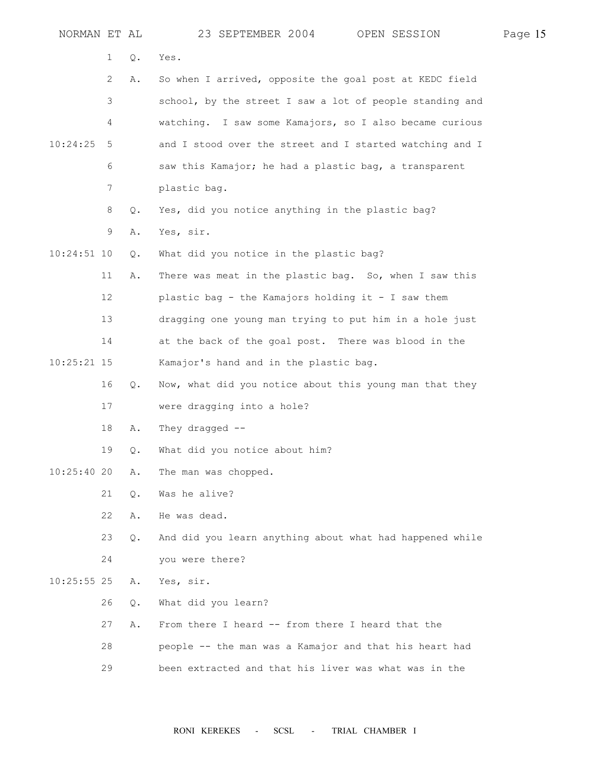| NORMAN ET AL  |    |               | 23 SEPTEMBER 2004<br>OPEN SESSION                        | Page 15 |
|---------------|----|---------------|----------------------------------------------------------|---------|
|               | 1  | Q.            | Yes.                                                     |         |
|               | 2  | Α.            | So when I arrived, opposite the goal post at KEDC field  |         |
|               | 3  |               | school, by the street I saw a lot of people standing and |         |
|               | 4  |               | watching. I saw some Kamajors, so I also became curious  |         |
| 10:24:25      | 5  |               | and I stood over the street and I started watching and I |         |
|               | 6  |               | saw this Kamajor; he had a plastic bag, a transparent    |         |
|               | 7  |               | plastic bag.                                             |         |
|               | 8  | Q.            | Yes, did you notice anything in the plastic bag?         |         |
|               | 9  | Α.            | Yes, sir.                                                |         |
| $10:24:51$ 10 |    | Q.            | What did you notice in the plastic bag?                  |         |
|               | 11 | Α.            | There was meat in the plastic bag. So, when I saw this   |         |
|               | 12 |               | plastic bag - the Kamajors holding it - I saw them       |         |
|               | 13 |               | dragging one young man trying to put him in a hole just  |         |
|               | 14 |               | at the back of the goal post. There was blood in the     |         |
| $10:25:21$ 15 |    |               | Kamajor's hand and in the plastic bag.                   |         |
|               | 16 | Q.            | Now, what did you notice about this young man that they  |         |
|               | 17 |               | were dragging into a hole?                               |         |
|               | 18 | Α.            | They dragged $--$                                        |         |
|               | 19 | Q.            | What did you notice about him?                           |         |
| 10:25:4020    |    | Α.            | The man was chopped.                                     |         |
|               | 21 | $Q$ .         | Was he alive?                                            |         |
|               | 22 | Α.            | He was dead.                                             |         |
|               | 23 | Q.            | And did you learn anything about what had happened while |         |
|               | 24 |               | you were there?                                          |         |
| $10:25:55$ 25 |    | Α.            | Yes, sir.                                                |         |
|               | 26 | $Q_{\bullet}$ | What did you learn?                                      |         |
|               | 27 | Α.            | From there I heard -- from there I heard that the        |         |
|               | 28 |               | people -- the man was a Kamajor and that his heart had   |         |
|               | 29 |               | been extracted and that his liver was what was in the    |         |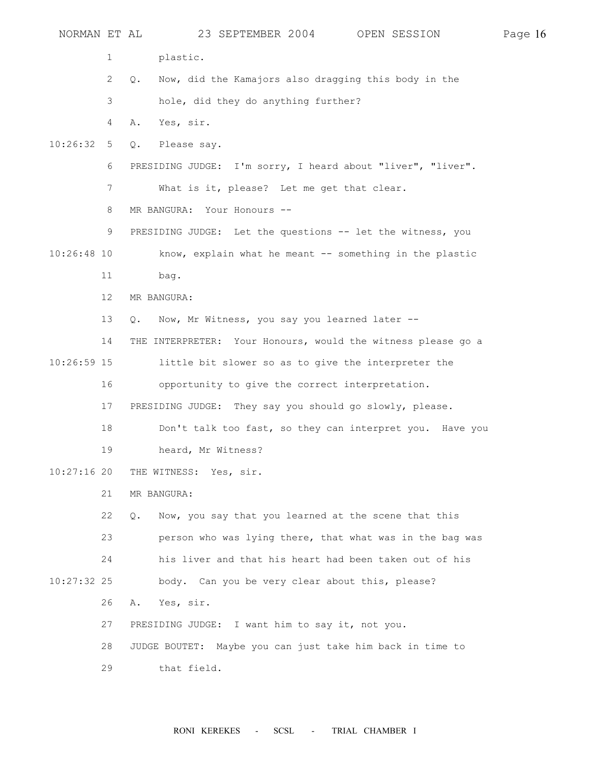| NORMAN ET AL  |                       | 23 SEPTEMBER 2004<br>OPEN SESSION                                     | Page 16 |
|---------------|-----------------------|-----------------------------------------------------------------------|---------|
|               | 1                     | plastic.                                                              |         |
|               | $\mathbf{2}^{\prime}$ | Now, did the Kamajors also dragging this body in the<br>$Q_{\bullet}$ |         |
|               | 3                     | hole, did they do anything further?                                   |         |
|               | 4                     | Yes, sir.<br>Α.                                                       |         |
| 10:26:32      | 5                     | Please say.<br>Q.                                                     |         |
|               | 6                     | PRESIDING JUDGE: I'm sorry, I heard about "liver", "liver".           |         |
|               | 7                     | What is it, please? Let me get that clear.                            |         |
|               | 8                     | MR BANGURA:<br>Your Honours --                                        |         |
|               | 9                     | PRESIDING JUDGE: Let the questions -- let the witness, you            |         |
| $10:26:48$ 10 |                       | know, explain what he meant -- something in the plastic               |         |
|               | 11                    | bag.                                                                  |         |
|               | 12                    | MR BANGURA:                                                           |         |
|               | 13                    | Now, Mr Witness, you say you learned later --<br>Q.                   |         |
|               | 14                    | THE INTERPRETER: Your Honours, would the witness please go a          |         |
| $10:26:59$ 15 |                       | little bit slower so as to give the interpreter the                   |         |
|               | 16                    | opportunity to give the correct interpretation.                       |         |
|               | 17                    | PRESIDING JUDGE: They say you should go slowly, please.               |         |
|               | 18                    | Don't talk too fast, so they can interpret you. Have you              |         |
|               | 19                    | heard, Mr Witness?                                                    |         |
| $10:27:16$ 20 |                       | THE WITNESS: Yes, sir.                                                |         |
|               | 21                    | MR BANGURA:                                                           |         |
|               | 22                    | Now, you say that you learned at the scene that this<br>$Q$ .         |         |
|               | 23                    | person who was lying there, that what was in the bag was              |         |
|               | 24                    | his liver and that his heart had been taken out of his                |         |
| $10:27:32$ 25 |                       | body. Can you be very clear about this, please?                       |         |
|               | 26                    | Yes, sir.<br>Α.                                                       |         |
|               | 27                    | PRESIDING JUDGE: I want him to say it, not you.                       |         |
|               | 28                    | JUDGE BOUTET: Maybe you can just take him back in time to             |         |
|               | 29                    | that field.                                                           |         |
|               |                       |                                                                       |         |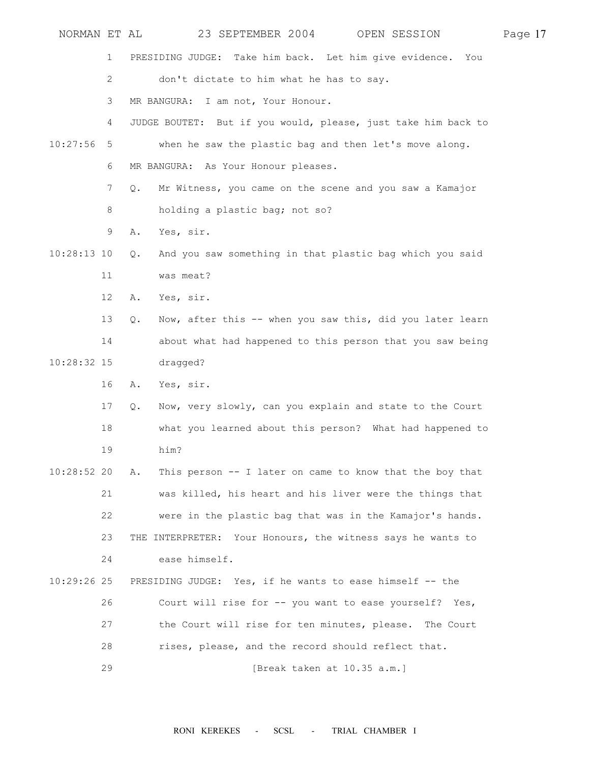| NORMAN ET AL  |                       | 23 SEPTEMBER 2004<br>OPEN SESSION                                        | Page 17 |
|---------------|-----------------------|--------------------------------------------------------------------------|---------|
|               | 1                     | PRESIDING JUDGE: Take him back. Let him give evidence.<br>You            |         |
|               | $\mathbf{2}^{\prime}$ | don't dictate to him what he has to say.                                 |         |
|               | 3                     | MR BANGURA: I am not, Your Honour.                                       |         |
|               | 4                     | JUDGE BOUTET: But if you would, please, just take him back to            |         |
| 10:27:56      | 5                     | when he saw the plastic bag and then let's move along.                   |         |
|               | 6                     | MR BANGURA: As Your Honour pleases.                                      |         |
|               | 7                     | Mr Witness, you came on the scene and you saw a Kamajor<br>$Q_{\bullet}$ |         |
|               | 8                     | holding a plastic bag; not so?                                           |         |
|               | 9                     | Yes, sir.<br>Α.                                                          |         |
| $10:28:13$ 10 |                       | And you saw something in that plastic bag which you said<br>$Q$ .        |         |
|               | 11                    | was meat?                                                                |         |
|               | 12                    | Yes, sir.<br>Α.                                                          |         |
|               | 13                    | Now, after this -- when you saw this, did you later learn<br>Q.          |         |
|               | 14                    | about what had happened to this person that you saw being                |         |
| $10:28:32$ 15 |                       | dragged?                                                                 |         |
|               | 16                    | Yes, sir.<br>Α.                                                          |         |
|               | 17                    | Now, very slowly, can you explain and state to the Court<br>Q.           |         |
|               | 18                    | what you learned about this person? What had happened to                 |         |
|               | 19                    | him?                                                                     |         |
| $10:28:52$ 20 |                       | This person -- I later on came to know that the boy that<br>Α.           |         |
|               | 21                    | was killed, his heart and his liver were the things that                 |         |
|               | 22                    | were in the plastic bag that was in the Kamajor's hands.                 |         |
|               | 23                    | THE INTERPRETER: Your Honours, the witness says he wants to              |         |
|               | 24                    | ease himself.                                                            |         |
| $10:29:26$ 25 |                       | PRESIDING JUDGE: Yes, if he wants to ease himself -- the                 |         |
|               | 26                    | Court will rise for -- you want to ease yourself? Yes,                   |         |
|               | 27                    | the Court will rise for ten minutes, please. The Court                   |         |
|               | 28                    | rises, please, and the record should reflect that.                       |         |
|               | 29                    | [Break taken at 10.35 a.m.]                                              |         |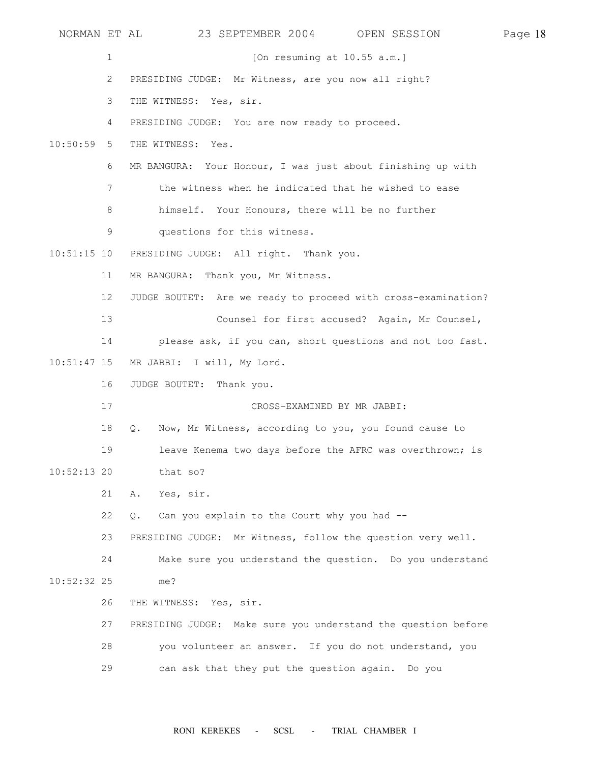NORMAN ET AL 23 SEPTEMBER 2004 OPEN SESSION Page 18 1 [On resuming at  $10.55$  a.m.] 2 PRESIDING JUDGE: Mr Witness, are you now all right? 3 THE WITNESS: Yes, sir. 4 PRESIDING JUDGE: You are now ready to proceed. 10:50:59 5 THE WITNESS: Yes. 6 MR BANGURA: Your Honour, I was just about finishing up with 7 the witness when he indicated that he wished to ease 8 himself. Your Honours, there will be no further 9 questions for this witness. 10:51:15 10 PRESIDING JUDGE: All right. Thank you. 11 MR BANGURA: Thank you, Mr Witness. 12 JUDGE BOUTET: Are we ready to proceed with cross-examination? 13 Counsel for first accused? Again, Mr Counsel, 14 please ask, if you can, short questions and not too fast. 10:51:47 15 MR JABBI: I will, My Lord. 16 JUDGE BOUTET: Thank you. 17 CROSS-EXAMINED BY MR JABBI: 18 Q. Now, Mr Witness, according to you, you found cause to 19 leave Kenema two days before the AFRC was overthrown; is 10:52:13 20 that so? 21 A. Yes, sir. 22 Q. Can you explain to the Court why you had -- 23 PRESIDING JUDGE: Mr Witness, follow the question very well. 24 Make sure you understand the question. Do you understand 10:52:32 25 me? 26 THE WITNESS: Yes, sir. 27 PRESIDING JUDGE: Make sure you understand the question before 28 you volunteer an answer. If you do not understand, you 29 can ask that they put the question again. Do you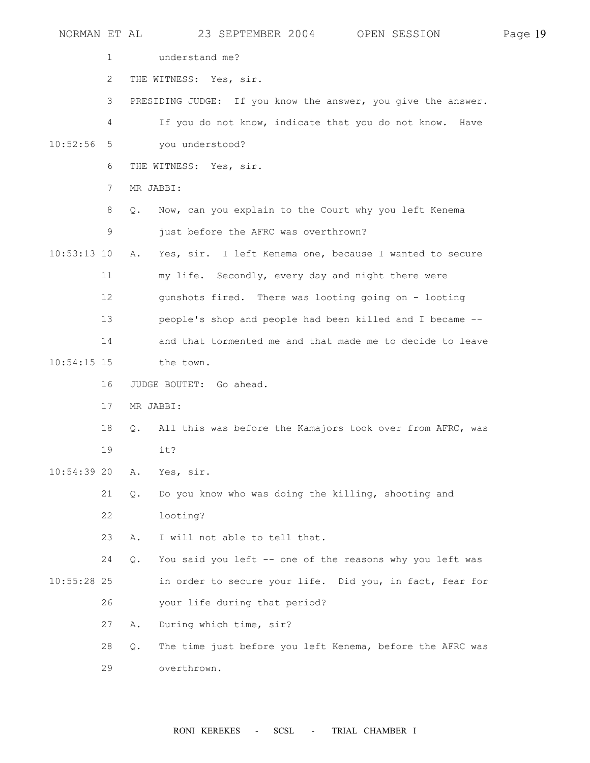| NORMAN ET AL  |                 | 23 SEPTEMBER 2004<br>OPEN SESSION                                  | Page 19 |
|---------------|-----------------|--------------------------------------------------------------------|---------|
|               | 1               | understand me?                                                     |         |
|               | 2               | THE WITNESS: Yes, sir.                                             |         |
|               | 3               | PRESIDING JUDGE: If you know the answer, you give the answer.      |         |
|               | 4               | If you do not know, indicate that you do not know.<br>Have         |         |
| 10:52:56      | 5               | you understood?                                                    |         |
|               | 6               | THE WITNESS: Yes, sir.                                             |         |
|               | $7\phantom{.0}$ | MR JABBI:                                                          |         |
|               | 8               | Now, can you explain to the Court why you left Kenema<br>Q.        |         |
|               | 9               | just before the AFRC was overthrown?                               |         |
| $10:53:13$ 10 |                 | Yes, sir. I left Kenema one, because I wanted to secure<br>Α.      |         |
|               | 11              | my life. Secondly, every day and night there were                  |         |
|               | 12              | gunshots fired. There was looting going on - looting               |         |
|               | 13              | people's shop and people had been killed and I became --           |         |
|               | 14              | and that tormented me and that made me to decide to leave          |         |
| $10:54:15$ 15 |                 | the town.                                                          |         |
|               | 16              | JUDGE BOUTET: Go ahead.                                            |         |
|               | 17              | MR JABBI:                                                          |         |
|               | 18              | All this was before the Kamajors took over from AFRC, was<br>$Q$ . |         |
|               | 19              | it?                                                                |         |
| $10:54:39$ 20 |                 | Α.<br>Yes, sir.                                                    |         |
|               | 21              | Do you know who was doing the killing, shooting and<br>Q.          |         |
|               | 22              | looting?                                                           |         |
|               | 23              | I will not able to tell that.<br>Α.                                |         |
|               | 24              | You said you left -- one of the reasons why you left was<br>Q.     |         |
| $10:55:28$ 25 |                 | in order to secure your life. Did you, in fact, fear for           |         |
|               | 26              | your life during that period?                                      |         |
|               | 27              | During which time, sir?<br>Α.                                      |         |
|               | 28              | The time just before you left Kenema, before the AFRC was<br>$Q$ . |         |
|               | 29              | overthrown.                                                        |         |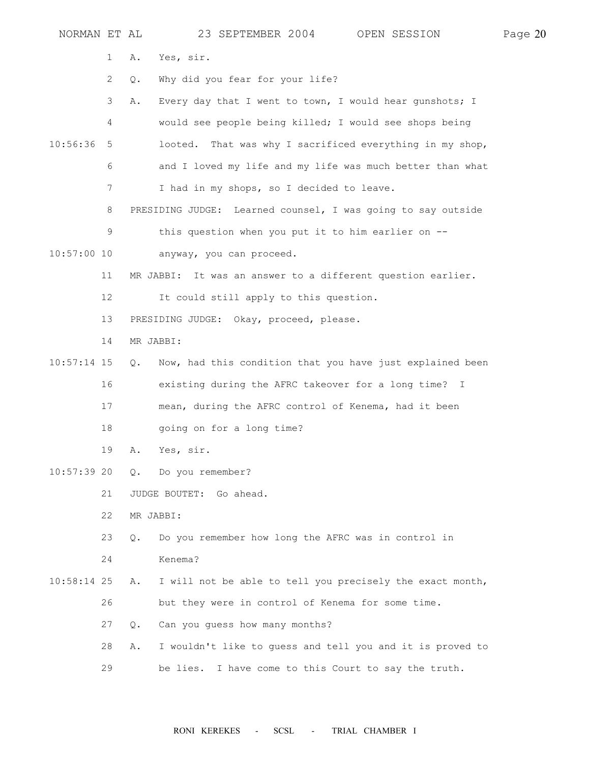| NORMAN ET AL  |                           |           | 23 SEPTEMBER 2004 OPEN SESSION                               | Page 20 |
|---------------|---------------------------|-----------|--------------------------------------------------------------|---------|
|               | 1                         | Α.        | Yes, sir.                                                    |         |
|               | $\mathbf{2}^{\mathsf{I}}$ | Q.        | Why did you fear for your life?                              |         |
|               | 3                         | Α.        | Every day that I went to town, I would hear gunshots; I      |         |
|               | 4                         |           | would see people being killed; I would see shops being       |         |
| 10:56:36      | 5                         |           | That was why I sacrificed everything in my shop,<br>looted.  |         |
|               | 6                         |           | and I loved my life and my life was much better than what    |         |
|               | 7                         |           | I had in my shops, so I decided to leave.                    |         |
|               | 8                         |           | PRESIDING JUDGE: Learned counsel, I was going to say outside |         |
|               | 9                         |           | this question when you put it to him earlier on --           |         |
| $10:57:00$ 10 |                           |           | anyway, you can proceed.                                     |         |
|               | 11                        |           | MR JABBI: It was an answer to a different question earlier.  |         |
|               | 12                        |           | It could still apply to this question.                       |         |
|               | 13                        |           | PRESIDING JUDGE: Okay, proceed, please.                      |         |
|               | 14                        |           | MR JABBI:                                                    |         |
| $10:57:14$ 15 |                           | Q.        | Now, had this condition that you have just explained been    |         |
|               | 16                        |           | existing during the AFRC takeover for a long time? I         |         |
|               | 17                        |           | mean, during the AFRC control of Kenema, had it been         |         |
|               | 18                        |           | going on for a long time?                                    |         |
|               | 19                        | Α.        | Yes, sir.                                                    |         |
| $10:57:39$ 20 |                           |           | Q. Do you remember?                                          |         |
|               | 21                        |           | JUDGE BOUTET: Go ahead.                                      |         |
|               | 22                        |           | MR JABBI:                                                    |         |
|               | 23                        | $\circ$ . | Do you remember how long the AFRC was in control in          |         |
|               | 24                        |           | Kenema?                                                      |         |
| $10:58:14$ 25 |                           | Α.        | I will not be able to tell you precisely the exact month,    |         |
|               | 26                        |           | but they were in control of Kenema for some time.            |         |
|               | 27                        | О.        | Can you guess how many months?                               |         |
|               | 28                        | Α.        | I wouldn't like to guess and tell you and it is proved to    |         |
|               | 29                        |           | be lies. I have come to this Court to say the truth.         |         |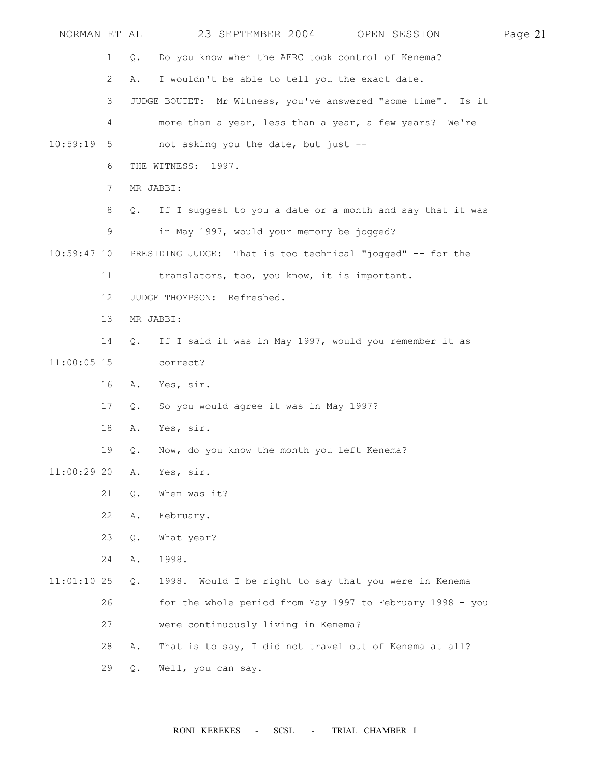| NORMAN ET AL  |                 |       | 23 SEPTEMBER 2004 OPEN SESSION                               | Page 21 |
|---------------|-----------------|-------|--------------------------------------------------------------|---------|
|               | $\mathbf{1}$    | Q.    | Do you know when the AFRC took control of Kenema?            |         |
|               | $\overline{2}$  | Α.    | I wouldn't be able to tell you the exact date.               |         |
|               | 3               |       | JUDGE BOUTET: Mr Witness, you've answered "some time". Is it |         |
|               | 4               |       | more than a year, less than a year, a few years? We're       |         |
| 10:59:19      | 5               |       | not asking you the date, but just --                         |         |
|               | 6               |       | THE WITNESS: 1997.                                           |         |
|               | 7               |       | MR JABBI:                                                    |         |
|               | 8               | Q.    | If I suggest to you a date or a month and say that it was    |         |
|               | 9               |       | in May 1997, would your memory be jogged?                    |         |
| $10:59:47$ 10 |                 |       | PRESIDING JUDGE: That is too technical "jogged" -- for the   |         |
|               | 11              |       | translators, too, you know, it is important.                 |         |
|               | 12 <sup>°</sup> |       | JUDGE THOMPSON: Refreshed.                                   |         |
|               | 13              |       | MR JABBI:                                                    |         |
|               | 14              | Q.    | If I said it was in May 1997, would you remember it as       |         |
| $11:00:05$ 15 |                 |       | correct?                                                     |         |
|               | 16              | Α.    | Yes, sir.                                                    |         |
|               | 17              | Q.    | So you would agree it was in May 1997?                       |         |
|               | 18              | Α.    | Yes, sir.                                                    |         |
|               | 19              | Q.    | Now, do you know the month you left Kenema?                  |         |
| $11:00:29$ 20 |                 | Α.    | Yes, sir.                                                    |         |
|               | 21              | Q.    | When was it?                                                 |         |
|               | 22              | Α.    | February.                                                    |         |
|               | 23              | Q.    | What year?                                                   |         |
|               | 24              | Α.    | 1998.                                                        |         |
| $11:01:10$ 25 |                 | Q.    | 1998. Would I be right to say that you were in Kenema        |         |
|               | 26              |       | for the whole period from May 1997 to February 1998 - you    |         |
|               | 27              |       | were continuously living in Kenema?                          |         |
|               | 28              | Α.    | That is to say, I did not travel out of Kenema at all?       |         |
|               | 29              | $Q$ . | Well, you can say.                                           |         |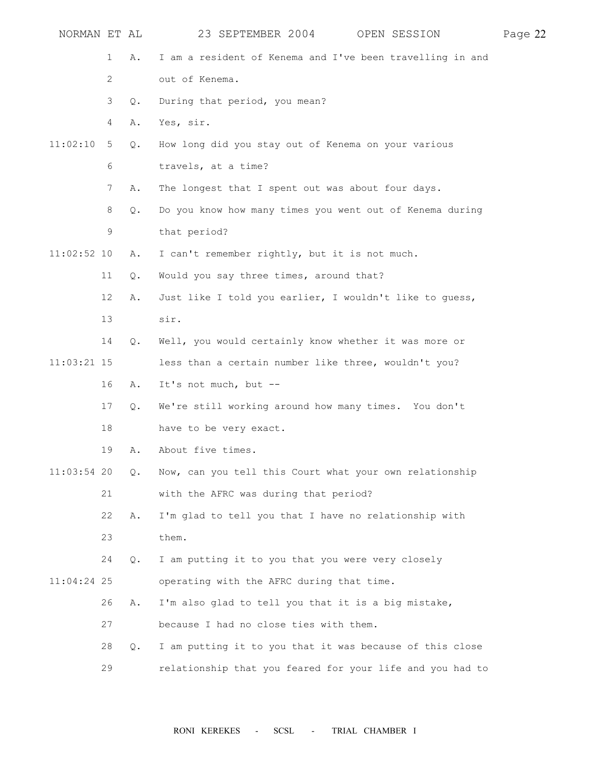| NORMAN ET AL  |    |       | 23 SEPTEMBER 2004 OPEN SESSION                            | Page 22 |
|---------------|----|-------|-----------------------------------------------------------|---------|
|               | 1  | Α.    | I am a resident of Kenema and I've been travelling in and |         |
|               | 2  |       | out of Kenema.                                            |         |
|               | 3  | Q.    | During that period, you mean?                             |         |
|               | 4  | Α.    | Yes, sir.                                                 |         |
| 11:02:10      | 5  | Q.    | How long did you stay out of Kenema on your various       |         |
|               | 6  |       | travels, at a time?                                       |         |
|               | 7  | Α.    | The longest that I spent out was about four days.         |         |
|               | 8  | $Q$ . | Do you know how many times you went out of Kenema during  |         |
|               | 9  |       | that period?                                              |         |
| $11:02:52$ 10 |    | Α.    | I can't remember rightly, but it is not much.             |         |
|               | 11 | Q.    | Would you say three times, around that?                   |         |
|               | 12 | Α.    | Just like I told you earlier, I wouldn't like to guess,   |         |
|               | 13 |       | sir.                                                      |         |
|               | 14 | Q.    | Well, you would certainly know whether it was more or     |         |
| $11:03:21$ 15 |    |       | less than a certain number like three, wouldn't you?      |         |
|               | 16 | Α.    | It's not much, but --                                     |         |
|               | 17 | $Q$ . | We're still working around how many times. You don't      |         |
|               | 18 |       | have to be very exact.                                    |         |
|               | 19 | Α.    | About five times.                                         |         |
| $11:03:54$ 20 |    | $Q$ . | Now, can you tell this Court what your own relationship   |         |
|               | 21 |       | with the AFRC was during that period?                     |         |
|               | 22 | Α.    | I'm glad to tell you that I have no relationship with     |         |
|               | 23 |       | them.                                                     |         |
|               | 24 | Q.    | I am putting it to you that you were very closely         |         |
| $11:04:24$ 25 |    |       | operating with the AFRC during that time.                 |         |
|               | 26 | Α.    | I'm also glad to tell you that it is a big mistake,       |         |
|               | 27 |       | because I had no close ties with them.                    |         |
|               | 28 | Q.    | I am putting it to you that it was because of this close  |         |
|               | 29 |       | relationship that you feared for your life and you had to |         |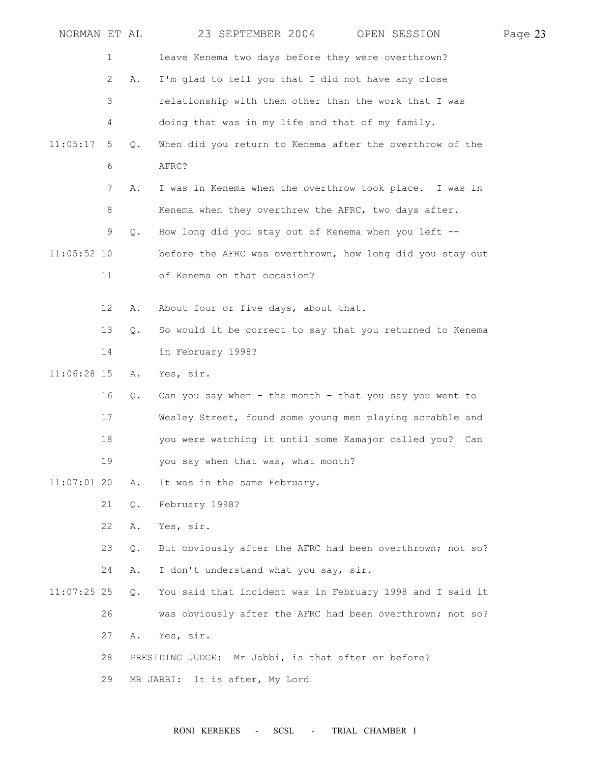| NORMAN ET AL  |                       |    | 23 SEPTEMBER 2004<br>OPEN SESSION                         | Page 23 |
|---------------|-----------------------|----|-----------------------------------------------------------|---------|
|               | 1                     |    | leave Kenema two days before they were overthrown?        |         |
|               | $\mathbf{2}^{\prime}$ | Α. | I'm glad to tell you that I did not have any close        |         |
|               | 3                     |    | relationship with them other than the work that I was     |         |
|               | 4                     |    | doing that was in my life and that of my family.          |         |
| 11:05:17      | 5                     | Q. | When did you return to Kenema after the overthrow of the  |         |
|               | 6                     |    | AFRC?                                                     |         |
|               | 7                     | Α. | I was in Kenema when the overthrow took place. I was in   |         |
|               | 8                     |    | Kenema when they overthrew the AFRC, two days after.      |         |
|               | 9                     | Q. | How long did you stay out of Kenema when you left --      |         |
| $11:05:52$ 10 |                       |    | before the AFRC was overthrown, how long did you stay out |         |
|               | 11                    |    | of Kenema on that occasion?                               |         |
|               |                       |    |                                                           |         |
|               | 12                    | Α. | About four or five days, about that.                      |         |
|               | 13                    | Q. | So would it be correct to say that you returned to Kenema |         |
|               | 14                    |    | in February 1998?                                         |         |
| 11:06:28 15   |                       | Α. | Yes, sir.                                                 |         |
|               | 16                    | Q. | Can you say when - the month - that you say you went to   |         |
|               | 17                    |    | Wesley Street, found some young men playing scrabble and  |         |
|               | 18                    |    | you were watching it until some Kamajor called you? Can   |         |
|               | 19                    |    | you say when that was, what month?                        |         |
| $11:07:01$ 20 |                       | Α. | It was in the same February.                              |         |
|               | 21                    | Q. | February 1998?                                            |         |
|               | 22                    | Α. | Yes, sir.                                                 |         |
|               | 23                    | Q. | But obviously after the AFRC had been overthrown; not so? |         |
|               | 24                    | Α. | I don't understand what you say, sir.                     |         |
| $11:07:25$ 25 |                       | Q. | You said that incident was in February 1998 and I said it |         |
|               | 26                    |    | was obviously after the AFRC had been overthrown; not so? |         |
|               | 27                    | Α. | Yes, sir.                                                 |         |
|               | 28                    |    | PRESIDING JUDGE: Mr Jabbi, is that after or before?       |         |
|               | 29                    |    | It is after, My Lord<br>MR JABBI:                         |         |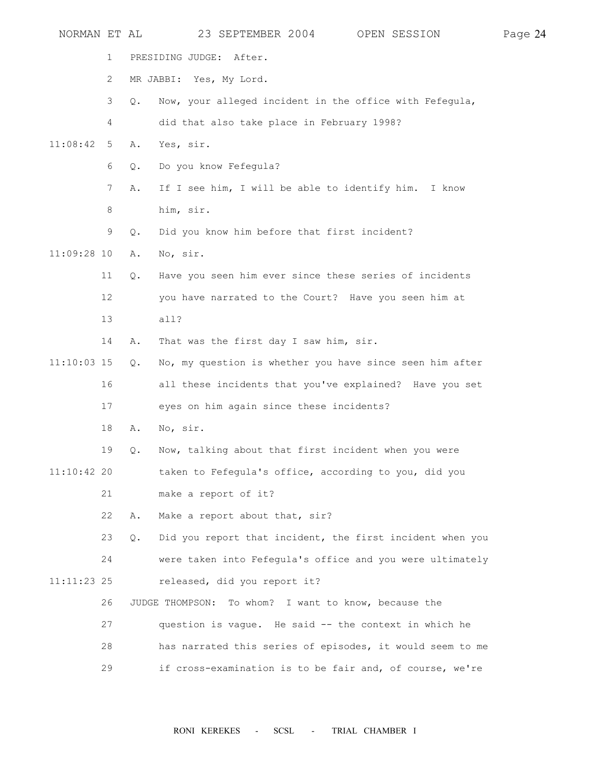| NORMAN ET AL  |                       |       | 23 SEPTEMBER 2004<br>OPEN SESSION                         | Page 24 |
|---------------|-----------------------|-------|-----------------------------------------------------------|---------|
|               | 1                     |       | PRESIDING JUDGE: After.                                   |         |
|               | $\mathbf{2}^{\prime}$ |       | MR JABBI: Yes, My Lord.                                   |         |
|               | 3                     | $Q$ . | Now, your alleged incident in the office with Fefegula,   |         |
|               | 4                     |       | did that also take place in February 1998?                |         |
| 11:08:42      | 5                     | Α.    | Yes, sir.                                                 |         |
|               | 6                     | Q.    | Do you know Fefegula?                                     |         |
|               | 7                     | Α.    | If I see him, I will be able to identify him. I know      |         |
|               | 8                     |       | him, sir.                                                 |         |
|               | 9                     | Q.    | Did you know him before that first incident?              |         |
| $11:09:28$ 10 |                       | Α.    | No, sir.                                                  |         |
|               | 11                    | Q.    | Have you seen him ever since these series of incidents    |         |
|               | 12                    |       | you have narrated to the Court? Have you seen him at      |         |
|               | 13                    |       | all?                                                      |         |
|               | 14                    | Α.    | That was the first day I saw him, sir.                    |         |
| $11:10:03$ 15 |                       | Q.    | No, my question is whether you have since seen him after  |         |
|               | 16                    |       | all these incidents that you've explained? Have you set   |         |
|               | 17                    |       | eyes on him again since these incidents?                  |         |
|               | 18                    | Α.    | No, sir.                                                  |         |
|               | 19                    | Q.    | Now, talking about that first incident when you were      |         |
| $11:10:42$ 20 |                       |       | taken to Fefegula's office, according to you, did you     |         |
|               | 21                    |       | make a report of it?                                      |         |
|               | 22                    | Α.    | Make a report about that, sir?                            |         |
|               | 23                    | Q.    | Did you report that incident, the first incident when you |         |
|               | 24                    |       | were taken into Fefegula's office and you were ultimately |         |
| $11:11:23$ 25 |                       |       | released, did you report it?                              |         |
|               | 26                    |       | JUDGE THOMPSON: To whom? I want to know, because the      |         |
|               | 27                    |       | question is vague. He said -- the context in which he     |         |
|               | 28                    |       | has narrated this series of episodes, it would seem to me |         |
|               | 29                    |       | if cross-examination is to be fair and, of course, we're  |         |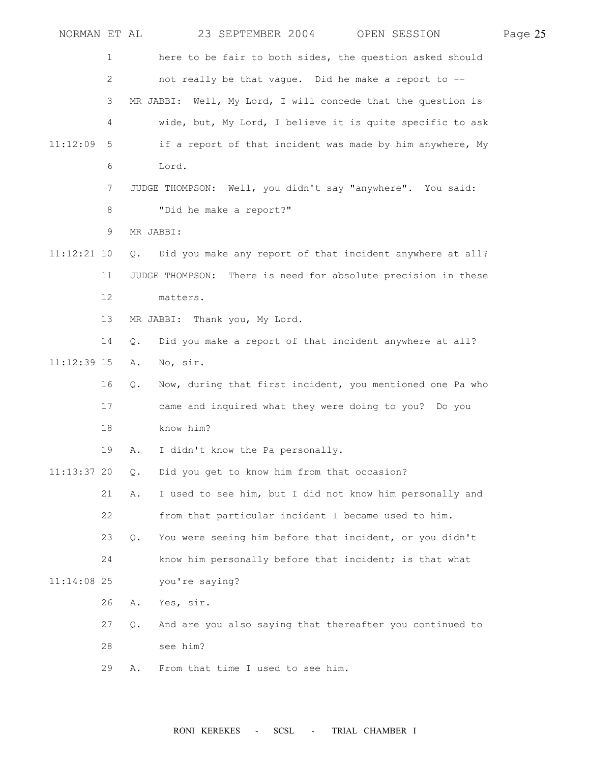| NORMAN ET AL  |    |               | 23 SEPTEMBER 2004 OPEN SESSION                                | Page 25 |
|---------------|----|---------------|---------------------------------------------------------------|---------|
|               | 1  |               | here to be fair to both sides, the question asked should      |         |
|               | 2  |               | not really be that vague. Did he make a report to --          |         |
|               | 3  |               | MR JABBI: Well, My Lord, I will concede that the question is  |         |
|               | 4  |               | wide, but, My Lord, I believe it is quite specific to ask     |         |
| 11:12:09      | 5  |               | if a report of that incident was made by him anywhere, My     |         |
|               | 6  |               | Lord.                                                         |         |
|               | 7  |               | JUDGE THOMPSON: Well, you didn't say "anywhere". You said:    |         |
|               | 8  |               | "Did he make a report?"                                       |         |
|               | 9  |               | MR JABBI:                                                     |         |
| $11:12:21$ 10 |    | $Q_{\bullet}$ | Did you make any report of that incident anywhere at all?     |         |
|               | 11 |               | JUDGE THOMPSON: There is need for absolute precision in these |         |
|               | 12 |               | matters.                                                      |         |
|               | 13 |               | MR JABBI: Thank you, My Lord.                                 |         |
|               | 14 | О.            | Did you make a report of that incident anywhere at all?       |         |
| $11:12:39$ 15 |    | Α.            | No, sir.                                                      |         |
|               | 16 | $Q$ .         | Now, during that first incident, you mentioned one Pa who     |         |
|               | 17 |               | came and inquired what they were doing to you? Do you         |         |
|               | 18 |               | know him?                                                     |         |
|               | 19 | Α.            | I didn't know the Pa personally.                              |         |
| $11:13:37$ 20 |    | $Q$ .         | Did you get to know him from that occasion?                   |         |
|               | 21 | Α.            | I used to see him, but I did not know him personally and      |         |
|               | 22 |               | from that particular incident I became used to him.           |         |
|               | 23 | Q.            | You were seeing him before that incident, or you didn't       |         |
|               | 24 |               | know him personally before that incident; is that what        |         |
| $11:14:08$ 25 |    |               | you're saying?                                                |         |
|               | 26 | Α.            | Yes, sir.                                                     |         |
|               | 27 | Q.            | And are you also saying that thereafter you continued to      |         |
|               | 28 |               | see him?                                                      |         |
|               | 29 | Α.            | From that time I used to see him.                             |         |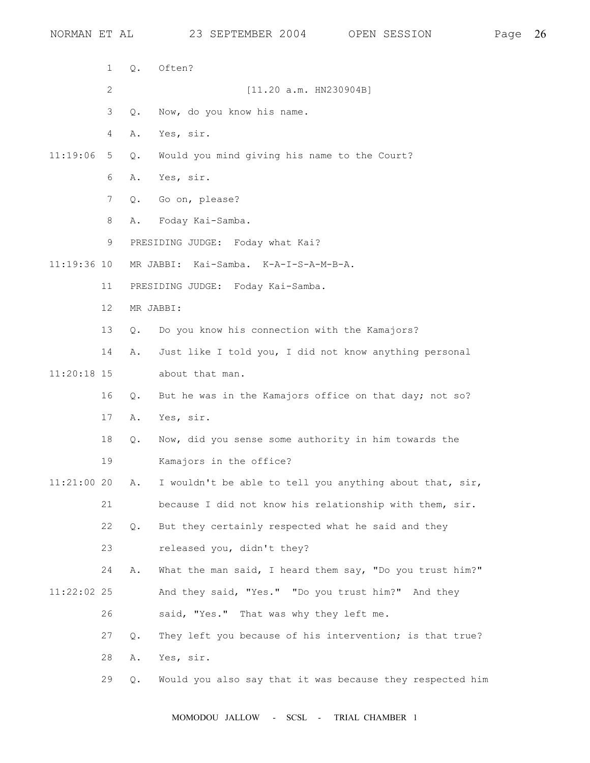1 Q. Often? 2 [11.20 a.m. HN230904B] 3 Q. Now, do you know his name. 4 A. Yes, sir. 11:19:06 5 Q. Would you mind giving his name to the Court? 6 A. Yes, sir. 7 Q. Go on, please? 8 A. Foday Kai-Samba. 9 PRESIDING JUDGE: Foday what Kai? 11:19:36 10 MR JABBI: Kai-Samba. K-A-I-S-A-M-B-A. 11 PRESIDING JUDGE: Foday Kai-Samba. 12 MR JABBI: 13 Q. Do you know his connection with the Kamajors? 14 A. Just like I told you, I did not know anything personal 11:20:18 15 about that man. 16 Q. But he was in the Kamajors office on that day; not so? 17 A. Yes, sir. 18 Q. Now, did you sense some authority in him towards the 19 Kamajors in the office? 11:21:00 20 A. I wouldn't be able to tell you anything about that, sir, 21 because I did not know his relationship with them, sir. 22 Q. But they certainly respected what he said and they 23 released you, didn't they? 24 A. What the man said, I heard them say, "Do you trust him?" 11:22:02 25 And they said, "Yes." "Do you trust him?" And they 26 said, "Yes." That was why they left me. 27 Q. They left you because of his intervention; is that true? 28 A. Yes, sir. 29 Q. Would you also say that it was because they respected him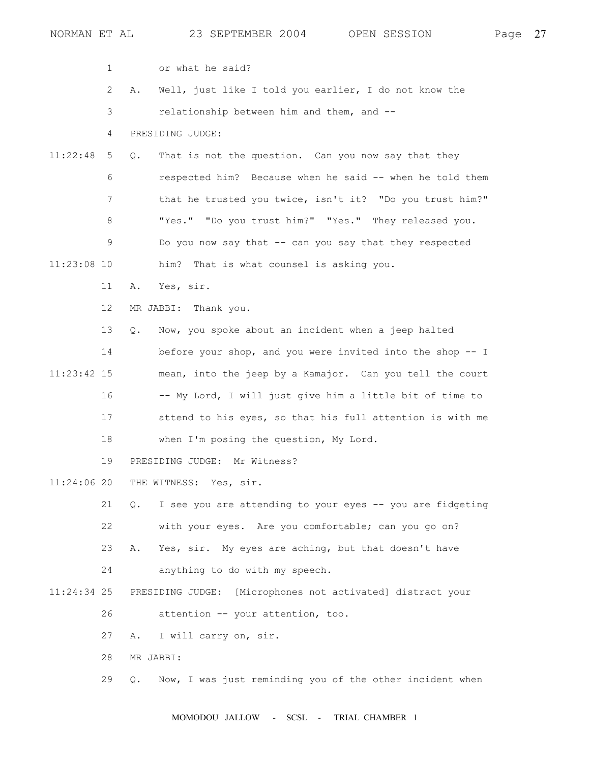| NORMAN ET AL  |                           |               | 23 SEPTEMBER 2004<br>OPEN SESSION                          | Page | 27 |
|---------------|---------------------------|---------------|------------------------------------------------------------|------|----|
|               | $\mathbf{1}$              |               | or what he said?                                           |      |    |
|               | $\mathbf{2}^{\mathsf{I}}$ | Α.            | Well, just like I told you earlier, I do not know the      |      |    |
|               | 3                         |               | relationship between him and them, and --                  |      |    |
|               | 4                         |               | PRESIDING JUDGE:                                           |      |    |
| 11:22:48      | 5                         | $Q_{\bullet}$ | That is not the question. Can you now say that they        |      |    |
|               | 6                         |               | respected him? Because when he said -- when he told them   |      |    |
|               | 7                         |               | that he trusted you twice, isn't it? "Do you trust him?"   |      |    |
|               | 8                         |               | "Yes." "Do you trust him?" "Yes." They released you.       |      |    |
|               | 9                         |               | Do you now say that -- can you say that they respected     |      |    |
| $11:23:08$ 10 |                           |               | him? That is what counsel is asking you.                   |      |    |
|               | 11                        | Α.            | Yes, sir.                                                  |      |    |
|               | 12                        |               | MR JABBI: Thank you.                                       |      |    |
|               | 13                        | Q.            | Now, you spoke about an incident when a jeep halted        |      |    |
|               | 14                        |               | before your shop, and you were invited into the shop -- I  |      |    |
| $11:23:42$ 15 |                           |               | mean, into the jeep by a Kamajor. Can you tell the court   |      |    |
|               | 16                        |               | -- My Lord, I will just give him a little bit of time to   |      |    |
|               | 17                        |               | attend to his eyes, so that his full attention is with me  |      |    |
|               | 18                        |               | when I'm posing the question, My Lord.                     |      |    |
|               | 19                        |               | PRESIDING JUDGE: Mr Witness?                               |      |    |
| $11:24:06$ 20 |                           |               | THE WITNESS: Yes, sir.                                     |      |    |
|               | 21                        | $\circ$ .     | I see you are attending to your eyes -- you are fidgeting  |      |    |
|               | 22                        |               | with your eyes. Are you comfortable; can you go on?        |      |    |
|               | 23                        | Α.            | Yes, sir. My eyes are aching, but that doesn't have        |      |    |
|               | 24                        |               | anything to do with my speech.                             |      |    |
| $11:24:34$ 25 |                           |               | PRESIDING JUDGE: [Microphones not activated] distract your |      |    |
|               | 26                        |               | attention -- your attention, too.                          |      |    |
|               | 27                        | Α.            | I will carry on, sir.                                      |      |    |
|               | 28                        |               | MR JABBI:                                                  |      |    |
|               | 29                        | $\circ$ .     | Now, I was just reminding you of the other incident when   |      |    |
|               |                           |               |                                                            |      |    |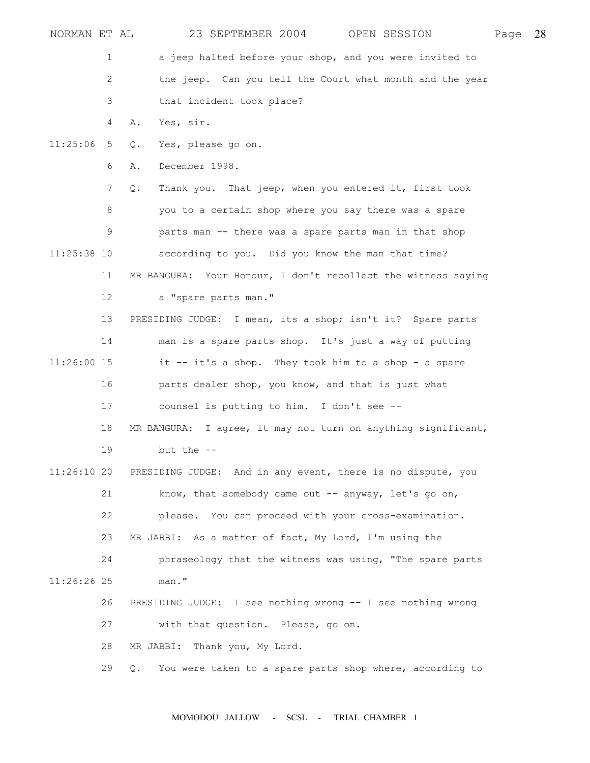| NORMAN ET AL  |      |           | 23 SEPTEMBER 2004 OPEN SESSION                                | Page | 28 |
|---------------|------|-----------|---------------------------------------------------------------|------|----|
|               | 1    |           | a jeep halted before your shop, and you were invited to       |      |    |
|               | 2    |           | the jeep. Can you tell the Court what month and the year      |      |    |
|               | 3    |           | that incident took place?                                     |      |    |
|               | 4    | Α.        | Yes, sir.                                                     |      |    |
| 11:25:06      | $-5$ | Q.        | Yes, please go on.                                            |      |    |
|               | 6    | Α.        | December 1998.                                                |      |    |
|               | 7    | Q.        | Thank you. That jeep, when you entered it, first took         |      |    |
|               | 8    |           | you to a certain shop where you say there was a spare         |      |    |
|               | 9    |           | parts man -- there was a spare parts man in that shop         |      |    |
| $11:25:38$ 10 |      |           | according to you. Did you know the man that time?             |      |    |
|               | 11   |           | MR BANGURA: Your Honour, I don't recollect the witness saying |      |    |
|               | 12   |           | a "spare parts man."                                          |      |    |
|               | 13   |           | PRESIDING JUDGE: I mean, its a shop; isn't it? Spare parts    |      |    |
|               | 14   |           | man is a spare parts shop. It's just a way of putting         |      |    |
| 11:26:00 15   |      |           | it -- it's a shop. They took him to a shop - a spare          |      |    |
|               | 16   |           | parts dealer shop, you know, and that is just what            |      |    |
|               | 17   |           | counsel is putting to him. I don't see --                     |      |    |
|               | 18   |           | MR BANGURA: I agree, it may not turn on anything significant, |      |    |
|               | 19   |           | but the $-$ -                                                 |      |    |
| 11:26:1020    |      |           | PRESIDING JUDGE: And in any event, there is no dispute, you   |      |    |
|               | 21   |           | know, that somebody came out -- anyway, let's go on,          |      |    |
|               | 22   |           | please. You can proceed with your cross-examination.          |      |    |
|               | 23   |           | MR JABBI: As a matter of fact, My Lord, I'm using the         |      |    |
|               | 24   |           | phraseology that the witness was using, "The spare parts      |      |    |
| 11:26:26 25   |      |           | man."                                                         |      |    |
|               | 26   |           | PRESIDING JUDGE: I see nothing wrong -- I see nothing wrong   |      |    |
|               | 27   |           | with that question. Please, go on.                            |      |    |
|               | 28   |           | MR JABBI: Thank you, My Lord.                                 |      |    |
|               | 29   | $\circ$ . | You were taken to a spare parts shop where, according to      |      |    |
|               |      |           |                                                               |      |    |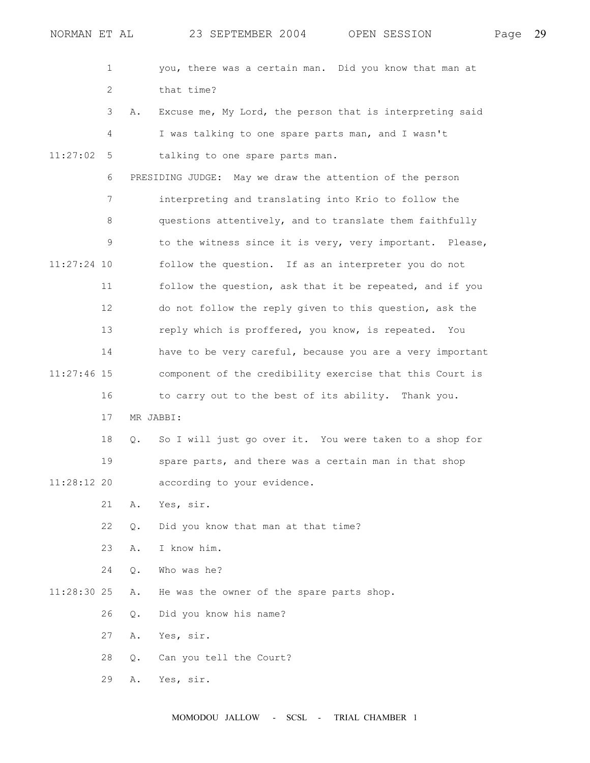|               | 1  |       | you, there was a certain man. Did you know that man at    |
|---------------|----|-------|-----------------------------------------------------------|
|               | 2  |       | that time?                                                |
|               | 3  | Α.    | Excuse me, My Lord, the person that is interpreting said  |
|               | 4  |       | I was talking to one spare parts man, and I wasn't        |
| 11:27:02      | 5  |       | talking to one spare parts man.                           |
|               | 6  |       | PRESIDING JUDGE: May we draw the attention of the person  |
|               | 7  |       | interpreting and translating into Krio to follow the      |
|               | 8  |       | questions attentively, and to translate them faithfully   |
|               | 9  |       | to the witness since it is very, very important. Please,  |
| 11:27:24 10   |    |       | follow the question. If as an interpreter you do not      |
|               | 11 |       | follow the question, ask that it be repeated, and if you  |
|               | 12 |       | do not follow the reply given to this question, ask the   |
|               | 13 |       | reply which is proffered, you know, is repeated. You      |
|               | 14 |       | have to be very careful, because you are a very important |
| $11:27:46$ 15 |    |       | component of the credibility exercise that this Court is  |
|               | 16 |       | to carry out to the best of its ability. Thank you.       |
|               | 17 |       | MR JABBI:                                                 |
|               | 18 | Q.    | So I will just go over it. You were taken to a shop for   |
|               | 19 |       | spare parts, and there was a certain man in that shop     |
| 11:28:12 20   |    |       | according to your evidence.                               |
|               | 21 | Α.    | Yes, sir.                                                 |
|               | 22 | Q.    | Did you know that man at that time?                       |
|               | 23 | Α.    | I know him.                                               |
|               | 24 | Q.    | Who was he?                                               |
| 11:28:30 25   |    | Α.    | He was the owner of the spare parts shop.                 |
|               | 26 | $Q$ . | Did you know his name?                                    |
|               | 27 | Α.    | Yes, sir.                                                 |
|               | 28 | Q.    | Can you tell the Court?                                   |
|               | 29 | Α.    | Yes, sir.                                                 |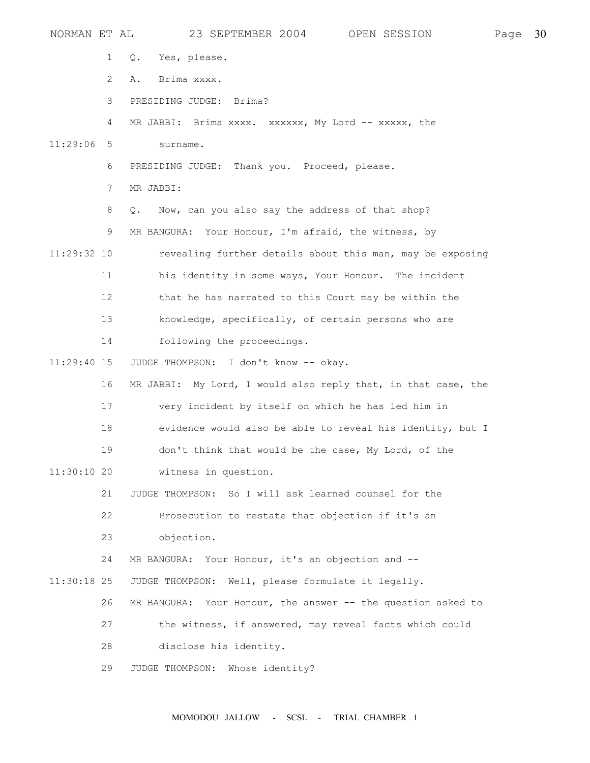| NORMAN ET AL  |    |             | 23 SEPTEMBER 2004                            | OPEN SESSION                                                  | Page | 30 |
|---------------|----|-------------|----------------------------------------------|---------------------------------------------------------------|------|----|
|               | 1  | Q.          | Yes, please.                                 |                                                               |      |    |
|               | 2  | Α.          | Brima xxxx.                                  |                                                               |      |    |
|               | 3  |             | PRESIDING JUDGE: Brima?                      |                                                               |      |    |
|               | 4  |             |                                              | MR JABBI: Brima xxxx. xxxxxx, My Lord -- xxxxx, the           |      |    |
| $11:29:06$ 5  |    | surname.    |                                              |                                                               |      |    |
|               | 6  |             | PRESIDING JUDGE: Thank you. Proceed, please. |                                                               |      |    |
|               | 7  | MR JABBI:   |                                              |                                                               |      |    |
|               | 8  | Q.          |                                              | Now, can you also say the address of that shop?               |      |    |
|               | 9  |             |                                              | MR BANGURA: Your Honour, I'm afraid, the witness, by          |      |    |
| 11:29:32 10   |    |             |                                              | revealing further details about this man, may be exposing     |      |    |
|               | 11 |             |                                              | his identity in some ways, Your Honour. The incident          |      |    |
|               | 12 |             |                                              | that he has narrated to this Court may be within the          |      |    |
|               | 13 |             |                                              | knowledge, specifically, of certain persons who are           |      |    |
|               | 14 |             | following the proceedings.                   |                                                               |      |    |
| $11:29:40$ 15 |    |             | JUDGE THOMPSON: I don't know -- okay.        |                                                               |      |    |
|               | 16 |             |                                              | MR JABBI: My Lord, I would also reply that, in that case, the |      |    |
|               | 17 |             |                                              | very incident by itself on which he has led him in            |      |    |
|               | 18 |             |                                              | evidence would also be able to reveal his identity, but I     |      |    |
|               | 19 |             |                                              | don't think that would be the case, My Lord, of the           |      |    |
| $11:30:10$ 20 |    |             | witness in question.                         |                                                               |      |    |
|               | 21 |             |                                              | JUDGE THOMPSON: So I will ask learned counsel for the         |      |    |
|               | 22 |             |                                              | Prosecution to restate that objection if it's an              |      |    |
|               | 23 |             | objection.                                   |                                                               |      |    |
|               | 24 |             |                                              | MR BANGURA: Your Honour, it's an objection and --             |      |    |
| $11:30:18$ 25 |    |             |                                              | JUDGE THOMPSON: Well, please formulate it legally.            |      |    |
|               | 26 | MR BANGURA: |                                              | Your Honour, the answer -- the question asked to              |      |    |
|               | 27 |             |                                              | the witness, if answered, may reveal facts which could        |      |    |
|               | 28 |             | disclose his identity.                       |                                                               |      |    |
|               | 29 |             | JUDGE THOMPSON: Whose identity?              |                                                               |      |    |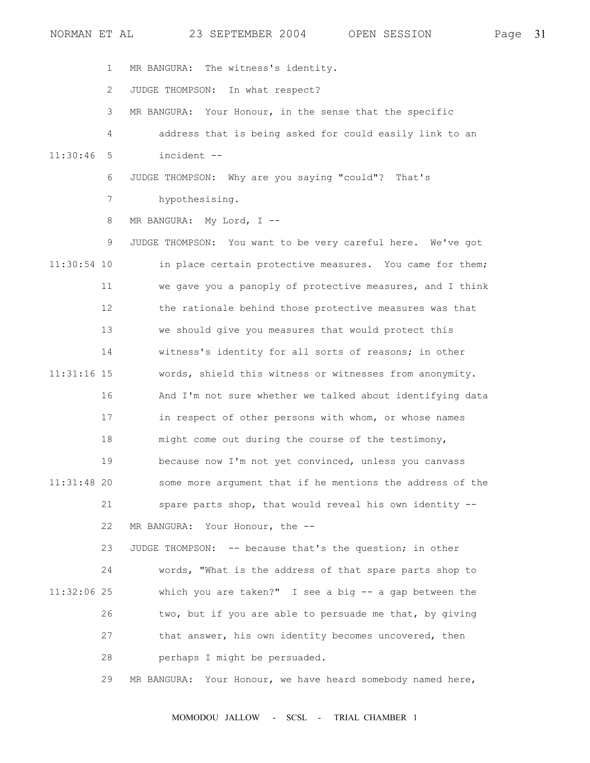1 MR BANGURA: The witness's identity.

2 JUDGE THOMPSON: In what respect?

3 MR BANGURA: Your Honour, in the sense that the specific

4 address that is being asked for could easily link to an

11:30:46 5 incident --

6 JUDGE THOMPSON: Why are you saying "could"? That's

7 hypothesising.

8 MR BANGURA: My Lord, I --

 9 JUDGE THOMPSON: You want to be very careful here. We've got 11:30:54 10 in place certain protective measures. You came for them; 11 we gave you a panoply of protective measures, and I think 12 the rationale behind those protective measures was that 13 we should give you measures that would protect this 14 witness's identity for all sorts of reasons; in other 11:31:16 15 words, shield this witness or witnesses from anonymity. 16 And I'm not sure whether we talked about identifying data 17 in respect of other persons with whom, or whose names 18 might come out during the course of the testimony, 19 because now I'm not yet convinced, unless you canvass 11:31:48 20 some more argument that if he mentions the address of the 21 spare parts shop, that would reveal his own identity -- 22 MR BANGURA: Your Honour, the --

 23 JUDGE THOMPSON: -- because that's the question; in other 24 words, "What is the address of that spare parts shop to 11:32:06 25 which you are taken?" I see a big -- a gap between the 26 two, but if you are able to persuade me that, by giving 27 that answer, his own identity becomes uncovered, then 28 perhaps I might be persuaded.

29 MR BANGURA: Your Honour, we have heard somebody named here,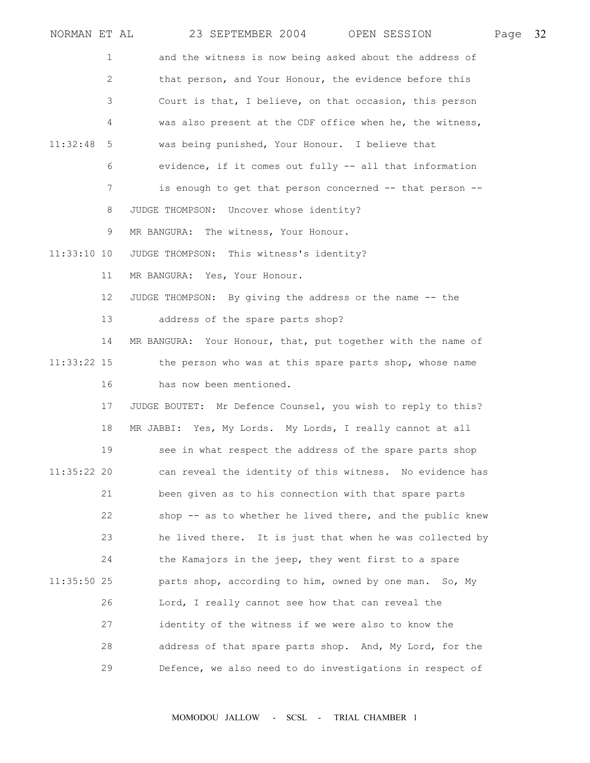| NORMAN ET AL  |                       | 23 SEPTEMBER 2004<br>OPEN SESSION                            | Page | 32 |
|---------------|-----------------------|--------------------------------------------------------------|------|----|
|               | 1                     | and the witness is now being asked about the address of      |      |    |
|               | $\mathbf{2}^{\prime}$ | that person, and Your Honour, the evidence before this       |      |    |
|               | 3                     | Court is that, I believe, on that occasion, this person      |      |    |
|               | 4                     | was also present at the CDF office when he, the witness,     |      |    |
| 11:32:48      | 5                     | was being punished, Your Honour. I believe that              |      |    |
|               | 6                     | evidence, if it comes out fully -- all that information      |      |    |
|               | 7                     | is enough to get that person concerned -- that person --     |      |    |
|               | 8                     | JUDGE THOMPSON: Uncover whose identity?                      |      |    |
|               | 9                     | MR BANGURA: The witness, Your Honour.                        |      |    |
| $11:33:10$ 10 |                       | JUDGE THOMPSON: This witness's identity?                     |      |    |
|               | 11                    | MR BANGURA: Yes, Your Honour.                                |      |    |
|               | 12 <sup>°</sup>       | JUDGE THOMPSON: By giving the address or the name -- the     |      |    |
|               | 13                    | address of the spare parts shop?                             |      |    |
|               | 14                    | MR BANGURA: Your Honour, that, put together with the name of |      |    |
| $11:33:22$ 15 |                       | the person who was at this spare parts shop, whose name      |      |    |
|               | 16                    | has now been mentioned.                                      |      |    |
|               | 17                    | JUDGE BOUTET: Mr Defence Counsel, you wish to reply to this? |      |    |
|               | 18                    | MR JABBI: Yes, My Lords. My Lords, I really cannot at all    |      |    |
|               | 19                    | see in what respect the address of the spare parts shop      |      |    |
| $11:35:22$ 20 |                       | can reveal the identity of this witness. No evidence has     |      |    |
|               | 21                    | been given as to his connection with that spare parts        |      |    |
|               | 22                    | shop -- as to whether he lived there, and the public knew    |      |    |
|               | 23                    | he lived there. It is just that when he was collected by     |      |    |
|               | 24                    | the Kamajors in the jeep, they went first to a spare         |      |    |
| $11:35:50$ 25 |                       | parts shop, according to him, owned by one man. So, My       |      |    |
|               | 26                    | Lord, I really cannot see how that can reveal the            |      |    |
|               | 27                    | identity of the witness if we were also to know the          |      |    |
|               | 28                    | address of that spare parts shop. And, My Lord, for the      |      |    |
|               | 29                    | Defence, we also need to do investigations in respect of     |      |    |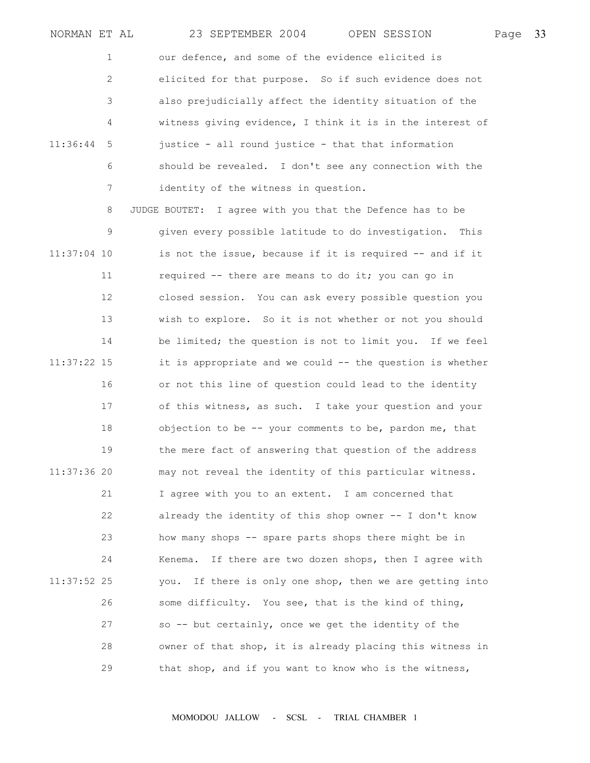NORMAN ET AL 23 SEPTEMBER 2004 OPEN SESSION Page 33 1 our defence, and some of the evidence elicited is 2 elicited for that purpose. So if such evidence does not 3 also prejudicially affect the identity situation of the 4 witness giving evidence, I think it is in the interest of 11:36:44 5 justice - all round justice - that that information 6 should be revealed. I don't see any connection with the 7 identity of the witness in question. 8 JUDGE BOUTET: I agree with you that the Defence has to be 9 given every possible latitude to do investigation. This 11:37:04 10 is not the issue, because if it is required -- and if it 11 required -- there are means to do it; you can go in 12 closed session. You can ask every possible question you 13 wish to explore. So it is not whether or not you should 14 be limited; the question is not to limit you. If we feel 11:37:22 15 it is appropriate and we could -- the question is whether 16 or not this line of question could lead to the identity 17 of this witness, as such. I take your question and your 18 objection to be -- your comments to be, pardon me, that 19 the mere fact of answering that question of the address 11:37:36 20 may not reveal the identity of this particular witness. 21 I agree with you to an extent. I am concerned that 22 already the identity of this shop owner -- I don't know 23 how many shops -- spare parts shops there might be in 24 Kenema. If there are two dozen shops, then I agree with 11:37:52 25 you. If there is only one shop, then we are getting into 26 some difficulty. You see, that is the kind of thing, 27 so -- but certainly, once we get the identity of the 28 owner of that shop, it is already placing this witness in 29 that shop, and if you want to know who is the witness,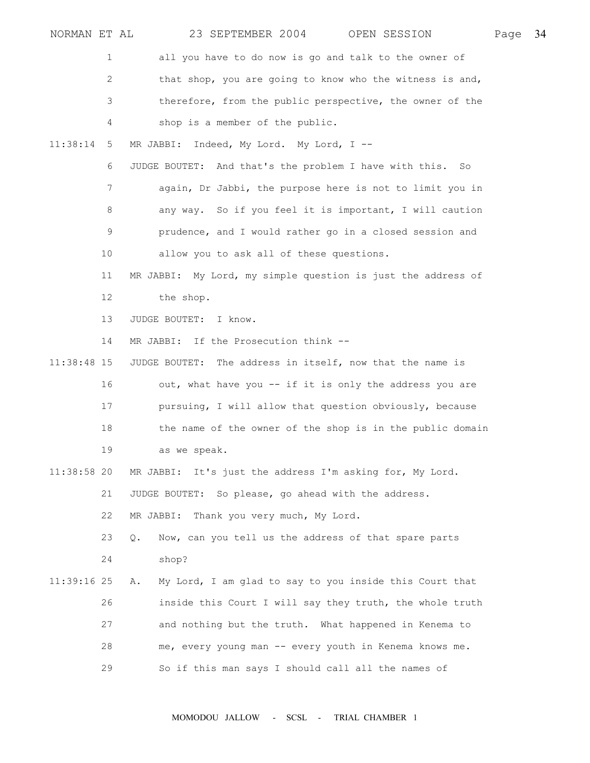| NORMAN ET AL  |    | 23 SEPTEMBER 2004<br>OPEN SESSION                             | Page | 34 |
|---------------|----|---------------------------------------------------------------|------|----|
|               | 1  | all you have to do now is go and talk to the owner of         |      |    |
|               | 2  | that shop, you are going to know who the witness is and,      |      |    |
|               | 3  | therefore, from the public perspective, the owner of the      |      |    |
|               | 4  | shop is a member of the public.                               |      |    |
| 11:38:14      | 5  | Indeed, My Lord. My Lord, I --<br>MR JABBI:                   |      |    |
|               | 6  | JUDGE BOUTET: And that's the problem I have with this. So     |      |    |
|               | 7  | again, Dr Jabbi, the purpose here is not to limit you in      |      |    |
|               | 8  | any way. So if you feel it is important, I will caution       |      |    |
|               | 9  | prudence, and I would rather go in a closed session and       |      |    |
|               | 10 | allow you to ask all of these questions.                      |      |    |
|               | 11 | MR JABBI: My Lord, my simple question is just the address of  |      |    |
|               | 12 | the shop.                                                     |      |    |
|               | 13 | JUDGE BOUTET: I know.                                         |      |    |
|               | 14 | MR JABBI: If the Prosecution think --                         |      |    |
| $11:38:48$ 15 |    | The address in itself, now that the name is<br>JUDGE BOUTET:  |      |    |
|               | 16 | out, what have you -- if it is only the address you are       |      |    |
|               | 17 | pursuing, I will allow that question obviously, because       |      |    |
|               | 18 | the name of the owner of the shop is in the public domain     |      |    |
|               | 19 | as we speak.                                                  |      |    |
| $11:38:58$ 20 |    | MR JABBI: It's just the address I'm asking for, My Lord.      |      |    |
|               | 21 | JUDGE BOUTET: So please, go ahead with the address.           |      |    |
|               | 22 | MR JABBI: Thank you very much, My Lord.                       |      |    |
|               | 23 | Now, can you tell us the address of that spare parts<br>Q.    |      |    |
|               | 24 | shop?                                                         |      |    |
| 11:39:16 25   |    | My Lord, I am glad to say to you inside this Court that<br>Α. |      |    |
|               | 26 | inside this Court I will say they truth, the whole truth      |      |    |
|               | 27 | and nothing but the truth. What happened in Kenema to         |      |    |
|               | 28 | me, every young man -- every youth in Kenema knows me.        |      |    |
|               | 29 | So if this man says I should call all the names of            |      |    |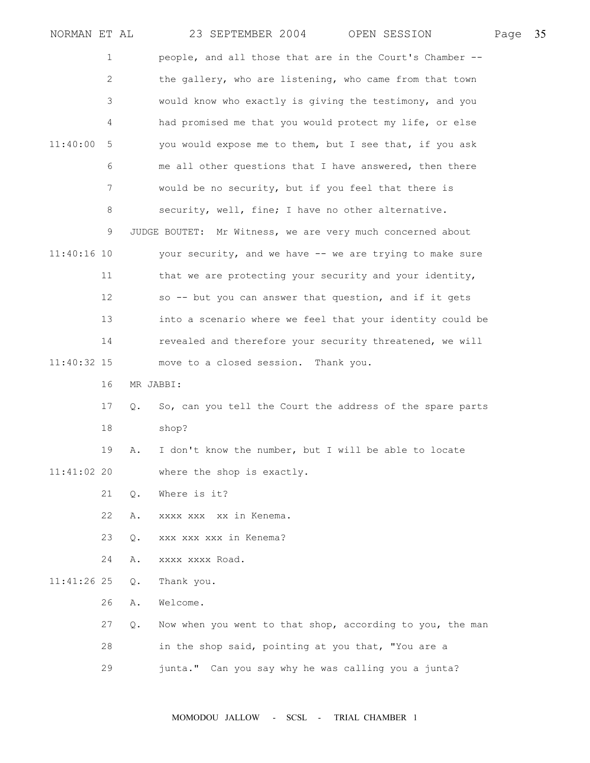| NORMAN ET AL  |    |               | 23 SEPTEMBER 2004<br>OPEN SESSION                          | Page | 35 |
|---------------|----|---------------|------------------------------------------------------------|------|----|
|               | 1  |               | people, and all those that are in the Court's Chamber --   |      |    |
|               | 2  |               | the gallery, who are listening, who came from that town    |      |    |
|               | 3  |               | would know who exactly is giving the testimony, and you    |      |    |
|               | 4  |               | had promised me that you would protect my life, or else    |      |    |
| 11:40:00      | 5  |               | you would expose me to them, but I see that, if you ask    |      |    |
|               | 6  |               | me all other questions that I have answered, then there    |      |    |
|               | 7  |               | would be no security, but if you feel that there is        |      |    |
|               | 8  |               | security, well, fine; I have no other alternative.         |      |    |
|               | 9  |               | JUDGE BOUTET: Mr Witness, we are very much concerned about |      |    |
| $11:40:16$ 10 |    |               | your security, and we have -- we are trying to make sure   |      |    |
|               | 11 |               | that we are protecting your security and your identity,    |      |    |
|               | 12 |               | so -- but you can answer that question, and if it gets     |      |    |
|               | 13 |               | into a scenario where we feel that your identity could be  |      |    |
|               | 14 |               | revealed and therefore your security threatened, we will   |      |    |
| 11:40:32 15   |    |               | move to a closed session.<br>Thank you.                    |      |    |
|               | 16 |               | MR JABBI:                                                  |      |    |
|               | 17 | $\circ$ .     | So, can you tell the Court the address of the spare parts  |      |    |
|               | 18 |               | shop?                                                      |      |    |
|               | 19 | Α.            | I don't know the number, but I will be able to locate      |      |    |
| $11:41:02$ 20 |    |               | where the shop is exactly.                                 |      |    |
|               | 21 | $Q$ .         | Where is it?                                               |      |    |
|               | 22 | Α.            | xxxx xxx xx in Kenema.                                     |      |    |
|               | 23 | Q.            | xxx xxx xxx in Kenema?                                     |      |    |
|               | 24 | Α.            | XXXX XXXX Road.                                            |      |    |
| $11:41:26$ 25 |    | $Q_{\bullet}$ | Thank you.                                                 |      |    |
|               | 26 | Α.            | Welcome.                                                   |      |    |
|               | 27 | Q.            | Now when you went to that shop, according to you, the man  |      |    |
|               | 28 |               | in the shop said, pointing at you that, "You are a         |      |    |
|               | 29 |               | junta." Can you say why he was calling you a junta?        |      |    |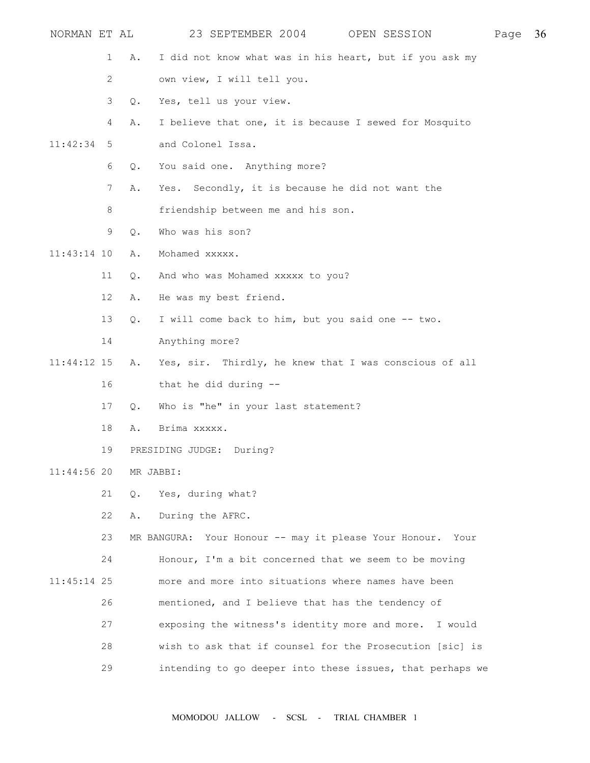| NORMAN ET AL  |    |           | 23 SEPTEMBER 2004 OPEN SESSION                             | Page | 36 |
|---------------|----|-----------|------------------------------------------------------------|------|----|
|               | 1  | Α.        | I did not know what was in his heart, but if you ask my    |      |    |
|               | 2  |           | own view, I will tell you.                                 |      |    |
|               | 3  | Q.        | Yes, tell us your view.                                    |      |    |
|               | 4  | Α.        | I believe that one, it is because I sewed for Mosquito     |      |    |
| 11:42:34      | 5  |           | and Colonel Issa.                                          |      |    |
|               | 6  | $Q$ .     | You said one. Anything more?                               |      |    |
|               | 7  | Α.        | Yes. Secondly, it is because he did not want the           |      |    |
|               | 8  |           | friendship between me and his son.                         |      |    |
|               | 9  | Q.        | Who was his son?                                           |      |    |
| $11:43:14$ 10 |    | Α.        | Mohamed xxxxx.                                             |      |    |
|               | 11 | Q.        | And who was Mohamed xxxxx to you?                          |      |    |
|               | 12 | Α.        | He was my best friend.                                     |      |    |
|               | 13 | Q.        | I will come back to him, but you said one -- two.          |      |    |
|               | 14 |           | Anything more?                                             |      |    |
| $11:44:12$ 15 |    | Α.        | Yes, sir. Thirdly, he knew that I was conscious of all     |      |    |
|               | 16 |           | that he did during --                                      |      |    |
|               | 17 | Q.        | Who is "he" in your last statement?                        |      |    |
|               | 18 | Α.        | Brima xxxxx.                                               |      |    |
|               | 19 |           | PRESIDING JUDGE: During?                                   |      |    |
| $11:44:56$ 20 |    | MR JABBI: |                                                            |      |    |
|               | 21 | $Q$ .     | Yes, during what?                                          |      |    |
|               | 22 | Α.        | During the AFRC.                                           |      |    |
|               | 23 |           | MR BANGURA: Your Honour -- may it please Your Honour. Your |      |    |
|               | 24 |           | Honour, I'm a bit concerned that we seem to be moving      |      |    |
| $11:45:14$ 25 |    |           | more and more into situations where names have been        |      |    |
|               | 26 |           | mentioned, and I believe that has the tendency of          |      |    |
|               | 27 |           | exposing the witness's identity more and more. I would     |      |    |
|               | 28 |           | wish to ask that if counsel for the Prosecution [sic] is   |      |    |
|               | 29 |           | intending to go deeper into these issues, that perhaps we  |      |    |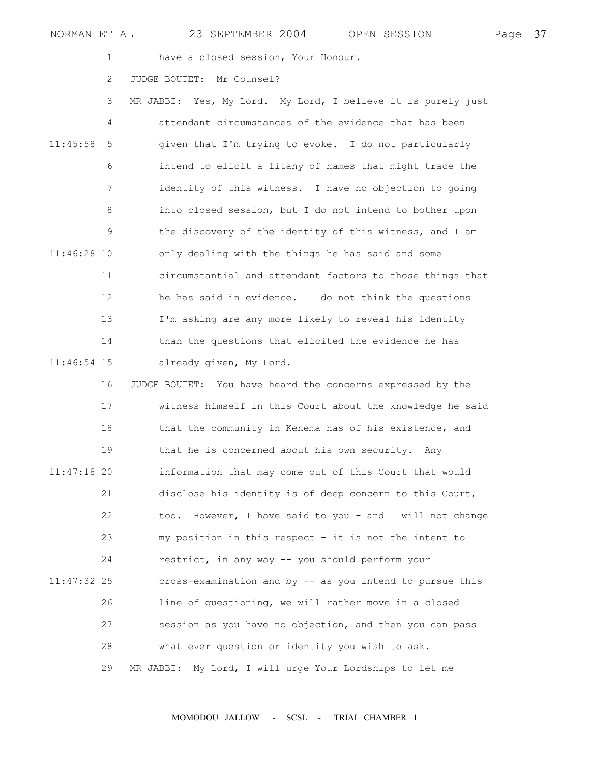|  | NORMAN ET AL |  |  |  | 23 SEPTEMBER 2004 |  |  | OPEN SESSION | Page 37 |  |
|--|--------------|--|--|--|-------------------|--|--|--------------|---------|--|
|--|--------------|--|--|--|-------------------|--|--|--------------|---------|--|

1 have a closed session, Your Honour.

2 JUDGE BOUTET: Mr Counsel?

 3 MR JABBI: Yes, My Lord. My Lord, I believe it is purely just 4 attendant circumstances of the evidence that has been 11:45:58 5 given that I'm trying to evoke. I do not particularly 6 intend to elicit a litany of names that might trace the 7 identity of this witness. I have no objection to going 8 into closed session, but I do not intend to bother upon 9 the discovery of the identity of this witness, and I am 11:46:28 10 only dealing with the things he has said and some 11 circumstantial and attendant factors to those things that 12 he has said in evidence. I do not think the questions 13 I'm asking are any more likely to reveal his identity 14 than the questions that elicited the evidence he has 11:46:54 15 already given, My Lord.

 16 JUDGE BOUTET: You have heard the concerns expressed by the 17 witness himself in this Court about the knowledge he said 18 that the community in Kenema has of his existence, and 19 that he is concerned about his own security. Any 11:47:18 20 information that may come out of this Court that would 21 disclose his identity is of deep concern to this Court, 22 too. However, I have said to you - and I will not change 23 my position in this respect - it is not the intent to 24 restrict, in any way -- you should perform your 11:47:32 25 cross-examination and by -- as you intend to pursue this 26 line of questioning, we will rather move in a closed 27 session as you have no objection, and then you can pass 28 what ever question or identity you wish to ask. 29 MR JABBI: My Lord, I will urge Your Lordships to let me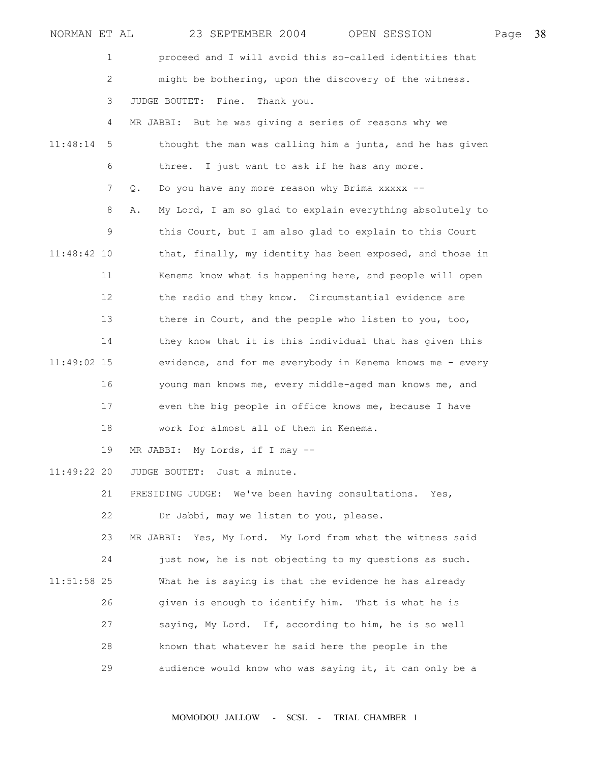| NORMAN ET AL  |             |    |                     | 23 SEPTEMBER 2004               |                                         | OPEN SESSION                                               | Page | 38 |
|---------------|-------------|----|---------------------|---------------------------------|-----------------------------------------|------------------------------------------------------------|------|----|
|               | $\mathbf 1$ |    |                     |                                 |                                         | proceed and I will avoid this so-called identities that    |      |    |
|               | 2           |    |                     |                                 |                                         | might be bothering, upon the discovery of the witness.     |      |    |
|               | 3           |    | JUDGE BOUTET: Fine. |                                 | Thank you.                              |                                                            |      |    |
|               | 4           |    |                     |                                 |                                         | MR JABBI: But he was giving a series of reasons why we     |      |    |
| 11:48:14      | 5           |    |                     |                                 |                                         | thought the man was calling him a junta, and he has given  |      |    |
|               | 6           |    |                     |                                 |                                         | three. I just want to ask if he has any more.              |      |    |
|               | 7           | Q. |                     |                                 |                                         | Do you have any more reason why Brima xxxxx --             |      |    |
|               | 8           | Α. |                     |                                 |                                         | My Lord, I am so glad to explain everything absolutely to  |      |    |
|               | 9           |    |                     |                                 |                                         | this Court, but I am also glad to explain to this Court    |      |    |
| $11:48:42$ 10 |             |    |                     |                                 |                                         | that, finally, my identity has been exposed, and those in  |      |    |
|               | 11          |    |                     |                                 |                                         | Kenema know what is happening here, and people will open   |      |    |
|               | 12          |    |                     |                                 |                                         | the radio and they know. Circumstantial evidence are       |      |    |
|               | 13          |    |                     |                                 |                                         | there in Court, and the people who listen to you, too,     |      |    |
|               | 14          |    |                     |                                 |                                         | they know that it is this individual that has given this   |      |    |
| 11:49:02 15   |             |    |                     |                                 |                                         | evidence, and for me everybody in Kenema knows me - every  |      |    |
|               | 16          |    |                     |                                 |                                         | young man knows me, every middle-aged man knows me, and    |      |    |
|               | 17          |    |                     |                                 |                                         | even the big people in office knows me, because I have     |      |    |
|               | 18          |    |                     |                                 | work for almost all of them in Kenema.  |                                                            |      |    |
|               | 19          |    |                     | MR JABBI: My Lords, if I may -- |                                         |                                                            |      |    |
| $11:49:22$ 20 |             |    |                     | JUDGE BOUTET: Just a minute.    |                                         |                                                            |      |    |
|               | 21          |    |                     |                                 |                                         | PRESIDING JUDGE: We've been having consultations. Yes,     |      |    |
|               | 22          |    |                     |                                 | Dr Jabbi, may we listen to you, please. |                                                            |      |    |
|               | 23          |    |                     |                                 |                                         | MR JABBI: Yes, My Lord. My Lord from what the witness said |      |    |
|               | 24          |    |                     |                                 |                                         | just now, he is not objecting to my questions as such.     |      |    |
| $11:51:58$ 25 |             |    |                     |                                 |                                         | What he is saying is that the evidence he has already      |      |    |
|               | 26          |    |                     |                                 |                                         | given is enough to identify him. That is what he is        |      |    |
|               | 27          |    |                     |                                 |                                         | saying, My Lord. If, according to him, he is so well       |      |    |
|               | 28          |    |                     |                                 |                                         | known that whatever he said here the people in the         |      |    |
|               | 29          |    |                     |                                 |                                         | audience would know who was saying it, it can only be a    |      |    |
|               |             |    |                     |                                 |                                         |                                                            |      |    |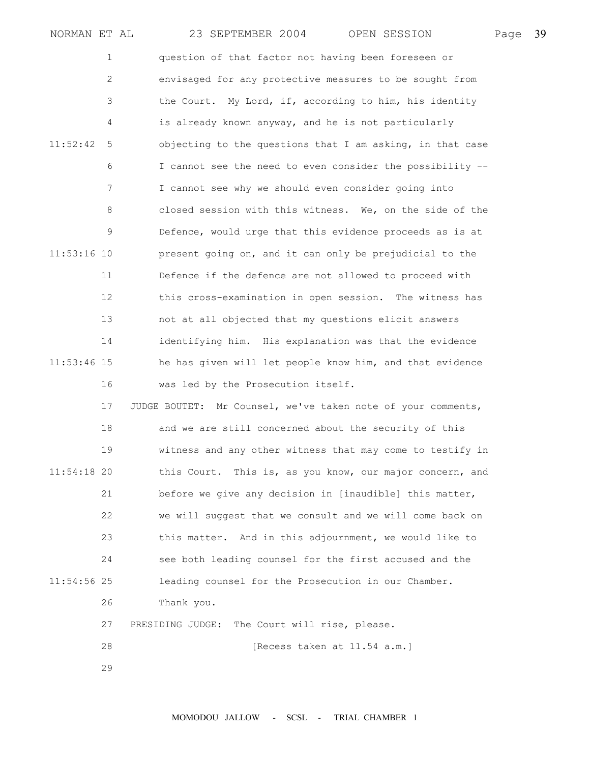| NORMAN ET AL  |    | 23 SEPTEMBER 2004<br>OPEN SESSION                            | Page | 39 |
|---------------|----|--------------------------------------------------------------|------|----|
|               | 1  | question of that factor not having been foreseen or          |      |    |
|               | 2  | envisaged for any protective measures to be sought from      |      |    |
|               | 3  | the Court. My Lord, if, according to him, his identity       |      |    |
|               | 4  | is already known anyway, and he is not particularly          |      |    |
| 11:52:42      | 5  | objecting to the questions that I am asking, in that case    |      |    |
|               | 6  | I cannot see the need to even consider the possibility --    |      |    |
|               | 7  | I cannot see why we should even consider going into          |      |    |
|               | 8  | closed session with this witness. We, on the side of the     |      |    |
|               | 9  | Defence, would urge that this evidence proceeds as is at     |      |    |
| $11:53:16$ 10 |    | present going on, and it can only be prejudicial to the      |      |    |
|               | 11 | Defence if the defence are not allowed to proceed with       |      |    |
|               | 12 | this cross-examination in open session. The witness has      |      |    |
|               | 13 | not at all objected that my questions elicit answers         |      |    |
|               | 14 | identifying him. His explanation was that the evidence       |      |    |
| 11:53:46 15   |    | he has given will let people know him, and that evidence     |      |    |
|               | 16 | was led by the Prosecution itself.                           |      |    |
|               | 17 | JUDGE BOUTET: Mr Counsel, we've taken note of your comments, |      |    |
|               | 18 | and we are still concerned about the security of this        |      |    |
|               | 19 | witness and any other witness that may come to testify in    |      |    |
| $11:54:18$ 20 |    | this Court. This is, as you know, our major concern, and     |      |    |
|               | 21 | before we give any decision in [inaudible] this matter,      |      |    |
|               | 22 | we will suggest that we consult and we will come back on     |      |    |
|               | 23 | this matter. And in this adjournment, we would like to       |      |    |
|               | 24 | see both leading counsel for the first accused and the       |      |    |
| 11:54:56 25   |    | leading counsel for the Prosecution in our Chamber.          |      |    |
|               | 26 | Thank you.                                                   |      |    |
|               | 27 | PRESIDING JUDGE: The Court will rise, please.                |      |    |
|               | 28 | [Recess taken at 11.54 a.m.]                                 |      |    |
|               | 29 |                                                              |      |    |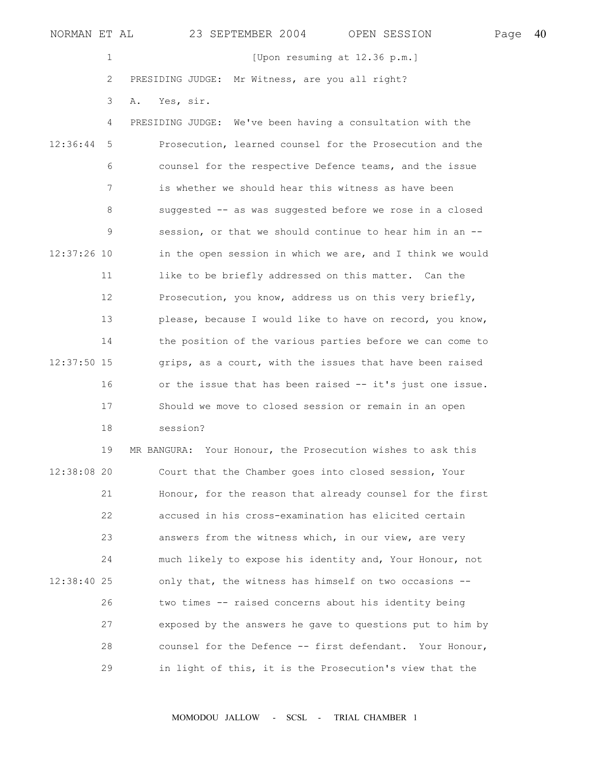1 [Upon resuming at 12.36 p.m.] 2 PRESIDING JUDGE: Mr Witness, are you all right?

3 A. Yes, sir.

 4 PRESIDING JUDGE: We've been having a consultation with the 12:36:44 5 Prosecution, learned counsel for the Prosecution and the 6 counsel for the respective Defence teams, and the issue 7 is whether we should hear this witness as have been 8 suggested -- as was suggested before we rose in a closed 9 session, or that we should continue to hear him in an -- 12:37:26 10 in the open session in which we are, and I think we would 11 like to be briefly addressed on this matter. Can the 12 Prosecution, you know, address us on this very briefly, 13 please, because I would like to have on record, you know, 14 the position of the various parties before we can come to 12:37:50 15 grips, as a court, with the issues that have been raised 16 or the issue that has been raised -- it's just one issue. 17 Should we move to closed session or remain in an open 18 session?

 19 MR BANGURA: Your Honour, the Prosecution wishes to ask this 12:38:08 20 Court that the Chamber goes into closed session, Your 21 Honour, for the reason that already counsel for the first 22 accused in his cross-examination has elicited certain 23 answers from the witness which, in our view, are very 24 much likely to expose his identity and, Your Honour, not 12:38:40 25 only that, the witness has himself on two occasions -- 26 two times -- raised concerns about his identity being 27 exposed by the answers he gave to questions put to him by 28 counsel for the Defence -- first defendant. Your Honour, 29 in light of this, it is the Prosecution's view that the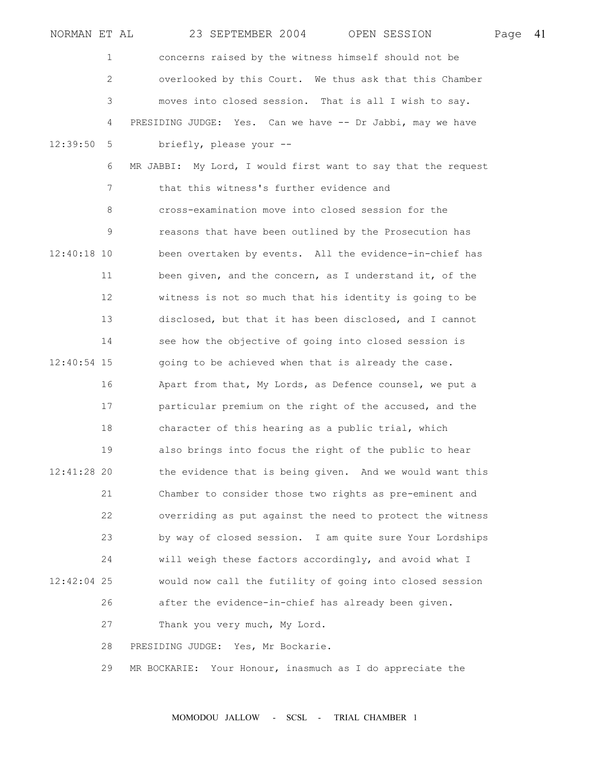| NORMAN ET AL  |    | 23 SEPTEMBER 2004<br>OPEN SESSION                             | Page | - 41 |
|---------------|----|---------------------------------------------------------------|------|------|
|               | 1  | concerns raised by the witness himself should not be          |      |      |
|               | 2  | overlooked by this Court. We thus ask that this Chamber       |      |      |
|               | 3  | moves into closed session. That is all I wish to say.         |      |      |
|               | 4  | PRESIDING JUDGE: Yes. Can we have -- Dr Jabbi, may we have    |      |      |
| 12:39:50      | 5  | briefly, please your --                                       |      |      |
|               | 6  | MR JABBI: My Lord, I would first want to say that the request |      |      |
|               | 7  | that this witness's further evidence and                      |      |      |
|               | 8  | cross-examination move into closed session for the            |      |      |
|               | 9  | reasons that have been outlined by the Prosecution has        |      |      |
| $12:40:18$ 10 |    | been overtaken by events. All the evidence-in-chief has       |      |      |
|               | 11 | been given, and the concern, as I understand it, of the       |      |      |
|               | 12 | witness is not so much that his identity is going to be       |      |      |
|               | 13 | disclosed, but that it has been disclosed, and I cannot       |      |      |
|               | 14 | see how the objective of going into closed session is         |      |      |
| 12:40:54 15   |    | going to be achieved when that is already the case.           |      |      |
|               | 16 | Apart from that, My Lords, as Defence counsel, we put a       |      |      |
|               | 17 | particular premium on the right of the accused, and the       |      |      |
|               | 18 | character of this hearing as a public trial, which            |      |      |
|               | 19 | also brings into focus the right of the public to hear        |      |      |
| $12:41:28$ 20 |    | the evidence that is being given. And we would want this      |      |      |
|               | 21 | Chamber to consider those two rights as pre-eminent and       |      |      |
|               | 22 | overriding as put against the need to protect the witness     |      |      |
|               | 23 | by way of closed session. I am quite sure Your Lordships      |      |      |
|               | 24 | will weigh these factors accordingly, and avoid what I        |      |      |
| 12:42:04 25   |    | would now call the futility of going into closed session      |      |      |
|               | 26 | after the evidence-in-chief has already been given.           |      |      |
|               | 27 | Thank you very much, My Lord.                                 |      |      |
|               | 28 | PRESIDING JUDGE: Yes, Mr Bockarie.                            |      |      |
|               | 29 | Your Honour, inasmuch as I do appreciate the<br>MR BOCKARIE:  |      |      |
|               |    |                                                               |      |      |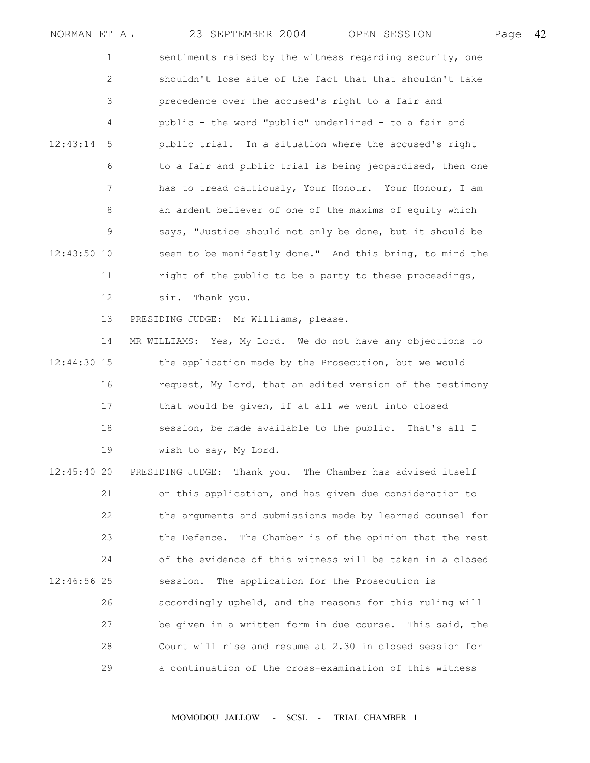| NORMAN ET AL  |                |              | 23 SEPTEMBER 2004                     | OPEN SESSION                                                | Page | 42 |
|---------------|----------------|--------------|---------------------------------------|-------------------------------------------------------------|------|----|
|               | 1              |              |                                       | sentiments raised by the witness regarding security, one    |      |    |
|               | $\mathbf{2}$   |              |                                       | shouldn't lose site of the fact that that shouldn't take    |      |    |
|               | 3              |              |                                       | precedence over the accused's right to a fair and           |      |    |
|               | 4              |              |                                       | public - the word "public" underlined - to a fair and       |      |    |
| 12:43:14      | 5              |              |                                       | public trial. In a situation where the accused's right      |      |    |
|               | 6              |              |                                       | to a fair and public trial is being jeopardised, then one   |      |    |
|               | $7\phantom{.}$ |              |                                       | has to tread cautiously, Your Honour. Your Honour, I am     |      |    |
|               | 8              |              |                                       | an ardent believer of one of the maxims of equity which     |      |    |
|               | 9              |              |                                       | says, "Justice should not only be done, but it should be    |      |    |
| 12:43:50 10   |                |              |                                       | seen to be manifestly done." And this bring, to mind the    |      |    |
|               | 11             |              |                                       | right of the public to be a party to these proceedings,     |      |    |
|               | 12             | sir.         | Thank you.                            |                                                             |      |    |
|               | 13             |              | PRESIDING JUDGE: Mr Williams, please. |                                                             |      |    |
|               | 14             |              |                                       | MR WILLIAMS: Yes, My Lord. We do not have any objections to |      |    |
| $12:44:30$ 15 |                |              |                                       | the application made by the Prosecution, but we would       |      |    |
|               | 16             |              |                                       | request, My Lord, that an edited version of the testimony   |      |    |
|               | 17             |              |                                       | that would be given, if at all we went into closed          |      |    |
|               | 18             |              |                                       | session, be made available to the public. That's all I      |      |    |
|               | 19             |              | wish to say, My Lord.                 |                                                             |      |    |
| $12:45:40$ 20 |                |              |                                       | PRESIDING JUDGE: Thank you. The Chamber has advised itself  |      |    |
|               | 21             |              |                                       | on this application, and has given due consideration to     |      |    |
|               | 22             |              |                                       | the arguments and submissions made by learned counsel for   |      |    |
|               | 23             | the Defence. |                                       | The Chamber is of the opinion that the rest                 |      |    |
|               | 24             |              |                                       | of the evidence of this witness will be taken in a closed   |      |    |
| 12:46:56 25   |                | session.     |                                       | The application for the Prosecution is                      |      |    |
|               | 26             |              |                                       | accordingly upheld, and the reasons for this ruling will    |      |    |
|               | 27             |              |                                       | be given in a written form in due course. This said, the    |      |    |
|               | 28             |              |                                       | Court will rise and resume at 2.30 in closed session for    |      |    |
|               | 29             |              |                                       | a continuation of the cross-examination of this witness     |      |    |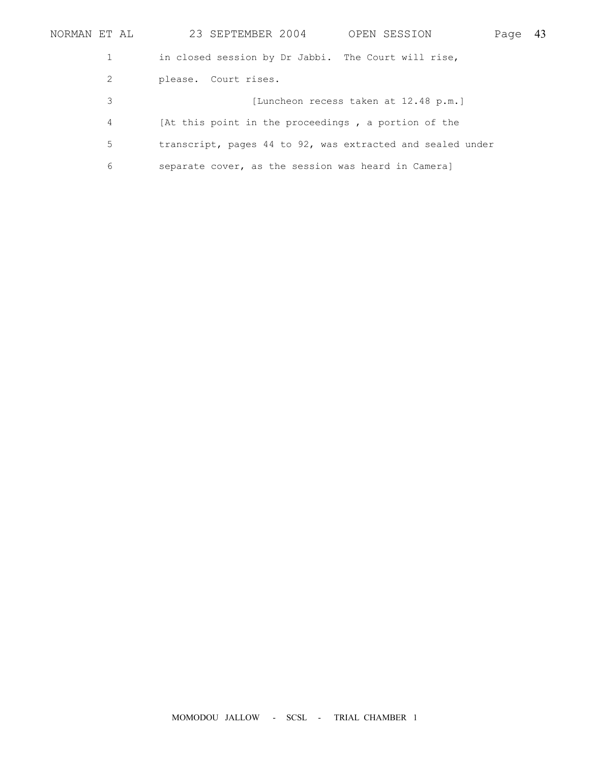| NORMAN ET AL | 23 SEPTEMBER 2004<br>OPEN SESSION                          | Page | 43 |
|--------------|------------------------------------------------------------|------|----|
|              | in closed session by Dr Jabbi. The Court will rise,        |      |    |
| 2            | please. Court rises.                                       |      |    |
| 3            | [Luncheon recess taken at 12.48 p.m.]                      |      |    |
| 4            | [At this point in the proceedings, a portion of the        |      |    |
| 5            | transcript, pages 44 to 92, was extracted and sealed under |      |    |
| 6            | separate cover, as the session was heard in Cameral        |      |    |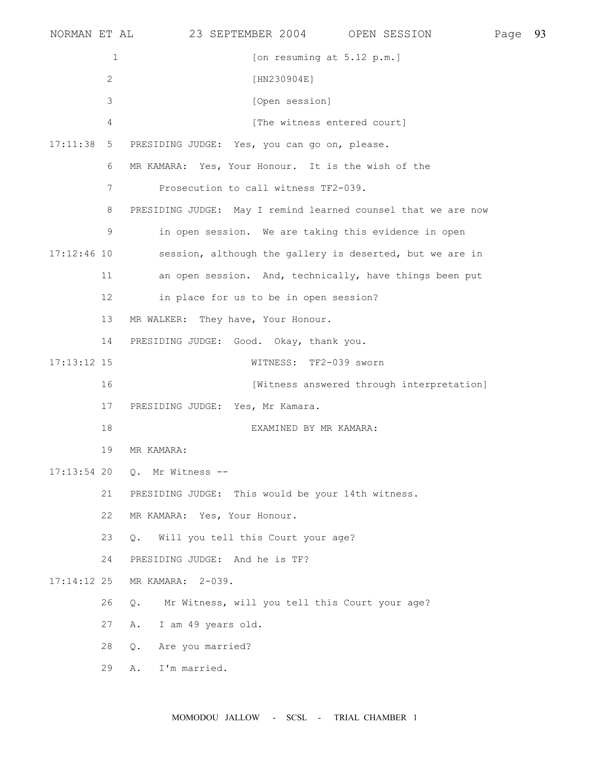|                | 23 SEPTEMBER 2004<br>OPEN SESSION                                            |              | 93   |
|----------------|------------------------------------------------------------------------------|--------------|------|
| $\mathbf{1}$   | [on resuming at $5.12$ p.m.]                                                 |              |      |
| $\overline{c}$ | [HN230904E]                                                                  |              |      |
| 3              | [Open session]                                                               |              |      |
| 4              | [The witness entered court]                                                  |              |      |
| 5              | PRESIDING JUDGE: Yes, you can go on, please.                                 |              |      |
| 6              | MR KAMARA: Yes, Your Honour. It is the wish of the                           |              |      |
| 7              | Prosecution to call witness TF2-039.                                         |              |      |
| 8              | PRESIDING JUDGE: May I remind learned counsel that we are now                |              |      |
| 9              | in open session. We are taking this evidence in open                         |              |      |
|                | session, although the gallery is deserted, but we are in                     |              |      |
| 11             | an open session. And, technically, have things been put                      |              |      |
| 12             | in place for us to be in open session?                                       |              |      |
| 13             | MR WALKER: They have, Your Honour.                                           |              |      |
| 14             | PRESIDING JUDGE: Good. Okay, thank you.                                      |              |      |
|                | WITNESS: TF2-039 sworn                                                       |              |      |
| 16             | [Witness answered through interpretation]                                    |              |      |
| 17             | PRESIDING JUDGE: Yes, Mr Kamara.                                             |              |      |
| 18             | EXAMINED BY MR KAMARA:                                                       |              |      |
| 19             | MR KAMARA:                                                                   |              |      |
|                | Q. Mr Witness --                                                             |              |      |
| 21             | PRESIDING JUDGE: This would be your 14th witness.                            |              |      |
| 22             | MR KAMARA: Yes, Your Honour.                                                 |              |      |
| 23             | Will you tell this Court your age?<br>$\circ$ .                              |              |      |
| 24             | PRESIDING JUDGE: And he is TF?                                               |              |      |
|                | MR KAMARA: 2-039.                                                            |              |      |
| 26             | Mr Witness, will you tell this Court your age?<br>Q.                         |              |      |
| 27             | I am 49 years old.<br>Α.                                                     |              |      |
| 28             | Are you married?<br>$Q_{\bullet}$                                            |              |      |
| 29             | I'm married.<br>Α.                                                           |              |      |
|                | 17:11:38<br>$17:12:46$ 10<br>$17:13:12$ 15<br>$17:13:54$ 20<br>$17:14:12$ 25 | NORMAN ET AL | Page |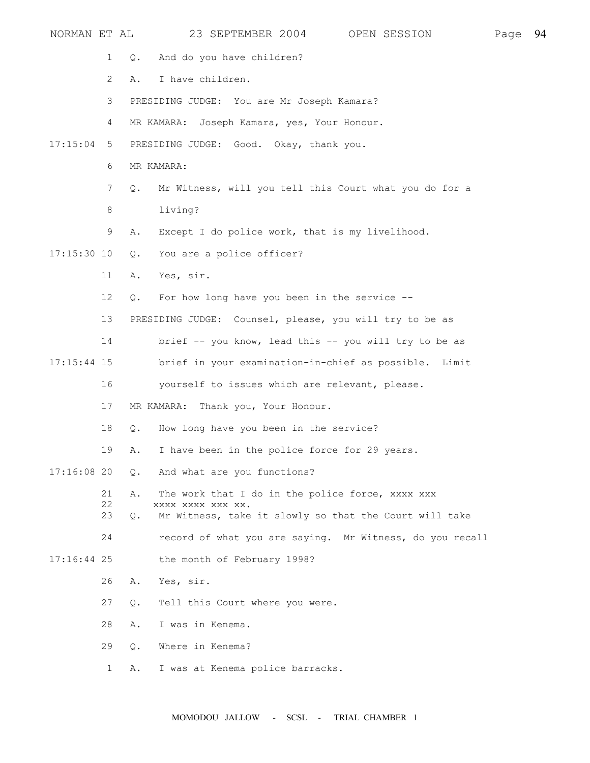| NORMAN ET AL  |                 | 23 SEPTEMBER 2004<br>OPEN SESSION                                           | Page | 94 |
|---------------|-----------------|-----------------------------------------------------------------------------|------|----|
|               | 1               | And do you have children?<br>Q.                                             |      |    |
|               | $\mathbf{2}$    | I have children.<br>Α.                                                      |      |    |
|               | 3               | PRESIDING JUDGE: You are Mr Joseph Kamara?                                  |      |    |
|               | 4               | MR KAMARA: Joseph Kamara, yes, Your Honour.                                 |      |    |
| 17:15:04      | 5               | PRESIDING JUDGE: Good. Okay, thank you.                                     |      |    |
|               | 6               | MR KAMARA:                                                                  |      |    |
|               | $7\phantom{.0}$ | Mr Witness, will you tell this Court what you do for a<br>$Q_{\bullet}$     |      |    |
|               | 8               | living?                                                                     |      |    |
|               | 9               | Except I do police work, that is my livelihood.<br>Α.                       |      |    |
| $17:15:30$ 10 |                 | You are a police officer?<br>$Q_{\bullet}$                                  |      |    |
|               | 11              | Yes, sir.<br>Α.                                                             |      |    |
|               | 12              | For how long have you been in the service $-$ -<br>Q.                       |      |    |
|               | 13              | PRESIDING JUDGE: Counsel, please, you will try to be as                     |      |    |
|               | 14              | brief -- you know, lead this -- you will try to be as                       |      |    |
| $17:15:44$ 15 |                 | brief in your examination-in-chief as possible. Limit                       |      |    |
|               | 16              | yourself to issues which are relevant, please.                              |      |    |
|               | 17              | Thank you, Your Honour.<br>MR KAMARA:                                       |      |    |
|               | 18              | How long have you been in the service?<br>$Q$ .                             |      |    |
|               | 19              | I have been in the police force for 29 years.<br>Α.                         |      |    |
| $17:16:08$ 20 |                 | And what are you functions?<br>$Q_{\bullet}$                                |      |    |
|               | 21<br>22        | Α.<br>The work that I do in the police force, xxxx xxx<br>XXXX XXXX XXX XX. |      |    |
|               | 23              | Mr Witness, take it slowly so that the Court will take<br>Q.                |      |    |
|               | 24              | record of what you are saying. Mr Witness, do you recall                    |      |    |
| $17:16:44$ 25 |                 | the month of February 1998?                                                 |      |    |
|               | 26              | Yes, sir.<br>Α.                                                             |      |    |
|               | 27              | Tell this Court where you were.<br>Q.                                       |      |    |
|               | 28              | I was in Kenema.<br>Α.                                                      |      |    |
|               | 29              | Where in Kenema?<br>Q.                                                      |      |    |
|               | 1               | I was at Kenema police barracks.<br>Α.                                      |      |    |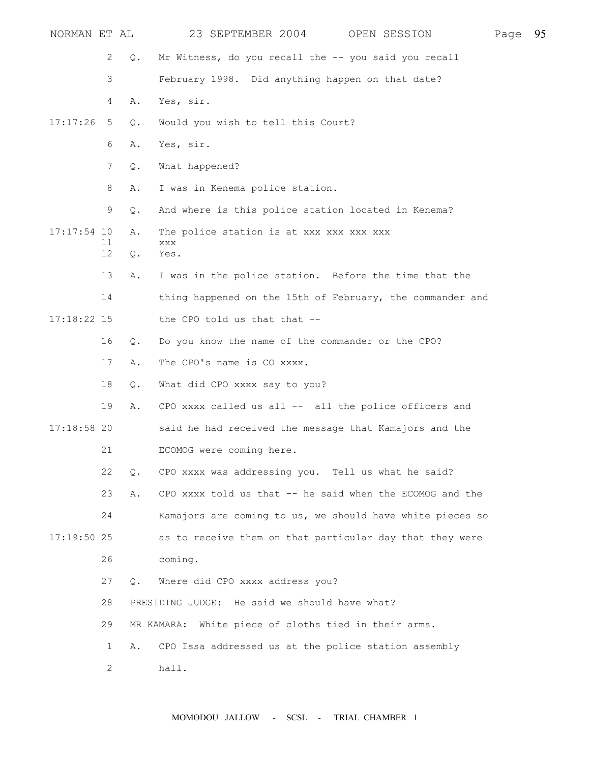| NORMAN ET AL  |                |           | 23 SEPTEMBER 2004<br>OPEN SESSION                         | Page | 95 |
|---------------|----------------|-----------|-----------------------------------------------------------|------|----|
|               | 2              | Q.        | Mr Witness, do you recall the -- you said you recall      |      |    |
|               | 3              |           | February 1998. Did anything happen on that date?          |      |    |
|               | 4              | Α.        | Yes, sir.                                                 |      |    |
| 17:17:26      | 5              | Q.        | Would you wish to tell this Court?                        |      |    |
|               | 6              | Α.        | Yes, sir.                                                 |      |    |
|               | $7\phantom{.}$ | Q.        | What happened?                                            |      |    |
|               | 8              | Α.        | I was in Kenema police station.                           |      |    |
|               | 9              | Q.        | And where is this police station located in Kenema?       |      |    |
| $17:17:54$ 10 |                | Α.        | The police station is at xxx xxx xxx xxx                  |      |    |
|               | 11<br>12       | Q.        | XXX<br>Yes.                                               |      |    |
|               | 13             | Α.        | I was in the police station. Before the time that the     |      |    |
|               | 14             |           | thing happened on the 15th of February, the commander and |      |    |
| 17:18:22 15   |                |           | the CPO told us that that --                              |      |    |
|               | 16             | $Q$ .     | Do you know the name of the commander or the CPO?         |      |    |
|               | 17             | Α.        | The CPO's name is CO xxxx.                                |      |    |
|               | 18             | Q.        | What did CPO xxxx say to you?                             |      |    |
|               | 19             | Α.        | CPO XXXX called us all -- all the police officers and     |      |    |
| $17:18:58$ 20 |                |           | said he had received the message that Kamajors and the    |      |    |
|               | 21             |           | ECOMOG were coming here.                                  |      |    |
|               | 22             | $Q$ .     | CPO XXXX was addressing you. Tell us what he said?        |      |    |
|               | 23             | Α.        | CPO xxxx told us that -- he said when the ECOMOG and the  |      |    |
|               | 24             |           | Kamajors are coming to us, we should have white pieces so |      |    |
| $17:19:50$ 25 |                |           | as to receive them on that particular day that they were  |      |    |
|               | 26             |           | coming.                                                   |      |    |
|               | 27             | $\circ$ . | Where did CPO xxxx address you?                           |      |    |
|               | 28             |           | PRESIDING JUDGE: He said we should have what?             |      |    |
|               | 29             |           | MR KAMARA: White piece of cloths tied in their arms.      |      |    |
|               | 1              | Α.        | CPO Issa addressed us at the police station assembly      |      |    |
|               | 2              |           | hall.                                                     |      |    |
|               |                |           |                                                           |      |    |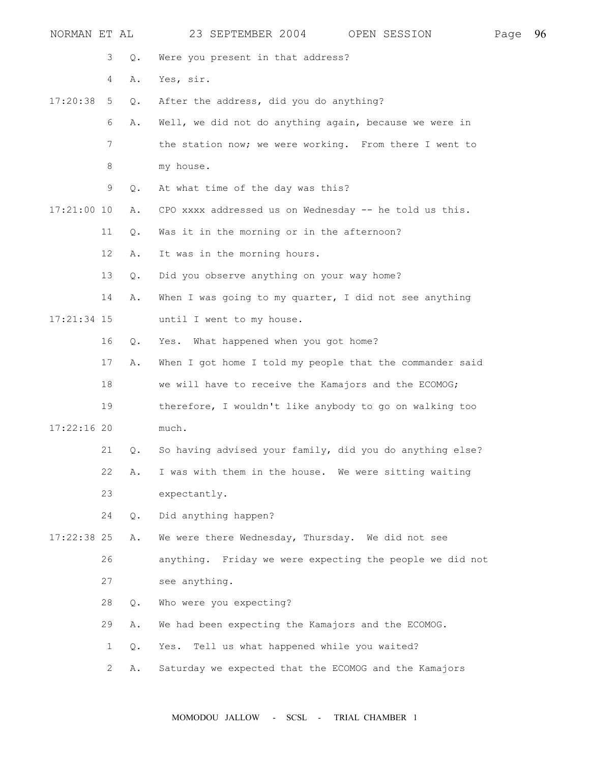| NORMAN ET AL  |              |       | 23 SEPTEMBER 2004<br>OPEN SESSION<br>Page                | 96 |
|---------------|--------------|-------|----------------------------------------------------------|----|
|               | 3            | Q.    | Were you present in that address?                        |    |
|               | 4            | Α.    | Yes, sir.                                                |    |
| 17:20:38      | 5            | Q.    | After the address, did you do anything?                  |    |
|               | 6            | Α.    | Well, we did not do anything again, because we were in   |    |
|               | 7            |       | the station now; we were working. From there I went to   |    |
|               | 8            |       | my house.                                                |    |
|               | 9            | $Q$ . | At what time of the day was this?                        |    |
| $17:21:00$ 10 |              | Α.    | CPO XXXX addressed us on Wednesday -- he told us this.   |    |
|               | 11           | Q.    | Was it in the morning or in the afternoon?               |    |
|               | 12           | Α.    | It was in the morning hours.                             |    |
|               | 13           | Q.    | Did you observe anything on your way home?               |    |
|               | 14           | Α.    | When I was going to my quarter, I did not see anything   |    |
| $17:21:34$ 15 |              |       | until I went to my house.                                |    |
|               | 16           | Q.    | Yes. What happened when you got home?                    |    |
|               | 17           | Α.    | When I got home I told my people that the commander said |    |
|               | 18           |       | we will have to receive the Kamajors and the ECOMOG;     |    |
|               | 19           |       | therefore, I wouldn't like anybody to go on walking too  |    |
| $17:22:16$ 20 |              |       | much.                                                    |    |
|               | 21           | Q.    | So having advised your family, did you do anything else? |    |
|               | 22           | Α.    | I was with them in the house. We were sitting waiting    |    |
|               | 23           |       | expectantly.                                             |    |
|               | 24           | $Q$ . | Did anything happen?                                     |    |
| $17:22:38$ 25 |              | Α.    | We were there Wednesday, Thursday. We did not see        |    |
|               | 26           |       | anything. Friday we were expecting the people we did not |    |
|               | 27           |       | see anything.                                            |    |
|               | 28           | Q.    | Who were you expecting?                                  |    |
|               | 29           | Α.    | We had been expecting the Kamajors and the ECOMOG.       |    |
|               | 1            | Q.    | Yes. Tell us what happened while you waited?             |    |
|               | $\mathbf{2}$ | Α.    | Saturday we expected that the ECOMOG and the Kamajors    |    |
|               |              |       |                                                          |    |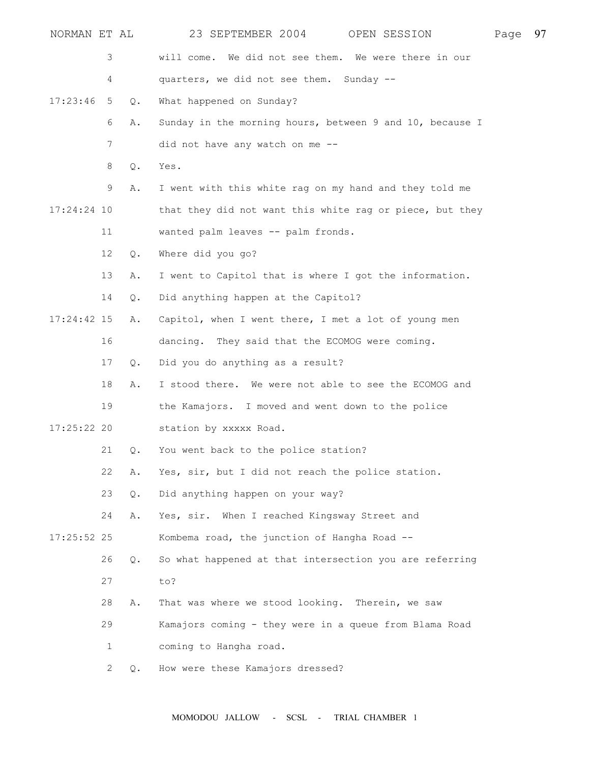| NORMAN ET AL  |                           |               | 23 SEPTEMBER 2004<br>OPEN SESSION                        | Page | 97 |
|---------------|---------------------------|---------------|----------------------------------------------------------|------|----|
|               | 3                         |               | will come. We did not see them. We were there in our     |      |    |
|               | 4                         |               | quarters, we did not see them. Sunday --                 |      |    |
| 17:23:46      | 5                         | Q.            | What happened on Sunday?                                 |      |    |
|               | 6                         | Α.            | Sunday in the morning hours, between 9 and 10, because I |      |    |
|               | 7                         |               | did not have any watch on me --                          |      |    |
|               | 8                         | Q.            | Yes.                                                     |      |    |
|               | 9                         | Α.            | I went with this white rag on my hand and they told me   |      |    |
| 17:24:24 10   |                           |               | that they did not want this white rag or piece, but they |      |    |
|               | 11                        |               | wanted palm leaves -- palm fronds.                       |      |    |
|               | 12                        | $Q$ .         | Where did you go?                                        |      |    |
|               | 13                        | Α.            | I went to Capitol that is where I got the information.   |      |    |
|               | 14                        | $Q$ .         | Did anything happen at the Capitol?                      |      |    |
| $17:24:42$ 15 |                           | Α.            | Capitol, when I went there, I met a lot of young men     |      |    |
|               | 16                        |               | dancing. They said that the ECOMOG were coming.          |      |    |
|               | 17                        | Q.            | Did you do anything as a result?                         |      |    |
|               | 18                        | Α.            | I stood there. We were not able to see the ECOMOG and    |      |    |
|               | 19                        |               | the Kamajors. I moved and went down to the police        |      |    |
| $17:25:22$ 20 |                           |               | station by xxxxx Road.                                   |      |    |
|               | 21                        | Q.            | You went back to the police station?                     |      |    |
|               | 22                        | Α.            | Yes, sir, but I did not reach the police station.        |      |    |
|               | 23                        | $Q$ .         | Did anything happen on your way?                         |      |    |
|               | 24                        | Α.            | Yes, sir. When I reached Kingsway Street and             |      |    |
| $17:25:52$ 25 |                           |               | Kombema road, the junction of Hangha Road --             |      |    |
|               | 26                        | $Q_{\bullet}$ | So what happened at that intersection you are referring  |      |    |
|               | 27                        |               | to?                                                      |      |    |
|               | 28                        | Α.            | That was where we stood looking. Therein, we saw         |      |    |
|               | 29                        |               | Kamajors coming - they were in a queue from Blama Road   |      |    |
|               | 1                         |               | coming to Hangha road.                                   |      |    |
|               | $\mathbf{2}^{\mathsf{I}}$ | Q.            | How were these Kamajors dressed?                         |      |    |
|               |                           |               |                                                          |      |    |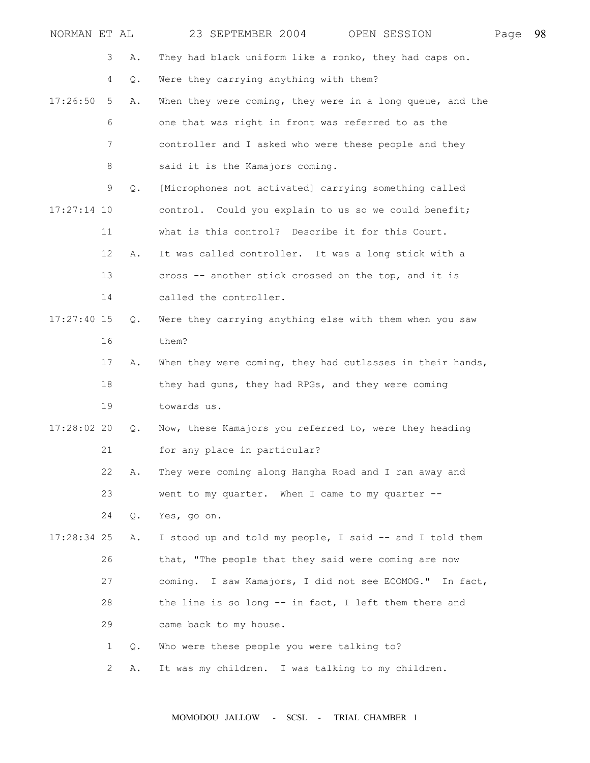| NORMAN ET AL  |                           |    | 23 SEPTEMBER 2004<br>OPEN SESSION                         | Page | 98 |
|---------------|---------------------------|----|-----------------------------------------------------------|------|----|
|               | 3                         | Α. | They had black uniform like a ronko, they had caps on.    |      |    |
|               | 4                         | Q. | Were they carrying anything with them?                    |      |    |
| 17:26:50      | 5                         | Α. | When they were coming, they were in a long queue, and the |      |    |
|               | 6                         |    | one that was right in front was referred to as the        |      |    |
|               | 7                         |    | controller and I asked who were these people and they     |      |    |
|               | 8                         |    | said it is the Kamajors coming.                           |      |    |
|               | 9                         | Q. | [Microphones not activated] carrying something called     |      |    |
| $17:27:14$ 10 |                           |    | control. Could you explain to us so we could benefit;     |      |    |
|               | 11                        |    | what is this control? Describe it for this Court.         |      |    |
|               | 12                        | Α. | It was called controller. It was a long stick with a      |      |    |
|               | 13                        |    | cross -- another stick crossed on the top, and it is      |      |    |
|               | 14                        |    | called the controller.                                    |      |    |
| $17:27:40$ 15 |                           | Q. | Were they carrying anything else with them when you saw   |      |    |
|               | 16                        |    | them?                                                     |      |    |
|               | 17                        | Α. | When they were coming, they had cutlasses in their hands, |      |    |
|               | 18                        |    | they had guns, they had RPGs, and they were coming        |      |    |
|               | 19                        |    | towards us.                                               |      |    |
| $17:28:02$ 20 |                           | Q. | Now, these Kamajors you referred to, were they heading    |      |    |
|               | 21                        |    | for any place in particular?                              |      |    |
|               | 22                        | Α. | They were coming along Hangha Road and I ran away and     |      |    |
|               | 23                        |    | went to my quarter. When I came to my quarter --          |      |    |
|               | 24                        | Q. | Yes, go on.                                               |      |    |
| $17:28:34$ 25 |                           | Α. | I stood up and told my people, I said -- and I told them  |      |    |
|               | 26                        |    | that, "The people that they said were coming are now      |      |    |
|               | 27                        |    | coming. I saw Kamajors, I did not see ECOMOG." In fact,   |      |    |
|               | 28                        |    | the line is so long -- in fact, I left them there and     |      |    |
|               | 29                        |    | came back to my house.                                    |      |    |
|               | 1                         | Q. | Who were these people you were talking to?                |      |    |
|               | $\mathbf{2}^{\mathsf{I}}$ | Α. | It was my children. I was talking to my children.         |      |    |
|               |                           |    |                                                           |      |    |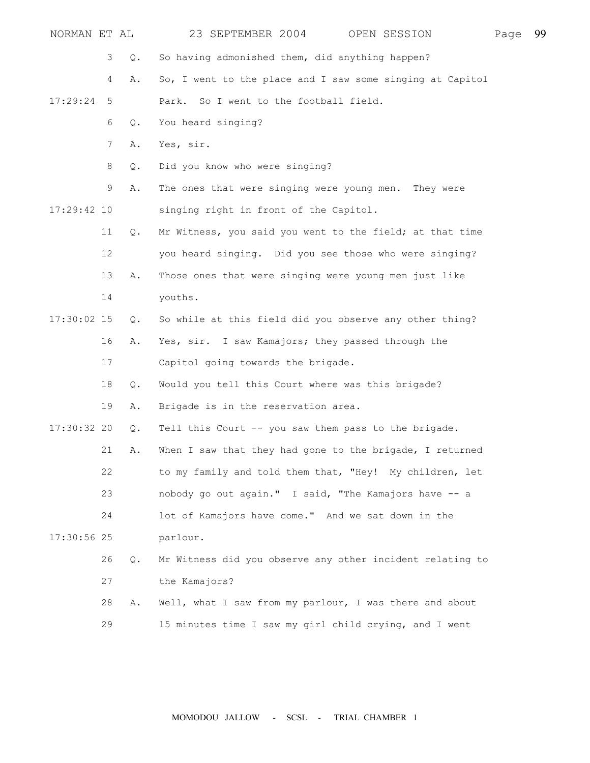| NORMAN ET AL  |    |       | 23 SEPTEMBER 2004                                         | OPEN SESSION | Page | 99 |
|---------------|----|-------|-----------------------------------------------------------|--------------|------|----|
|               | 3  | Q.    | So having admonished them, did anything happen?           |              |      |    |
|               | 4  | Α.    | So, I went to the place and I saw some singing at Capitol |              |      |    |
| 17:29:24      | 5  |       | So I went to the football field.<br>Park.                 |              |      |    |
|               | 6  | Q.    | You heard singing?                                        |              |      |    |
|               | 7  | Α.    | Yes, sir.                                                 |              |      |    |
|               | 8  | Q.    | Did you know who were singing?                            |              |      |    |
|               | 9  | Α.    | The ones that were singing were young men. They were      |              |      |    |
| $17:29:42$ 10 |    |       | singing right in front of the Capitol.                    |              |      |    |
|               | 11 | $Q$ . | Mr Witness, you said you went to the field; at that time  |              |      |    |
|               | 12 |       | you heard singing. Did you see those who were singing?    |              |      |    |
|               | 13 | Α.    | Those ones that were singing were young men just like     |              |      |    |
|               | 14 |       | youths.                                                   |              |      |    |
| 17:30:02 15   |    | $Q$ . | So while at this field did you observe any other thing?   |              |      |    |
|               | 16 | Α.    | Yes, sir. I saw Kamajors; they passed through the         |              |      |    |
|               | 17 |       | Capitol going towards the brigade.                        |              |      |    |
|               | 18 | Q.    | Would you tell this Court where was this brigade?         |              |      |    |
|               | 19 | Α.    | Brigade is in the reservation area.                       |              |      |    |
| $17:30:32$ 20 |    | $Q$ . | Tell this Court -- you saw them pass to the brigade.      |              |      |    |
|               | 21 | Α.    | When I saw that they had gone to the brigade, I returned  |              |      |    |
|               | 22 |       | to my family and told them that, "Hey! My children, let   |              |      |    |
|               | 23 |       | nobody go out again." I said, "The Kamajors have -- a     |              |      |    |
|               | 24 |       | lot of Kamajors have come." And we sat down in the        |              |      |    |
| 17:30:56 25   |    |       | parlour.                                                  |              |      |    |
|               | 26 | $Q$ . | Mr Witness did you observe any other incident relating to |              |      |    |
|               | 27 |       | the Kamajors?                                             |              |      |    |
|               | 28 | Α.    | Well, what I saw from my parlour, I was there and about   |              |      |    |
|               | 29 |       | 15 minutes time I saw my girl child crying, and I went    |              |      |    |
|               |    |       |                                                           |              |      |    |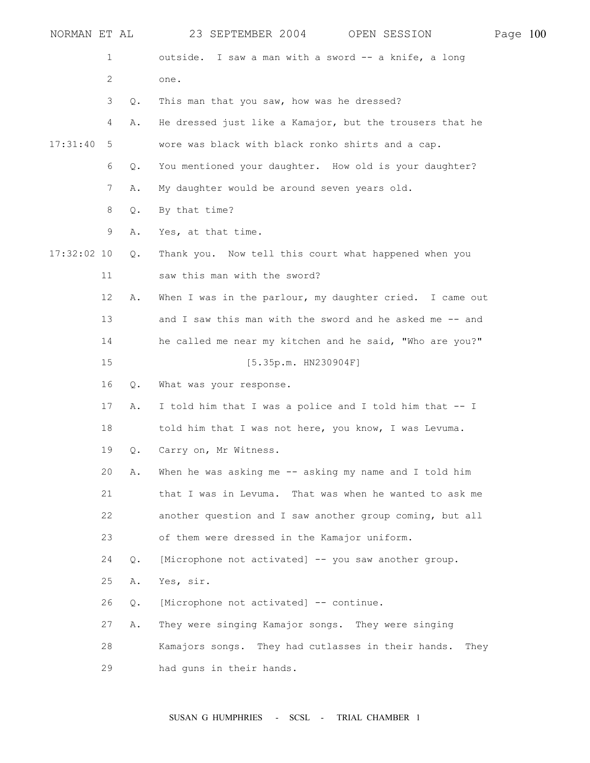| NORMAN ET AL  |    |       | 23 SEPTEMBER 2004                                        | OPEN SESSION | Page 100 |  |
|---------------|----|-------|----------------------------------------------------------|--------------|----------|--|
|               | 1  |       | outside. I saw a man with a sword -- a knife, a long     |              |          |  |
|               | 2  |       | one.                                                     |              |          |  |
|               | 3  | Q.    | This man that you saw, how was he dressed?               |              |          |  |
|               | 4  | Α.    | He dressed just like a Kamajor, but the trousers that he |              |          |  |
| 17:31:40      | 5  |       | wore was black with black ronko shirts and a cap.        |              |          |  |
|               | 6  | Q.    | You mentioned your daughter. How old is your daughter?   |              |          |  |
|               | 7  | Α.    | My daughter would be around seven years old.             |              |          |  |
|               | 8  | Q.    | By that time?                                            |              |          |  |
|               | 9  | Α.    | Yes, at that time.                                       |              |          |  |
| $17:32:02$ 10 |    | Q.    | Thank you. Now tell this court what happened when you    |              |          |  |
|               | 11 |       | saw this man with the sword?                             |              |          |  |
|               | 12 | Α.    | When I was in the parlour, my daughter cried. I came out |              |          |  |
|               | 13 |       | and I saw this man with the sword and he asked me -- and |              |          |  |
|               | 14 |       | he called me near my kitchen and he said, "Who are you?" |              |          |  |
|               | 15 |       | [5.35p.m. H N230904F]                                    |              |          |  |
|               | 16 | Q.    | What was your response.                                  |              |          |  |
|               | 17 | Α.    | I told him that I was a police and I told him that -- I  |              |          |  |
|               | 18 |       | told him that I was not here, you know, I was Levuma.    |              |          |  |
|               | 19 | Q.    | Carry on, Mr Witness.                                    |              |          |  |
|               | 20 | Α.    | When he was asking me -- asking my name and I told him   |              |          |  |
|               | 21 |       | that I was in Levuma. That was when he wanted to ask me  |              |          |  |
|               | 22 |       | another question and I saw another group coming, but all |              |          |  |
|               | 23 |       | of them were dressed in the Kamajor uniform.             |              |          |  |
|               | 24 | $Q$ . | [Microphone not activated] -- you saw another group.     |              |          |  |
|               | 25 | Α.    | Yes, sir.                                                |              |          |  |
|               | 26 | Q.    | [Microphone not activated] -- continue.                  |              |          |  |
|               | 27 | Α.    | They were singing Kamajor songs. They were singing       |              |          |  |
|               | 28 |       | Kamajors songs. They had cutlasses in their hands.       | They         |          |  |
|               | 29 |       | had guns in their hands.                                 |              |          |  |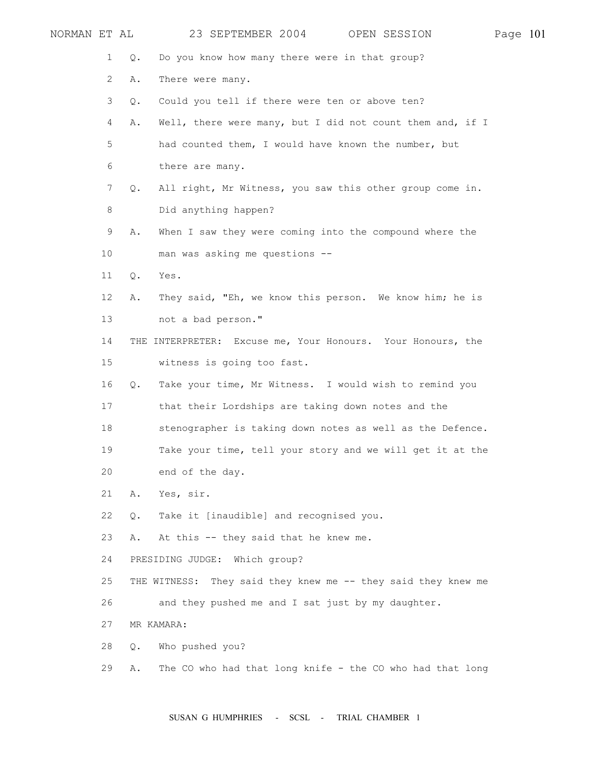| NORMAN ET AL |    |       | 23 SEPTEMBER 2004                                             | OPEN SESSION | Page 101 |  |
|--------------|----|-------|---------------------------------------------------------------|--------------|----------|--|
|              | 1  | Q.    | Do you know how many there were in that group?                |              |          |  |
|              | 2  | Α.    | There were many.                                              |              |          |  |
|              | 3  | $Q$ . | Could you tell if there were ten or above ten?                |              |          |  |
|              | 4  | Α.    | Well, there were many, but I did not count them and, if I     |              |          |  |
|              | 5  |       | had counted them, I would have known the number, but          |              |          |  |
|              | 6  |       | there are many.                                               |              |          |  |
|              | 7  | Q.    | All right, Mr Witness, you saw this other group come in.      |              |          |  |
|              | 8  |       | Did anything happen?                                          |              |          |  |
|              | 9  | Α.    | When I saw they were coming into the compound where the       |              |          |  |
|              | 10 |       | man was asking me questions --                                |              |          |  |
|              | 11 | Q.    | Yes.                                                          |              |          |  |
|              | 12 | Α.    | They said, "Eh, we know this person. We know him; he is       |              |          |  |
|              | 13 |       | not a bad person."                                            |              |          |  |
|              | 14 |       | THE INTERPRETER: Excuse me, Your Honours. Your Honours, the   |              |          |  |
|              | 15 |       | witness is going too fast.                                    |              |          |  |
|              | 16 | Q.    | Take your time, Mr Witness. I would wish to remind you        |              |          |  |
|              | 17 |       | that their Lordships are taking down notes and the            |              |          |  |
|              | 18 |       | stenographer is taking down notes as well as the Defence.     |              |          |  |
|              | 19 |       | Take your time, tell your story and we will get it at the     |              |          |  |
|              | 20 |       | end of the day.                                               |              |          |  |
|              | 21 | Α.    | Yes, sir.                                                     |              |          |  |
|              | 22 | Q.    | Take it [inaudible] and recognised you.                       |              |          |  |
|              | 23 | Α.    | At this -- they said that he knew me.                         |              |          |  |
|              | 24 |       | PRESIDING JUDGE: Which group?                                 |              |          |  |
|              | 25 |       | THE WITNESS: They said they knew me -- they said they knew me |              |          |  |
|              | 26 |       | and they pushed me and I sat just by my daughter.             |              |          |  |
|              | 27 |       | MR KAMARA:                                                    |              |          |  |
|              | 28 | Q.    | Who pushed you?                                               |              |          |  |
|              | 29 | Α.    | The CO who had that long knife - the CO who had that long     |              |          |  |
|              |    |       |                                                               |              |          |  |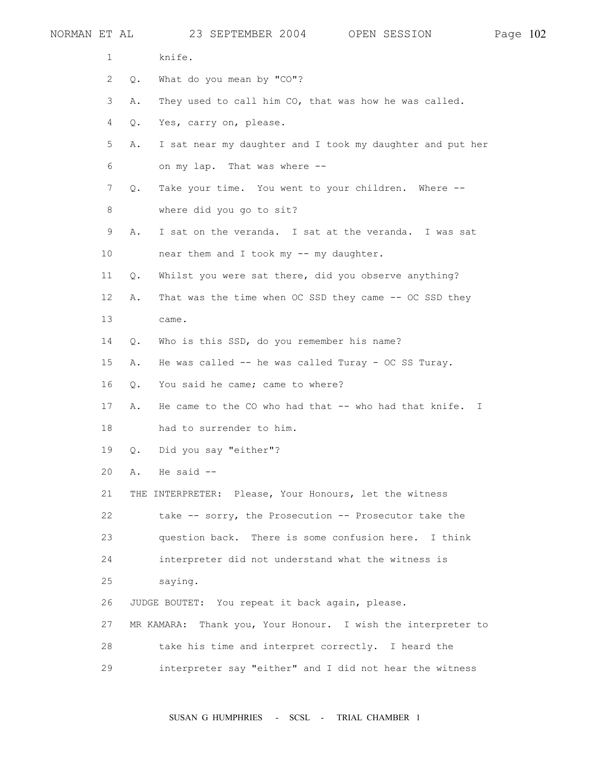| NORMAN ET AL |                |    | 23 SEPTEMBER 2004<br>OPEN SESSION                            | Page 102 |  |
|--------------|----------------|----|--------------------------------------------------------------|----------|--|
|              | 1              |    | knife.                                                       |          |  |
|              | 2              | Q. | What do you mean by "CO"?                                    |          |  |
|              | 3              | Α. | They used to call him CO, that was how he was called.        |          |  |
|              | $\overline{4}$ | Q. | Yes, carry on, please.                                       |          |  |
|              | 5              | Α. | I sat near my daughter and I took my daughter and put her    |          |  |
|              | 6              |    | on my lap. That was where --                                 |          |  |
|              | 7              | Q. | Take your time. You went to your children. Where --          |          |  |
|              | 8              |    | where did you go to sit?                                     |          |  |
|              | 9              | Α. | I sat on the veranda. I sat at the veranda. I was sat        |          |  |
|              | 10             |    | near them and I took my -- my daughter.                      |          |  |
|              | 11             | Q. | Whilst you were sat there, did you observe anything?         |          |  |
|              | 12             | Α. | That was the time when OC SSD they came -- OC SSD they       |          |  |
|              | 13             |    | came.                                                        |          |  |
|              | 14             | Q. | Who is this SSD, do you remember his name?                   |          |  |
|              | 15             | Α. | He was called -- he was called Turay - OC SS Turay.          |          |  |
|              | 16             | Q. | You said he came; came to where?                             |          |  |
|              | 17             | Α. | He came to the CO who had that -- who had that knife. I      |          |  |
|              | 18             |    | had to surrender to him.                                     |          |  |
|              | 19             | Q. | Did you say "either"?                                        |          |  |
|              | 20             | Α. | He said $--$                                                 |          |  |
|              | 21             |    | THE INTERPRETER: Please, Your Honours, let the witness       |          |  |
|              | 22             |    | take -- sorry, the Prosecution -- Prosecutor take the        |          |  |
|              | 23             |    | question back. There is some confusion here. I think         |          |  |
|              | 24             |    | interpreter did not understand what the witness is           |          |  |
|              | 25             |    | saying.                                                      |          |  |
|              | 26             |    | JUDGE BOUTET: You repeat it back again, please.              |          |  |
|              | 27             |    | MR KAMARA: Thank you, Your Honour. I wish the interpreter to |          |  |
|              | 28             |    | take his time and interpret correctly. I heard the           |          |  |
|              | 29             |    | interpreter say "either" and I did not hear the witness      |          |  |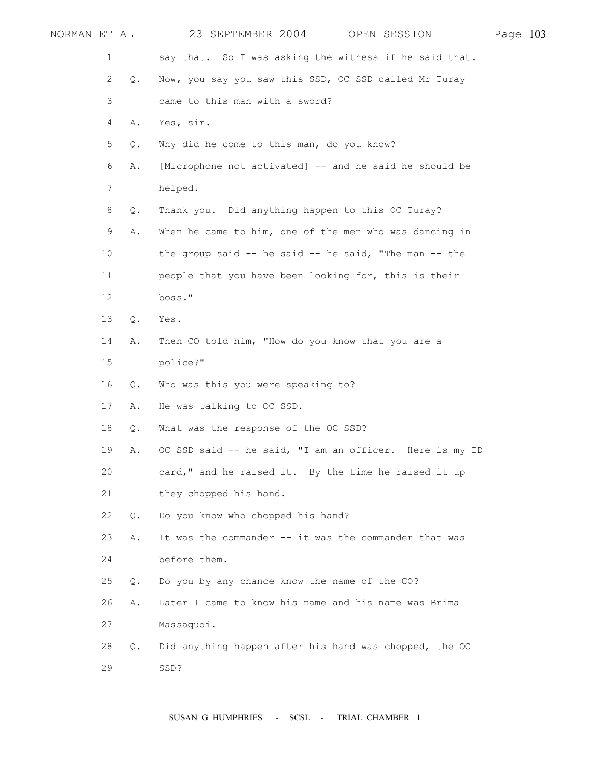| NORMAN ET AL |    | 23 SEPTEMBER 2004<br>OPEN SESSION                        | Page 103 |  |
|--------------|----|----------------------------------------------------------|----------|--|
| 1            |    | say that. So I was asking the witness if he said that.   |          |  |
| 2            | Q. | Now, you say you saw this SSD, OC SSD called Mr Turay    |          |  |
| 3            |    | came to this man with a sword?                           |          |  |
| 4            | Α. | Yes, sir.                                                |          |  |
| 5            | Q. | Why did he come to this man, do you know?                |          |  |
| 6            | Α. | [Microphone not activated] -- and he said he should be   |          |  |
| 7            |    | helped.                                                  |          |  |
| 8            | Q. | Thank you. Did anything happen to this OC Turay?         |          |  |
| 9            | Α. | When he came to him, one of the men who was dancing in   |          |  |
| 10           |    | the group said $-$ he said $-$ he said, "The man $-$ the |          |  |
| 11           |    | people that you have been looking for, this is their     |          |  |
| 12           |    | boss."                                                   |          |  |
| 13           | Q. | Yes.                                                     |          |  |
| 14           | Α. | Then CO told him, "How do you know that you are a        |          |  |
| 15           |    | police?"                                                 |          |  |
| 16           | Q. | Who was this you were speaking to?                       |          |  |
| 17           | Α. | He was talking to OC SSD.                                |          |  |
| 18           | Q. | What was the response of the OC SSD?                     |          |  |
| 19           | Α. | OC SSD said -- he said, "I am an officer. Here is my ID  |          |  |
| 20           |    | card," and he raised it. By the time he raised it up     |          |  |
| 21           |    | they chopped his hand.                                   |          |  |
| 22           | Q. | Do you know who chopped his hand?                        |          |  |
| 23           | Α. | It was the commander -- it was the commander that was    |          |  |
| 24           |    | before them.                                             |          |  |
| 25           | Q. | Do you by any chance know the name of the CO?            |          |  |
| 26           | Α. | Later I came to know his name and his name was Brima     |          |  |
| 27           |    | Massaquoi.                                               |          |  |
| 28           | Q. | Did anything happen after his hand was chopped, the OC   |          |  |
| 29           |    | SSD?                                                     |          |  |
|              |    |                                                          |          |  |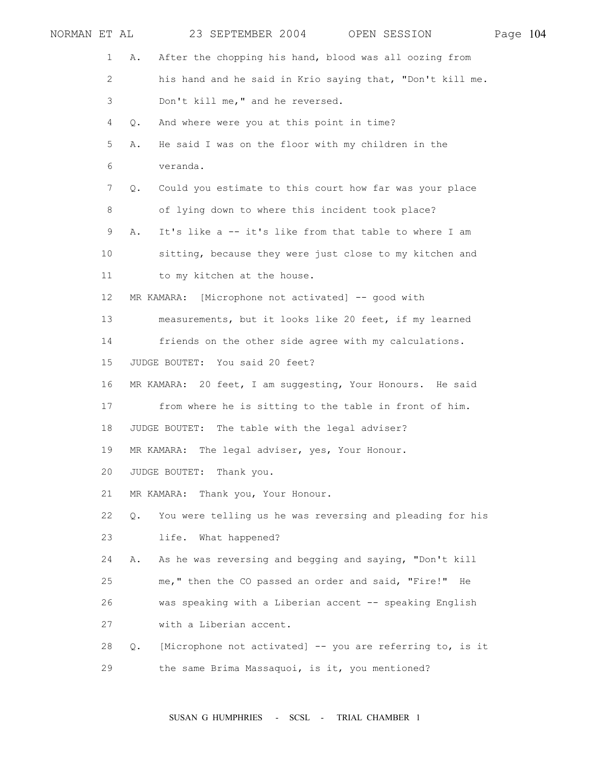|             | NORMAN ET AL          | 23 SEPTEMBER 2004 OPEN SESSION                                             | Page 104 |  |
|-------------|-----------------------|----------------------------------------------------------------------------|----------|--|
|             | 1                     | After the chopping his hand, blood was all oozing from<br>Α.               |          |  |
|             | $\mathbf{2}^{\prime}$ | his hand and he said in Krio saying that, "Don't kill me.                  |          |  |
|             | 3                     | Don't kill me," and he reversed.                                           |          |  |
|             | 4                     | And where were you at this point in time?<br>Q.                            |          |  |
| 5<br>6<br>7 |                       | He said I was on the floor with my children in the<br>Α.                   |          |  |
|             |                       | veranda.                                                                   |          |  |
|             |                       | Could you estimate to this court how far was your place<br>Q.              |          |  |
|             | 8                     | of lying down to where this incident took place?                           |          |  |
|             | 9                     | It's like a -- it's like from that table to where I am<br>Α.               |          |  |
|             | 10                    | sitting, because they were just close to my kitchen and                    |          |  |
|             | 11                    | to my kitchen at the house.                                                |          |  |
|             | 12                    | MR KAMARA: [Microphone not activated] -- good with                         |          |  |
|             | 13                    | measurements, but it looks like 20 feet, if my learned                     |          |  |
|             | 14                    | friends on the other side agree with my calculations.                      |          |  |
|             | 15                    | JUDGE BOUTET: You said 20 feet?                                            |          |  |
|             | 16                    | MR KAMARA: 20 feet, I am suggesting, Your Honours. He said                 |          |  |
|             | 17                    | from where he is sitting to the table in front of him.                     |          |  |
|             | 18                    | JUDGE BOUTET: The table with the legal adviser?                            |          |  |
|             | 19                    | MR KAMARA: The legal adviser, yes, Your Honour.                            |          |  |
|             | 20                    | JUDGE BOUTET: Thank you.                                                   |          |  |
|             | 21                    | MR KAMARA: Thank you, Your Honour.                                         |          |  |
|             | 22                    | You were telling us he was reversing and pleading for his<br>$Q_{\bullet}$ |          |  |
|             | 23                    | life. What happened?                                                       |          |  |
|             | 24                    | As he was reversing and begging and saying, "Don't kill<br>Α.              |          |  |
|             | 25                    | me," then the CO passed an order and said, "Fire!" He                      |          |  |
|             | 26                    | was speaking with a Liberian accent -- speaking English                    |          |  |
|             | 27                    | with a Liberian accent.                                                    |          |  |
|             | 28                    | [Microphone not activated] -- you are referring to, is it<br>$Q_{\bullet}$ |          |  |
|             | 29                    | the same Brima Massaquoi, is it, you mentioned?                            |          |  |
|             |                       |                                                                            |          |  |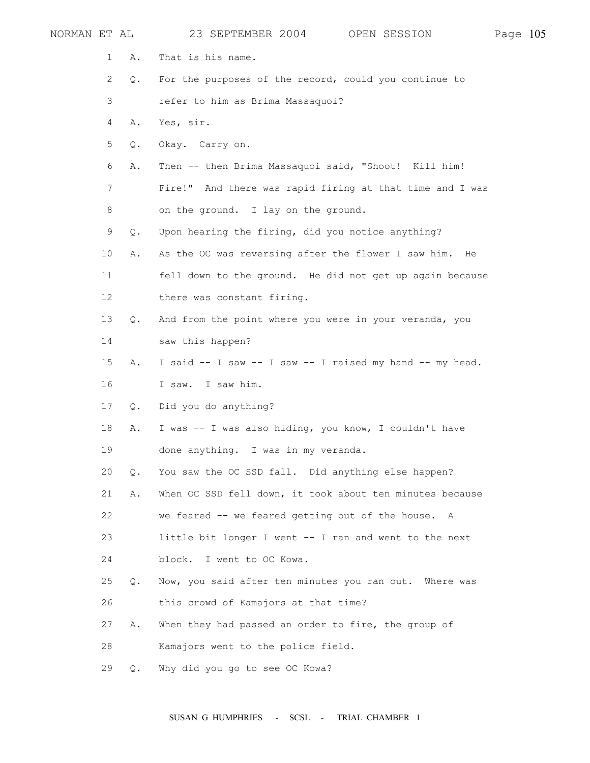| NORMAN ET AL |                           |    | 23 SEPTEMBER 2004<br>OPEN SESSION                        | Page 105 |  |
|--------------|---------------------------|----|----------------------------------------------------------|----------|--|
|              | 1                         | Α. | That is his name.                                        |          |  |
|              | $\mathbf{2}^{\mathsf{I}}$ | Q. | For the purposes of the record, could you continue to    |          |  |
|              | 3                         |    | refer to him as Brima Massaquoi?                         |          |  |
|              | 4                         | Α. | Yes, sir.                                                |          |  |
|              | 5                         | Q. | Okay. Carry on.                                          |          |  |
|              | 6                         | Α. | Then -- then Brima Massaquoi said, "Shoot! Kill him!     |          |  |
|              | $7\phantom{.0}$           |    | Fire!" And there was rapid firing at that time and I was |          |  |
|              | 8                         |    | on the ground. I lay on the ground.                      |          |  |
|              | 9                         | Q. | Upon hearing the firing, did you notice anything?        |          |  |
|              | 10 <sup>°</sup>           | Α. | As the OC was reversing after the flower I saw him. He   |          |  |
|              | 11                        |    | fell down to the ground. He did not get up again because |          |  |
|              | 12                        |    | there was constant firing.                               |          |  |
|              | 13                        | Q. | And from the point where you were in your veranda, you   |          |  |
|              | 14                        |    | saw this happen?                                         |          |  |
|              | 15                        | Α. | I said -- I saw -- I saw -- I raised my hand -- my head. |          |  |
|              | 16                        |    | I saw. I saw him.                                        |          |  |
|              | 17                        | Q. | Did you do anything?                                     |          |  |
|              | 18                        | Α. | I was -- I was also hiding, you know, I couldn't have    |          |  |
|              | 19                        |    | done anything. I was in my veranda.                      |          |  |
|              | 20                        | Q. | You saw the OC SSD fall. Did anything else happen?       |          |  |
|              | 21                        | Α. | When OC SSD fell down, it took about ten minutes because |          |  |
|              | 22                        |    | we feared -- we feared getting out of the house. A       |          |  |
|              | 23                        |    | little bit longer I went -- I ran and went to the next   |          |  |
|              | 24                        |    | block. I went to OC Kowa.                                |          |  |
|              | 25                        | Q. | Now, you said after ten minutes you ran out. Where was   |          |  |
|              | 26                        |    | this crowd of Kamajors at that time?                     |          |  |
|              | 27                        | Α. | When they had passed an order to fire, the group of      |          |  |
|              | 28                        |    | Kamajors went to the police field.                       |          |  |
|              | 29                        | Q. | Why did you go to see OC Kowa?                           |          |  |
|              |                           |    |                                                          |          |  |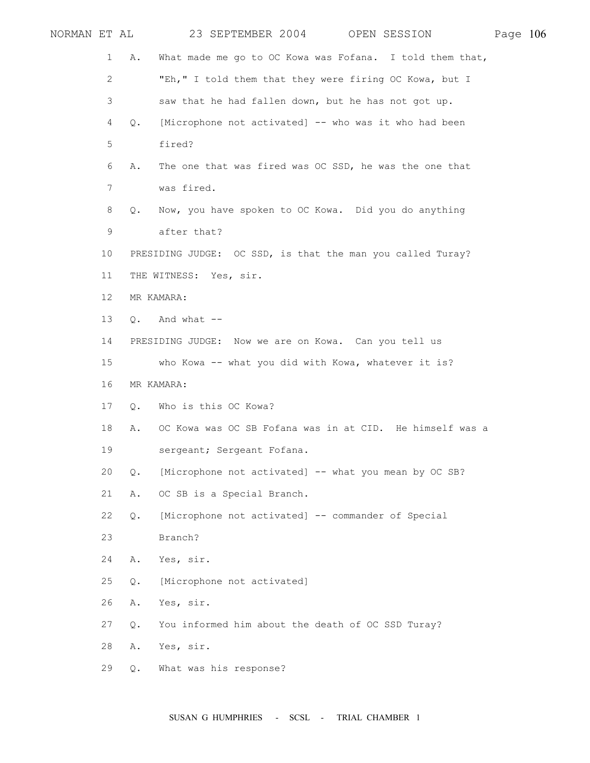| NORMAN ET AL |                       |               | 23 SEPTEMBER 2004 OPEN SESSION                             | Page 106 |  |
|--------------|-----------------------|---------------|------------------------------------------------------------|----------|--|
|              | $\mathbf{1}$          | Α.            | What made me go to OC Kowa was Fofana. I told them that,   |          |  |
|              | $\mathbf{2}^{\prime}$ |               | "Eh," I told them that they were firing OC Kowa, but I     |          |  |
|              | 3                     |               | saw that he had fallen down, but he has not got up.        |          |  |
|              | 4                     | $Q_{\bullet}$ | [Microphone not activated] -- who was it who had been      |          |  |
|              | 5                     |               | fired?                                                     |          |  |
|              | 6                     | Α.            | The one that was fired was OC SSD, he was the one that     |          |  |
|              | 7                     |               | was fired.                                                 |          |  |
|              | 8                     | Q.            | Now, you have spoken to OC Kowa. Did you do anything       |          |  |
|              | 9                     |               | after that?                                                |          |  |
|              | 10 <sup>°</sup>       |               | PRESIDING JUDGE: OC SSD, is that the man you called Turay? |          |  |
|              | 11                    |               | THE WITNESS: Yes, sir.                                     |          |  |
|              | 12 <sup>°</sup>       |               | MR KAMARA:                                                 |          |  |
|              | 13                    | $Q_{\bullet}$ | And what --                                                |          |  |
|              | 14                    |               | PRESIDING JUDGE: Now we are on Kowa. Can you tell us       |          |  |
|              | 15                    |               | who Kowa -- what you did with Kowa, whatever it is?        |          |  |
|              | 16                    |               | MR KAMARA:                                                 |          |  |
|              | 17                    | $Q_{\bullet}$ | Who is this OC Kowa?                                       |          |  |
|              | 18                    | Α.            | OC Kowa was OC SB Fofana was in at CID. He himself was a   |          |  |
|              | 19                    |               | sergeant; Sergeant Fofana.                                 |          |  |
|              | 20                    | Q.            | [Microphone not activated] -- what you mean by OC SB?      |          |  |
|              | 21                    | Α.            | OC SB is a Special Branch.                                 |          |  |
|              | 22                    | Q.            | [Microphone not activated] -- commander of Special         |          |  |
|              | 23                    |               | Branch?                                                    |          |  |
|              | 24                    | Α.            | Yes, sir.                                                  |          |  |
|              | 25                    | Q.            | [Microphone not activated]                                 |          |  |
|              | 26                    | Α.            | Yes, sir.                                                  |          |  |
|              | 27                    | Q.            | You informed him about the death of OC SSD Turay?          |          |  |
|              | 28                    | Α.            | Yes, sir.                                                  |          |  |
|              | 29                    | Q.            | What was his response?                                     |          |  |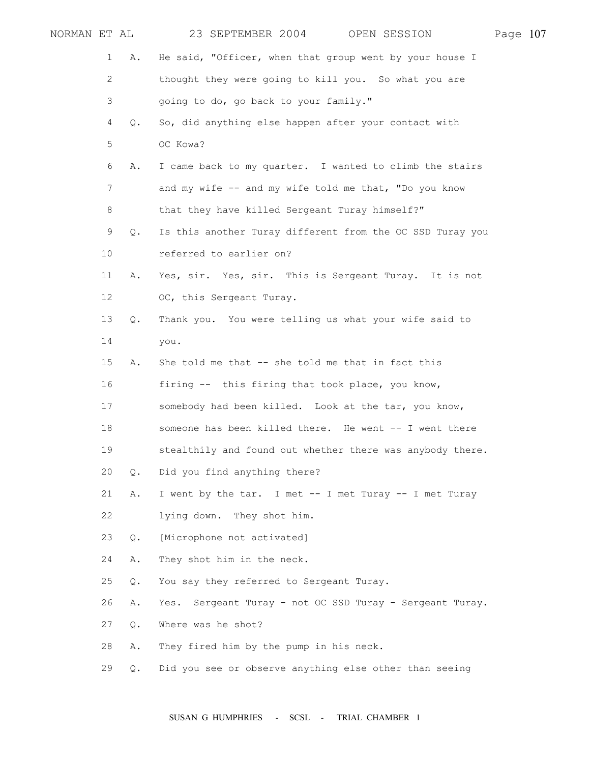| NORMAN ET AL |    |               | 23 SEPTEMBER 2004<br>OPEN SESSION                         | Page 107 |  |
|--------------|----|---------------|-----------------------------------------------------------|----------|--|
|              | 1  | Α.            | He said, "Officer, when that group went by your house I   |          |  |
|              | 2  |               | thought they were going to kill you. So what you are      |          |  |
|              | 3  |               | going to do, go back to your family."                     |          |  |
|              | 4  | Q.            | So, did anything else happen after your contact with      |          |  |
|              | 5  |               | OC Kowa?                                                  |          |  |
|              | 6  | Α.            | I came back to my quarter. I wanted to climb the stairs   |          |  |
|              | 7  |               | and my wife -- and my wife told me that, "Do you know     |          |  |
|              | 8  |               | that they have killed Sergeant Turay himself?"            |          |  |
|              | 9  | $Q$ .         | Is this another Turay different from the OC SSD Turay you |          |  |
|              | 10 |               | referred to earlier on?                                   |          |  |
|              | 11 | Α.            | Yes, sir. Yes, sir. This is Sergeant Turay. It is not     |          |  |
|              | 12 |               | OC, this Sergeant Turay.                                  |          |  |
|              | 13 | Q.            | Thank you. You were telling us what your wife said to     |          |  |
|              | 14 |               | you.                                                      |          |  |
|              | 15 | Α.            | She told me that -- she told me that in fact this         |          |  |
|              | 16 |               | firing -- this firing that took place, you know,          |          |  |
|              | 17 |               | somebody had been killed. Look at the tar, you know,      |          |  |
|              | 18 |               | someone has been killed there. He went -- I went there    |          |  |
|              | 19 |               | stealthily and found out whether there was anybody there. |          |  |
|              | 20 | $\circ$ .     | Did you find anything there?                              |          |  |
|              | 21 | Α.            | I went by the tar. I met -- I met Turay -- I met Turay    |          |  |
|              | 22 |               | lying down.<br>They shot him.                             |          |  |
|              | 23 | $Q_{\bullet}$ | [Microphone not activated]                                |          |  |
|              | 24 | Α.            | They shot him in the neck.                                |          |  |
|              | 25 | Q.            | You say they referred to Sergeant Turay.                  |          |  |
|              | 26 | Α.            | Yes. Sergeant Turay - not OC SSD Turay - Sergeant Turay.  |          |  |
|              | 27 | Q.            | Where was he shot?                                        |          |  |
|              | 28 | Α.            | They fired him by the pump in his neck.                   |          |  |
|              | 29 | Q.            | Did you see or observe anything else other than seeing    |          |  |
|              |    |               |                                                           |          |  |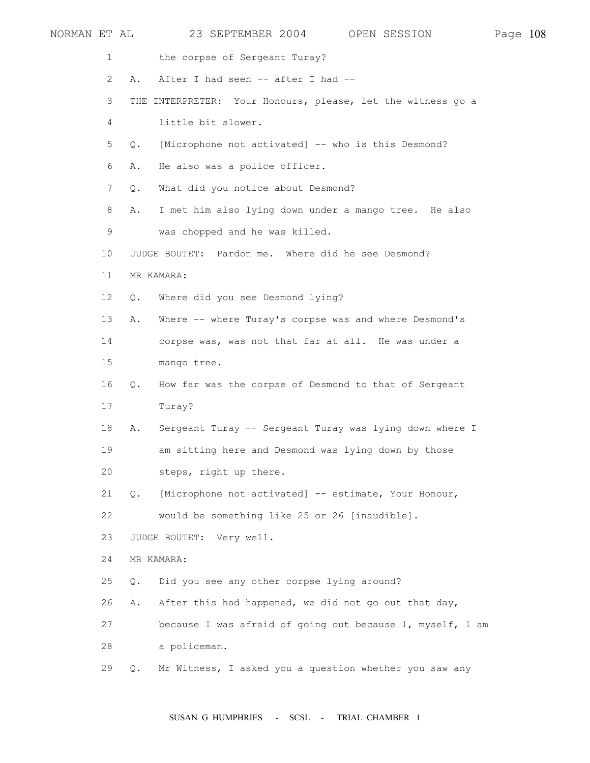| NORMAN ET AL |                       |               | 23 SEPTEMBER 2004                                           | OPEN SESSION | Page 108 |  |
|--------------|-----------------------|---------------|-------------------------------------------------------------|--------------|----------|--|
|              | 1                     |               | the corpse of Sergeant Turay?                               |              |          |  |
|              | $\mathbf{2}^{\prime}$ | Α.            | After I had seen -- after I had --                          |              |          |  |
|              | 3                     |               | THE INTERPRETER: Your Honours, please, let the witness go a |              |          |  |
|              | 4                     |               | little bit slower.                                          |              |          |  |
|              | 5                     | Q.            | [Microphone not activated] -- who is this Desmond?          |              |          |  |
|              | 6                     | Α.            | He also was a police officer.                               |              |          |  |
|              | $7\phantom{.}$        | $Q$ .         | What did you notice about Desmond?                          |              |          |  |
|              | 8                     | Α.            | I met him also lying down under a mango tree. He also       |              |          |  |
|              | 9                     |               | was chopped and he was killed.                              |              |          |  |
|              | 10                    |               | JUDGE BOUTET: Pardon me. Where did he see Desmond?          |              |          |  |
|              | 11                    |               | MR KAMARA:                                                  |              |          |  |
|              | 12                    | Q.            | Where did you see Desmond lying?                            |              |          |  |
|              | 13                    | Α.            | Where -- where Turay's corpse was and where Desmond's       |              |          |  |
|              | 14                    |               | corpse was, was not that far at all. He was under a         |              |          |  |
|              | 15                    |               | mango tree.                                                 |              |          |  |
|              | 16                    | Q.            | How far was the corpse of Desmond to that of Sergeant       |              |          |  |
|              | 17                    |               | Turay?                                                      |              |          |  |
|              | 18                    | Α.            | Sergeant Turay -- Sergeant Turay was lying down where I     |              |          |  |
|              | 19                    |               | am sitting here and Desmond was lying down by those         |              |          |  |
|              | 20                    |               | steps, right up there.                                      |              |          |  |
|              | 21                    | $Q_{\bullet}$ | [Microphone not activated] -- estimate, Your Honour,        |              |          |  |
|              | 22                    |               | would be something like 25 or 26 [inaudible].               |              |          |  |
|              | 23                    |               | JUDGE BOUTET: Very well.                                    |              |          |  |
|              | 24                    |               | MR KAMARA:                                                  |              |          |  |
|              | 25                    | Q.            | Did you see any other corpse lying around?                  |              |          |  |
|              | 26                    | Α.            | After this had happened, we did not go out that day,        |              |          |  |
|              | 27                    |               | because I was afraid of going out because I, myself, I am   |              |          |  |
|              | 28                    |               | a policeman.                                                |              |          |  |
|              | 29                    | Q.            | Mr Witness, I asked you a question whether you saw any      |              |          |  |
|              |                       |               |                                                             |              |          |  |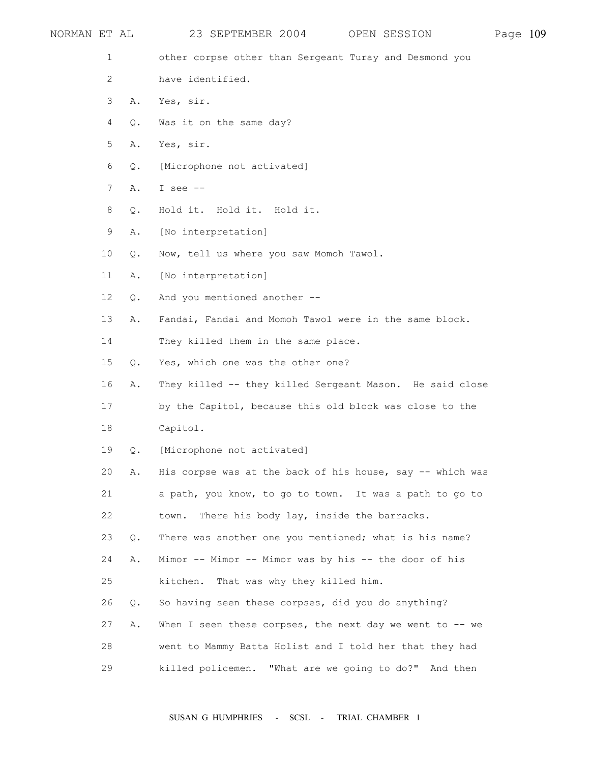| NORMAN ET AL    |    | 23 SEPTEMBER 2004<br>OPEN SESSION                           | Page 109 |  |
|-----------------|----|-------------------------------------------------------------|----------|--|
| 1               |    | other corpse other than Sergeant Turay and Desmond you      |          |  |
| 2               |    | have identified.                                            |          |  |
| 3               | Α. | Yes, sir.                                                   |          |  |
| 4               | Q. | Was it on the same day?                                     |          |  |
| 5               | Α. | Yes, sir.                                                   |          |  |
| 6               | Q. | [Microphone not activated]                                  |          |  |
| $7\phantom{.}$  | Α. | I see $--$                                                  |          |  |
| 8               | Q. | Hold it. Hold it. Hold it.                                  |          |  |
| 9               | Α. | [No interpretation]                                         |          |  |
| 10              | Q. | Now, tell us where you saw Momoh Tawol.                     |          |  |
| 11              | Α. | [No interpretation]                                         |          |  |
| 12 <sup>°</sup> | Q. | And you mentioned another --                                |          |  |
| 13              | Α. | Fandai, Fandai and Momoh Tawol were in the same block.      |          |  |
| 14              |    | They killed them in the same place.                         |          |  |
| 15              | Q. | Yes, which one was the other one?                           |          |  |
| 16              | Α. | They killed -- they killed Sergeant Mason. He said close    |          |  |
| 17              |    | by the Capitol, because this old block was close to the     |          |  |
| 18              |    | Capitol.                                                    |          |  |
| 19              | Q. | [Microphone not activated]                                  |          |  |
| 20              | Α. | His corpse was at the back of his house, say -- which was   |          |  |
| 21              |    | a path, you know, to go to town. It was a path to go to     |          |  |
| 22              |    | There his body lay, inside the barracks.<br>town.           |          |  |
| 23              | Q. | There was another one you mentioned; what is his name?      |          |  |
| 24              | Α. | Mimor -- Mimor -- Mimor was by his -- the door of his       |          |  |
| 25              |    | That was why they killed him.<br>kitchen.                   |          |  |
| 26              | Q. | So having seen these corpses, did you do anything?          |          |  |
| 27              | Α. | When I seen these corpses, the next day we went to $-$ - we |          |  |
| 28              |    | went to Mammy Batta Holist and I told her that they had     |          |  |
| 29              |    | "What are we going to do?" And then<br>killed policemen.    |          |  |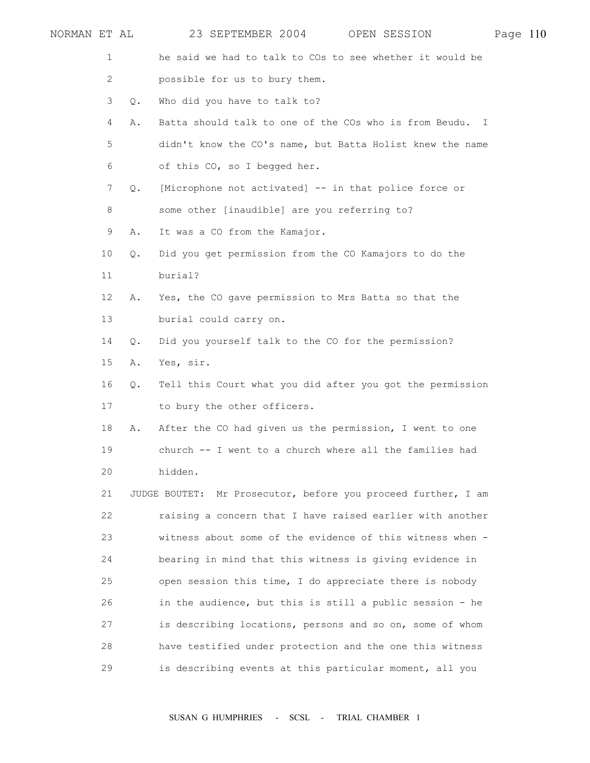| NORMAN ET AL |       | 23 SEPTEMBER 2004                                             | OPEN SESSION | Page 110 |  |
|--------------|-------|---------------------------------------------------------------|--------------|----------|--|
| 1            |       | he said we had to talk to COs to see whether it would be      |              |          |  |
| 2            |       | possible for us to bury them.                                 |              |          |  |
| 3            | $Q$ . | Who did you have to talk to?                                  |              |          |  |
| 4            | Α.    | Batta should talk to one of the COs who is from Beudu. I      |              |          |  |
| 5            |       | didn't know the CO's name, but Batta Holist knew the name     |              |          |  |
| 6            |       | of this CO, so I begged her.                                  |              |          |  |
| 7            | Q.    | [Microphone not activated] -- in that police force or         |              |          |  |
| 8            |       | some other [inaudible] are you referring to?                  |              |          |  |
| 9            | Α.    | It was a CO from the Kamajor.                                 |              |          |  |
| 10           | Q.    | Did you get permission from the CO Kamajors to do the         |              |          |  |
| 11           |       | burial?                                                       |              |          |  |
| 12           | Α.    | Yes, the CO gave permission to Mrs Batta so that the          |              |          |  |
| 13           |       | burial could carry on.                                        |              |          |  |
| 14           | О.    | Did you yourself talk to the CO for the permission?           |              |          |  |
| 15           | Α.    | Yes, sir.                                                     |              |          |  |
| 16           | $Q$ . | Tell this Court what you did after you got the permission     |              |          |  |
| 17           |       | to bury the other officers.                                   |              |          |  |
| 18           | Α.    | After the CO had given us the permission, I went to one       |              |          |  |
| 19           |       | church -- I went to a church where all the families had       |              |          |  |
| 20           |       | hidden.                                                       |              |          |  |
| 21           |       | JUDGE BOUTET: Mr Prosecutor, before you proceed further, I am |              |          |  |
| 22           |       | raising a concern that I have raised earlier with another     |              |          |  |
| 23           |       | witness about some of the evidence of this witness when -     |              |          |  |
| 24           |       | bearing in mind that this witness is giving evidence in       |              |          |  |
| 25           |       | open session this time, I do appreciate there is nobody       |              |          |  |
| 26           |       | in the audience, but this is still a public session - he      |              |          |  |
| 27           |       | is describing locations, persons and so on, some of whom      |              |          |  |
| 28           |       | have testified under protection and the one this witness      |              |          |  |
| 29           |       | is describing events at this particular moment, all you       |              |          |  |
|              |       |                                                               |              |          |  |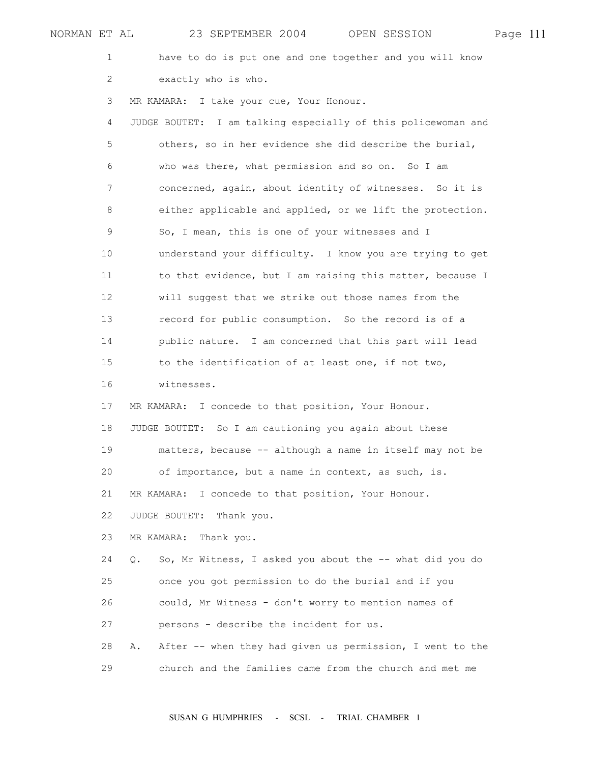| NORMAN ET AL | 23 SEPTEMBER 2004<br>OPEN SESSION                                | Page 111 |  |
|--------------|------------------------------------------------------------------|----------|--|
| 1            | have to do is put one and one together and you will know         |          |  |
| 2            | exactly who is who.                                              |          |  |
| 3            | MR KAMARA: I take your cue, Your Honour.                         |          |  |
| 4            | I am talking especially of this policewoman and<br>JUDGE BOUTET: |          |  |
| 5            | others, so in her evidence she did describe the burial,          |          |  |
| 6            | who was there, what permission and so on. So I am                |          |  |
| 7            | concerned, again, about identity of witnesses. So it is          |          |  |
| 8            | either applicable and applied, or we lift the protection.        |          |  |
| 9            | So, I mean, this is one of your witnesses and I                  |          |  |
| 10           | understand your difficulty. I know you are trying to get         |          |  |
| 11           | to that evidence, but I am raising this matter, because I        |          |  |
| 12           | will suggest that we strike out those names from the             |          |  |
| 13           | record for public consumption. So the record is of a             |          |  |
| 14           | public nature. I am concerned that this part will lead           |          |  |
| 15           | to the identification of at least one, if not two,               |          |  |
| 16           | witnesses.                                                       |          |  |
| 17           | MR KAMARA: I concede to that position, Your Honour.              |          |  |
| 18           | JUDGE BOUTET: So I am cautioning you again about these           |          |  |
| 19           | matters, because -- although a name in itself may not be         |          |  |
| 20           | of importance, but a name in context, as such, is.               |          |  |
| 21           | MR KAMARA: I concede to that position, Your Honour.              |          |  |
| 22           | JUDGE BOUTET:<br>Thank you.                                      |          |  |
| 23           | MR KAMARA:<br>Thank you.                                         |          |  |
| 24           | So, Mr Witness, I asked you about the -- what did you do<br>Q.   |          |  |
| 25           | once you got permission to do the burial and if you              |          |  |
| 26           | could, Mr Witness - don't worry to mention names of              |          |  |
| 27           | persons - describe the incident for us.                          |          |  |
| 28           | After -- when they had given us permission, I went to the<br>Α.  |          |  |
| 29           | church and the families came from the church and met me          |          |  |
|              |                                                                  |          |  |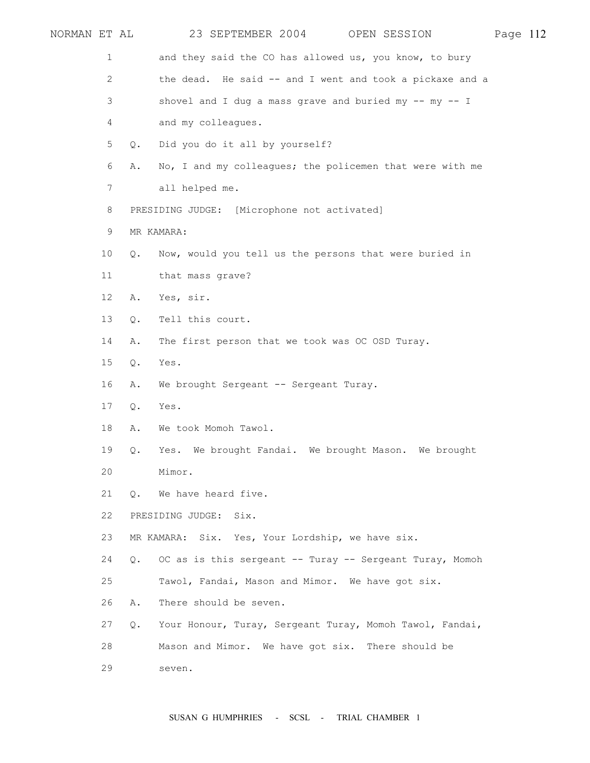| NORMAN ET AL |                |           | 23 SEPTEMBER 2004<br>OPEN SESSION                          | Page 112 |  |
|--------------|----------------|-----------|------------------------------------------------------------|----------|--|
|              | 1              |           | and they said the CO has allowed us, you know, to bury     |          |  |
|              | $\mathbf{2}$   |           | the dead. He said -- and I went and took a pickaxe and a   |          |  |
|              | 3              |           | shovel and I dug a mass grave and buried my $--$ my $--$ I |          |  |
|              | 4              |           | and my colleagues.                                         |          |  |
|              | 5              | Q.        | Did you do it all by yourself?                             |          |  |
|              | 6              | Α.        | No, I and my colleagues; the policemen that were with me   |          |  |
|              | $7\phantom{.}$ |           | all helped me.                                             |          |  |
|              | 8              |           | PRESIDING JUDGE: [Microphone not activated]                |          |  |
|              | 9              |           | MR KAMARA:                                                 |          |  |
|              | 10             | Q.        | Now, would you tell us the persons that were buried in     |          |  |
|              | 11             |           | that mass grave?                                           |          |  |
|              | 12             | Α.        | Yes, sir.                                                  |          |  |
|              | 13             | Q.        | Tell this court.                                           |          |  |
|              | 14             | Α.        | The first person that we took was OC OSD Turay.            |          |  |
|              | 15             | Q.        | Yes.                                                       |          |  |
|              | 16             | Α.        | We brought Sergeant -- Sergeant Turay.                     |          |  |
|              | 17             | Q.        | Yes.                                                       |          |  |
|              | 18             | Α.        | We took Momoh Tawol.                                       |          |  |
|              | 19             | Q.        | Yes. We brought Fandai. We brought Mason. We brought       |          |  |
|              | 20             |           | Mimor.                                                     |          |  |
|              | 21             | $\circ$ . | We have heard five.                                        |          |  |
|              | 22             |           | PRESIDING JUDGE:<br>Six.                                   |          |  |
|              | 23             |           | MR KAMARA: Six. Yes, Your Lordship, we have six.           |          |  |
|              | 24             | $\circ$ . | OC as is this sergeant -- Turay -- Sergeant Turay, Momoh   |          |  |
|              | 25             |           | Tawol, Fandai, Mason and Mimor. We have got six.           |          |  |
|              | 26             | Α.        | There should be seven.                                     |          |  |
|              | 27             | Q.        | Your Honour, Turay, Sergeant Turay, Momoh Tawol, Fandai,   |          |  |
|              | 28             |           | Mason and Mimor. We have got six. There should be          |          |  |
|              | 29             |           | seven.                                                     |          |  |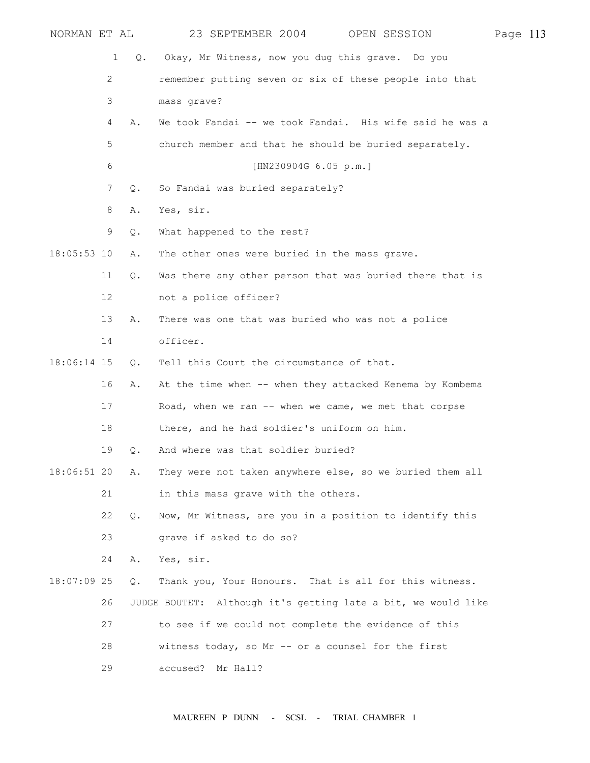| NORMAN ET AL  |                 |               | 23 SEPTEMBER 2004<br>OPEN SESSION                             | Page 113 |  |
|---------------|-----------------|---------------|---------------------------------------------------------------|----------|--|
|               | 1               | $Q_{\bullet}$ | Okay, Mr Witness, now you dug this grave. Do you              |          |  |
|               | 2               |               | remember putting seven or six of these people into that       |          |  |
|               | 3               |               | mass grave?                                                   |          |  |
|               | 4               | Α.            | We took Fandai -- we took Fandai. His wife said he was a      |          |  |
|               | 5               |               | church member and that he should be buried separately.        |          |  |
|               | 6               |               | [HN230904G 6.05 p.m.]                                         |          |  |
|               | 7               | Q.            | So Fandai was buried separately?                              |          |  |
|               | 8               | Α.            | Yes, sir.                                                     |          |  |
|               | 9               | Q.            | What happened to the rest?                                    |          |  |
| $18:05:53$ 10 |                 | Α.            | The other ones were buried in the mass grave.                 |          |  |
|               | 11              | Q.            | Was there any other person that was buried there that is      |          |  |
|               | 12 <sup>°</sup> |               | not a police officer?                                         |          |  |
|               | 13              | Α.            | There was one that was buried who was not a police            |          |  |
|               | 14              |               | officer.                                                      |          |  |
| 18:06:14 15   |                 | Q.            | Tell this Court the circumstance of that.                     |          |  |
|               | 16              | Α.            | At the time when -- when they attacked Kenema by Kombema      |          |  |
|               | 17              |               | Road, when we ran -- when we came, we met that corpse         |          |  |
|               | 18              |               | there, and he had soldier's uniform on him.                   |          |  |
|               | 19              | $Q$ .         | And where was that soldier buried?                            |          |  |
| $18:06:51$ 20 |                 | Α.            | They were not taken anywhere else, so we buried them all      |          |  |
|               | 21              |               | in this mass grave with the others.                           |          |  |
|               | 22              | Q.            | Now, Mr Witness, are you in a position to identify this       |          |  |
|               | 23              |               | grave if asked to do so?                                      |          |  |
|               | 24              | Α.            | Yes, sir.                                                     |          |  |
| $18:07:09$ 25 |                 | Q.            | Thank you, Your Honours. That is all for this witness.        |          |  |
|               | 26              |               | JUDGE BOUTET: Although it's getting late a bit, we would like |          |  |
|               | 27              |               | to see if we could not complete the evidence of this          |          |  |
|               | 28              |               | witness today, so Mr -- or a counsel for the first            |          |  |
|               | 29              |               | accused?<br>Mr Hall?                                          |          |  |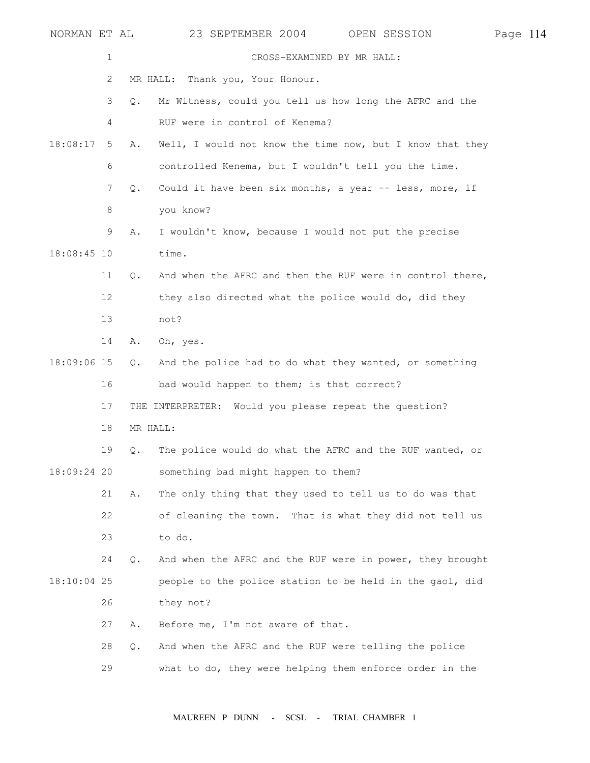| NORMAN ET AL |             |          | 23 SEPTEMBER 2004<br>OPEN SESSION                         | Page 114 |  |
|--------------|-------------|----------|-----------------------------------------------------------|----------|--|
|              | $\mathbf 1$ |          | CROSS-EXAMINED BY MR HALL:                                |          |  |
|              | 2           |          | Thank you, Your Honour.<br>MR HALL:                       |          |  |
|              | 3           | О.       | Mr Witness, could you tell us how long the AFRC and the   |          |  |
|              | 4           |          | RUF were in control of Kenema?                            |          |  |
| 18:08:17     | 5           | Α.       | Well, I would not know the time now, but I know that they |          |  |
|              | 6           |          | controlled Kenema, but I wouldn't tell you the time.      |          |  |
|              | 7           | Q.       | Could it have been six months, a year -- less, more, if   |          |  |
|              | 8           |          | you know?                                                 |          |  |
|              | 9           | Α.       | I wouldn't know, because I would not put the precise      |          |  |
| 18:08:45 10  |             |          | time.                                                     |          |  |
|              | 11          | Q.       | And when the AFRC and then the RUF were in control there, |          |  |
|              | 12          |          | they also directed what the police would do, did they     |          |  |
|              | 13          |          | not?                                                      |          |  |
|              | 14          | Α.       | Oh, yes.                                                  |          |  |
| 18:09:06 15  |             | Q.       | And the police had to do what they wanted, or something   |          |  |
|              | 16          |          | bad would happen to them; is that correct?                |          |  |
|              | 17          |          | THE INTERPRETER: Would you please repeat the question?    |          |  |
|              | 18          | MR HALL: |                                                           |          |  |
|              | 19          | Q.       | The police would do what the AFRC and the RUF wanted, or  |          |  |
| 18:09:24 20  |             |          | something bad might happen to them?                       |          |  |
|              | 21          | Α.       | The only thing that they used to tell us to do was that   |          |  |
|              | 22          |          | of cleaning the town. That is what they did not tell us   |          |  |
|              | 23          |          | to do.                                                    |          |  |
|              | 24          | Q.       | And when the AFRC and the RUF were in power, they brought |          |  |
| 18:10:04 25  |             |          | people to the police station to be held in the gaol, did  |          |  |
|              | 26          |          | they not?                                                 |          |  |
|              | 27          | Α.       | Before me, I'm not aware of that.                         |          |  |
|              | 28          | $Q$ .    | And when the AFRC and the RUF were telling the police     |          |  |
|              | 29          |          | what to do, they were helping them enforce order in the   |          |  |
|              |             |          |                                                           |          |  |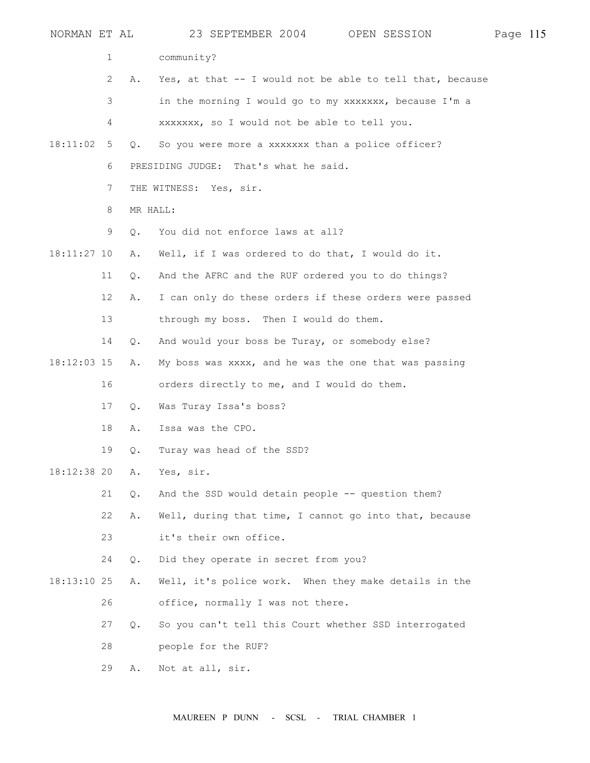| NORMAN ET AL  |    |           | 23 SEPTEMBER 2004 OPEN SESSION                            | Page 115 |  |
|---------------|----|-----------|-----------------------------------------------------------|----------|--|
|               | 1  |           | community?                                                |          |  |
|               | 2  | Α.        | Yes, at that -- I would not be able to tell that, because |          |  |
|               | 3  |           | in the morning I would go to my xxxxxxx, because I'm a    |          |  |
|               | 4  |           | xxxxxxx, so I would not be able to tell you.              |          |  |
| 18:11:02      | 5  | Q.        | So you were more a xxxxxxx than a police officer?         |          |  |
|               | 6  |           | PRESIDING JUDGE: That's what he said.                     |          |  |
|               | 7  |           | THE WITNESS: Yes, sir.                                    |          |  |
|               | 8  |           | MR HALL:                                                  |          |  |
|               | 9  | $\circ$ . | You did not enforce laws at all?                          |          |  |
| $18:11:27$ 10 |    | Α.        | Well, if I was ordered to do that, I would do it.         |          |  |
|               | 11 | Q.        | And the AFRC and the RUF ordered you to do things?        |          |  |
|               | 12 | Α.        | I can only do these orders if these orders were passed    |          |  |
|               | 13 |           | through my boss. Then I would do them.                    |          |  |
|               | 14 | О.        | And would your boss be Turay, or somebody else?           |          |  |
| 18:12:03 15   |    | Α.        | My boss was xxxx, and he was the one that was passing     |          |  |
|               | 16 |           | orders directly to me, and I would do them.               |          |  |
|               | 17 | Q.        | Was Turay Issa's boss?                                    |          |  |
|               | 18 | Α.        | Issa was the CPO.                                         |          |  |
|               | 19 | Q.        | Turay was head of the SSD?                                |          |  |
| $18:12:38$ 20 |    | Α.        | Yes, sir.                                                 |          |  |
|               | 21 | Q.        | And the SSD would detain people -- question them?         |          |  |
|               | 22 | Α.        | Well, during that time, I cannot go into that, because    |          |  |
|               | 23 |           | it's their own office.                                    |          |  |
|               | 24 | $Q$ .     | Did they operate in secret from you?                      |          |  |
| $18:13:10$ 25 |    | Α.        | Well, it's police work. When they make details in the     |          |  |
|               | 26 |           | office, normally I was not there.                         |          |  |
|               | 27 | $\circ$ . | So you can't tell this Court whether SSD interrogated     |          |  |
|               | 28 |           | people for the RUF?                                       |          |  |
|               | 29 | Α.        | Not at all, sir.                                          |          |  |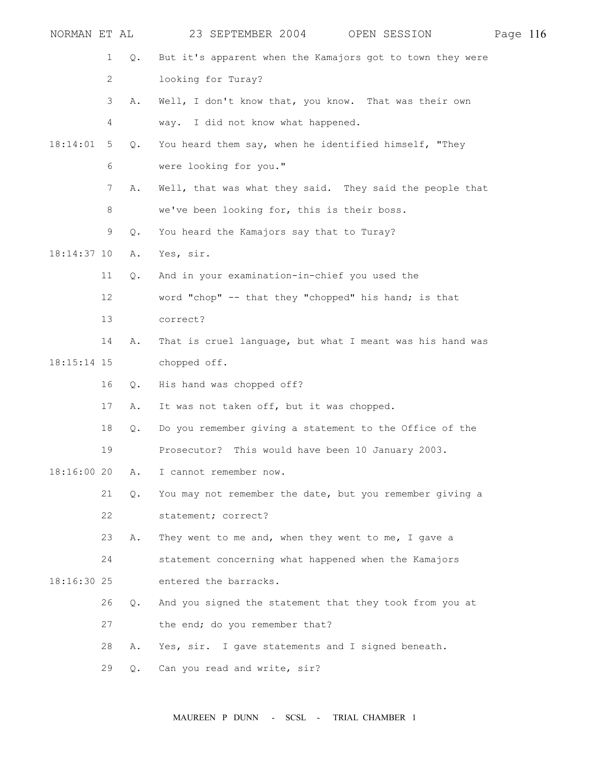| NORMAN ET AL  |    |           | 23 SEPTEMBER 2004<br>OPEN SESSION                         | Page 116 |  |
|---------------|----|-----------|-----------------------------------------------------------|----------|--|
|               | 1  | Q.        | But it's apparent when the Kamajors got to town they were |          |  |
|               | 2  |           | looking for Turay?                                        |          |  |
|               | 3  | Α.        | Well, I don't know that, you know. That was their own     |          |  |
|               | 4  |           | way. I did not know what happened.                        |          |  |
| 18:14:01      | 5  | Q.        | You heard them say, when he identified himself, "They     |          |  |
|               | 6  |           | were looking for you."                                    |          |  |
|               | 7  | Α.        | Well, that was what they said. They said the people that  |          |  |
|               | 8  |           | we've been looking for, this is their boss.               |          |  |
|               | 9  | Q.        | You heard the Kamajors say that to Turay?                 |          |  |
| 18:14:37 10   |    | Α.        | Yes, sir.                                                 |          |  |
|               | 11 | Q.        | And in your examination-in-chief you used the             |          |  |
|               | 12 |           | word "chop" -- that they "chopped" his hand; is that      |          |  |
|               | 13 |           | correct?                                                  |          |  |
|               | 14 | Α.        | That is cruel language, but what I meant was his hand was |          |  |
| $18:15:14$ 15 |    |           | chopped off.                                              |          |  |
|               | 16 | Q.        | His hand was chopped off?                                 |          |  |
|               | 17 | Α.        | It was not taken off, but it was chopped.                 |          |  |
|               | 18 | Q.        | Do you remember giving a statement to the Office of the   |          |  |
|               | 19 |           | Prosecutor? This would have been 10 January 2003.         |          |  |
| 18:16:00 20   |    | Α.        | I cannot remember now.                                    |          |  |
|               | 21 | Q.        | You may not remember the date, but you remember giving a  |          |  |
|               | 22 |           | statement; correct?                                       |          |  |
|               | 23 | Α.        | They went to me and, when they went to me, I gave a       |          |  |
|               | 24 |           | statement concerning what happened when the Kamajors      |          |  |
| 18:16:30 25   |    |           | entered the barracks.                                     |          |  |
|               | 26 | Q.        | And you signed the statement that they took from you at   |          |  |
|               | 27 |           | the end; do you remember that?                            |          |  |
|               | 28 | Α.        | Yes, sir. I gave statements and I signed beneath.         |          |  |
|               | 29 | $\circ$ . | Can you read and write, sir?                              |          |  |
|               |    |           |                                                           |          |  |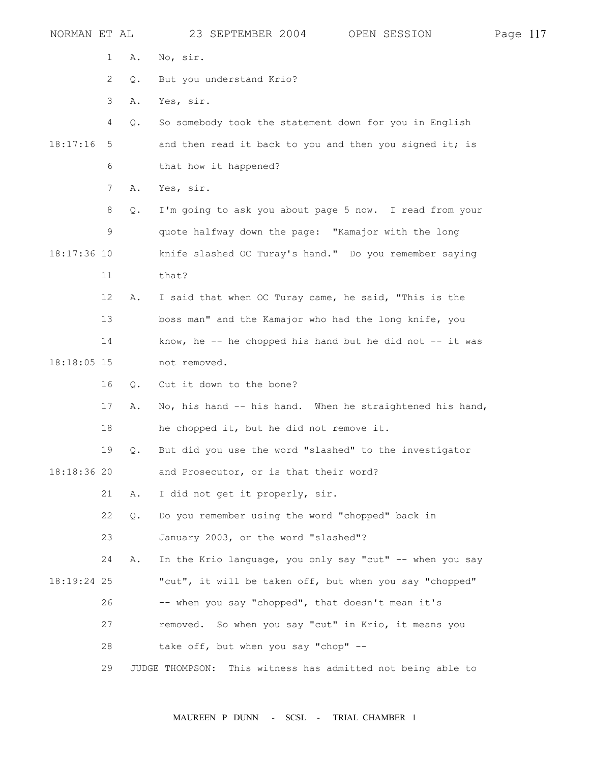| NORMAN ET AL |                       |    | 23 SEPTEMBER 2004 OPEN SESSION                              | Page 117 |  |
|--------------|-----------------------|----|-------------------------------------------------------------|----------|--|
|              | 1                     | Α. | No, sir.                                                    |          |  |
|              | $\mathbf{2}^{\prime}$ | Q. | But you understand Krio?                                    |          |  |
|              | 3                     | Α. | Yes, sir.                                                   |          |  |
|              | 4                     | Q. | So somebody took the statement down for you in English      |          |  |
| 18:17:16     | 5                     |    | and then read it back to you and then you signed it; is     |          |  |
|              | 6                     |    | that how it happened?                                       |          |  |
|              | $7\phantom{.0}$       | Α. | Yes, sir.                                                   |          |  |
|              | 8                     | Q. | I'm going to ask you about page 5 now. I read from your     |          |  |
|              | 9                     |    | quote halfway down the page: "Kamajor with the long         |          |  |
| 18:17:36 10  |                       |    | knife slashed OC Turay's hand." Do you remember saying      |          |  |
|              | 11                    |    | that?                                                       |          |  |
|              | 12                    | Α. | I said that when OC Turay came, he said, "This is the       |          |  |
|              | 13                    |    | boss man" and the Kamajor who had the long knife, you       |          |  |
|              | 14                    |    | know, he -- he chopped his hand but he did not -- it was    |          |  |
| 18:18:05 15  |                       |    | not removed.                                                |          |  |
|              | 16                    | Q. | Cut it down to the bone?                                    |          |  |
|              | 17                    | Α. | No, his hand -- his hand. When he straightened his hand,    |          |  |
|              | 18                    |    | he chopped it, but he did not remove it.                    |          |  |
|              | 19                    | Q. | But did you use the word "slashed" to the investigator      |          |  |
| 18:18:36 20  |                       |    | and Prosecutor, or is that their word?                      |          |  |
|              | 21                    | Α. | I did not get it properly, sir.                             |          |  |
|              | 22                    | Q. | Do you remember using the word "chopped" back in            |          |  |
|              | 23                    |    | January 2003, or the word "slashed"?                        |          |  |
|              | 24                    | Α. | In the Krio language, you only say "cut" -- when you say    |          |  |
| 18:19:24 25  |                       |    | "cut", it will be taken off, but when you say "chopped"     |          |  |
|              | 26                    |    | -- when you say "chopped", that doesn't mean it's           |          |  |
|              | 27                    |    | removed. So when you say "cut" in Krio, it means you        |          |  |
|              | 28                    |    | take off, but when you say "chop" --                        |          |  |
|              | 29                    |    | JUDGE THOMPSON: This witness has admitted not being able to |          |  |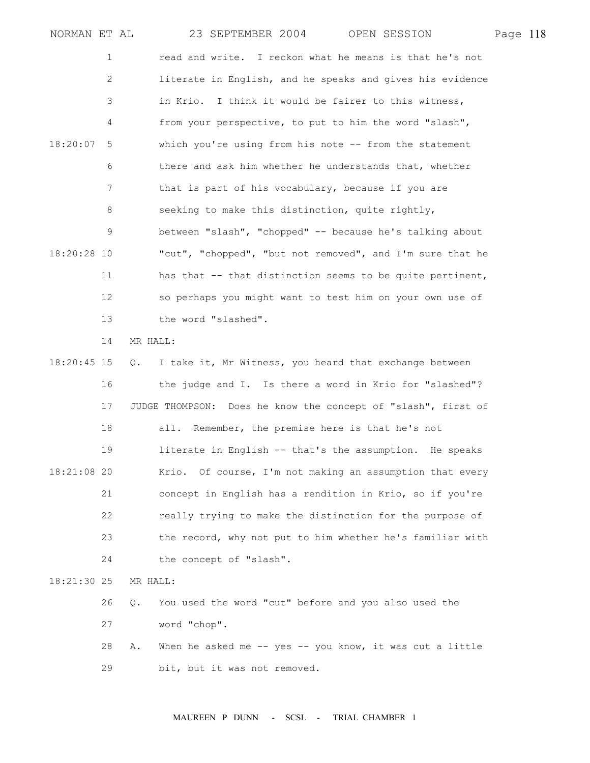| NORMAN ET AL |                   |          | 23 SEPTEMBER 2004                                              | OPEN SESSION | Page 118 |  |
|--------------|-------------------|----------|----------------------------------------------------------------|--------------|----------|--|
|              | 1                 |          | read and write. I reckon what he means is that he's not        |              |          |  |
|              | 2                 |          | literate in English, and he speaks and gives his evidence      |              |          |  |
|              | 3                 |          | in Krio.<br>I think it would be fairer to this witness,        |              |          |  |
|              | 4                 |          | from your perspective, to put to him the word "slash",         |              |          |  |
| 18:20:07     | 5                 |          | which you're using from his note -- from the statement         |              |          |  |
|              | 6                 |          | there and ask him whether he understands that, whether         |              |          |  |
|              | 7                 |          | that is part of his vocabulary, because if you are             |              |          |  |
|              | 8                 |          | seeking to make this distinction, quite rightly,               |              |          |  |
|              | 9                 |          | between "slash", "chopped" -- because he's talking about       |              |          |  |
| 18:20:28 10  |                   |          | "cut", "chopped", "but not removed", and I'm sure that he      |              |          |  |
|              | 11                |          | has that -- that distinction seems to be quite pertinent,      |              |          |  |
|              | $12 \overline{ }$ |          | so perhaps you might want to test him on your own use of       |              |          |  |
|              | 13                |          | the word "slashed".                                            |              |          |  |
|              | 14                | MR HALL: |                                                                |              |          |  |
| 18:20:45 15  |                   | Q.       | I take it, Mr Witness, you heard that exchange between         |              |          |  |
|              | 16                |          | the judge and I. Is there a word in Krio for "slashed"?        |              |          |  |
|              | 17                |          | JUDGE THOMPSON: Does he know the concept of "slash", first of  |              |          |  |
|              | 18                |          | all. Remember, the premise here is that he's not               |              |          |  |
|              | 19                |          | literate in English -- that's the assumption. He speaks        |              |          |  |
| 18:21:08 20  |                   |          | Krio. Of course, I'm not making an assumption that every       |              |          |  |
|              | 21                |          | concept in English has a rendition in Krio, so if you're       |              |          |  |
|              | 22                |          | really trying to make the distinction for the purpose of       |              |          |  |
|              | 23                |          | the record, why not put to him whether he's familiar with      |              |          |  |
|              | 24                |          | the concept of "slash".                                        |              |          |  |
| 18:21:30 25  |                   | MR HALL: |                                                                |              |          |  |
|              | 26                | Q.       | You used the word "cut" before and you also used the           |              |          |  |
|              | 27                |          | word "chop".                                                   |              |          |  |
|              | 28                | Α.       | When he asked me $-$ - yes $-$ - you know, it was cut a little |              |          |  |
|              | 29                |          | bit, but it was not removed.                                   |              |          |  |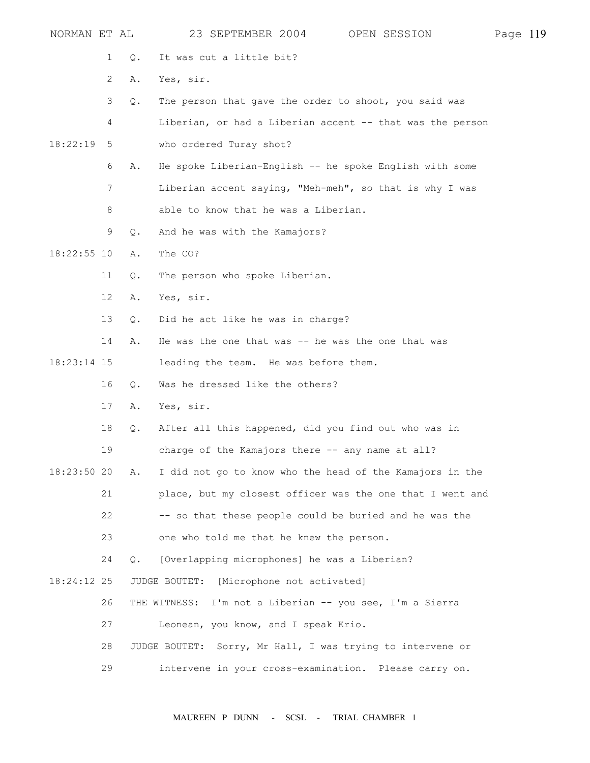| NORMAN ET AL  |              |               | 23 SEPTEMBER 2004                                          | OPEN SESSION                                              | Page 119 |  |
|---------------|--------------|---------------|------------------------------------------------------------|-----------------------------------------------------------|----------|--|
|               | $\mathbf{1}$ | Q.            | It was cut a little bit?                                   |                                                           |          |  |
|               | 2            | Α.            | Yes, sir.                                                  |                                                           |          |  |
|               | 3            | Q.            | The person that gave the order to shoot, you said was      |                                                           |          |  |
|               | 4            |               |                                                            | Liberian, or had a Liberian accent -- that was the person |          |  |
| 18:22:19      | 5            |               | who ordered Turay shot?                                    |                                                           |          |  |
|               | 6            | Α.            |                                                            | He spoke Liberian-English -- he spoke English with some   |          |  |
|               | 7            |               |                                                            | Liberian accent saying, "Meh-meh", so that is why I was   |          |  |
|               | 8            |               | able to know that he was a Liberian.                       |                                                           |          |  |
|               | 9            | Q.            | And he was with the Kamajors?                              |                                                           |          |  |
| $18:22:55$ 10 |              | Α.            | The CO?                                                    |                                                           |          |  |
|               | 11           | Q.            | The person who spoke Liberian.                             |                                                           |          |  |
|               | 12           | Α.            | Yes, sir.                                                  |                                                           |          |  |
|               | 13           | О.            | Did he act like he was in charge?                          |                                                           |          |  |
|               | 14           | Α.            | He was the one that was $-$ he was the one that was        |                                                           |          |  |
| $18:23:14$ 15 |              |               | leading the team. He was before them.                      |                                                           |          |  |
|               | 16           | Q.            | Was he dressed like the others?                            |                                                           |          |  |
|               | 17           | Α.            | Yes, sir.                                                  |                                                           |          |  |
|               | 18           | $Q$ .         | After all this happened, did you find out who was in       |                                                           |          |  |
|               | 19           |               | charge of the Kamajors there -- any name at all?           |                                                           |          |  |
| 18:23:50 20   |              | Α.            |                                                            | I did not go to know who the head of the Kamajors in the  |          |  |
|               | 21           |               |                                                            | place, but my closest officer was the one that I went and |          |  |
|               | 22           |               | -- so that these people could be buried and he was the     |                                                           |          |  |
|               | 23           |               | one who told me that he knew the person.                   |                                                           |          |  |
|               | 24           | $Q_{\bullet}$ | [Overlapping microphones] he was a Liberian?               |                                                           |          |  |
| 18:24:12 25   |              |               | [Microphone not activated]<br>JUDGE BOUTET:                |                                                           |          |  |
|               | 26           |               | THE WITNESS: I'm not a Liberian -- you see, I'm a Sierra   |                                                           |          |  |
|               | 27           |               | Leonean, you know, and I speak Krio.                       |                                                           |          |  |
|               | 28           |               | JUDGE BOUTET: Sorry, Mr Hall, I was trying to intervene or |                                                           |          |  |
|               | 29           |               | intervene in your cross-examination. Please carry on.      |                                                           |          |  |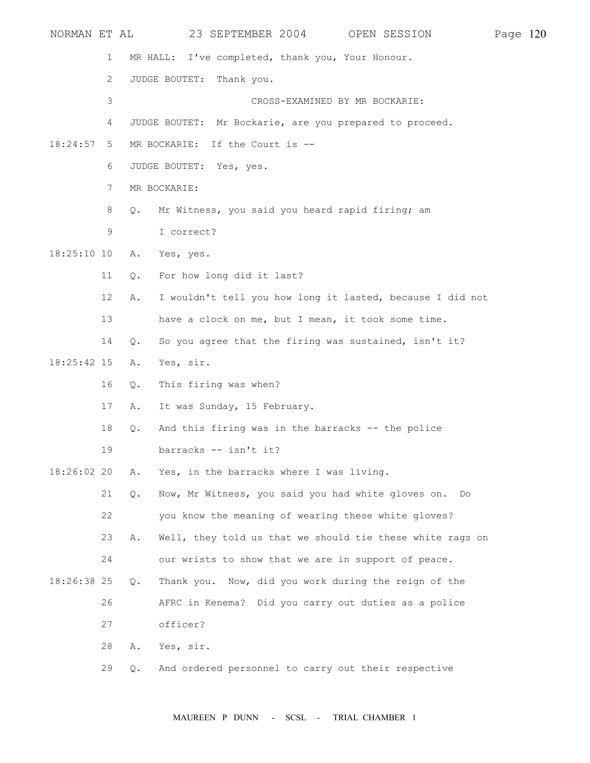| NORMAN ET AL  |              |       | 23 SEPTEMBER 2004<br>OPEN SESSION                         | Page 120 |  |
|---------------|--------------|-------|-----------------------------------------------------------|----------|--|
|               | 1            |       | MR HALL: I've completed, thank you, Your Honour.          |          |  |
|               | $\mathbf{2}$ |       | JUDGE BOUTET:<br>Thank you.                               |          |  |
|               | 3            |       | CROSS-EXAMINED BY MR BOCKARIE:                            |          |  |
|               | 4            |       | JUDGE BOUTET: Mr Bockarie, are you prepared to proceed.   |          |  |
| 18:24:57      | 5            |       | MR BOCKARIE: If the Court is --                           |          |  |
|               | 6            |       | JUDGE BOUTET: Yes, yes.                                   |          |  |
|               | 7            |       | MR BOCKARIE:                                              |          |  |
|               | 8            | Q.    | Mr Witness, you said you heard rapid firing; am           |          |  |
|               | 9            |       | I correct?                                                |          |  |
| $18:25:10$ 10 |              | Α.    | Yes, yes.                                                 |          |  |
|               | 11           | Q.    | For how long did it last?                                 |          |  |
|               | 12           | Α.    | I wouldn't tell you how long it lasted, because I did not |          |  |
|               | 13           |       | have a clock on me, but I mean, it took some time.        |          |  |
|               | 14           | Q.    | So you agree that the firing was sustained, isn't it?     |          |  |
| $18:25:42$ 15 |              | Α.    | Yes, sir.                                                 |          |  |
|               | 16           | Q.    | This firing was when?                                     |          |  |
|               | 17           | Α.    | It was Sunday, 15 February.                               |          |  |
|               | 18           | Q.    | And this firing was in the barracks -- the police         |          |  |
|               | 19           |       | barracks -- isn't it?                                     |          |  |
| 18:26:02 20   |              | Α.    | Yes, in the barracks where I was living.                  |          |  |
|               | 21           | Q.    | Now, Mr Witness, you said you had white gloves on. Do     |          |  |
|               | 22           |       | you know the meaning of wearing these white gloves?       |          |  |
|               | 23           | Α.    | Well, they told us that we should tie these white rags on |          |  |
|               | 24           |       | our wrists to show that we are in support of peace.       |          |  |
| 18:26:38 25   |              | $Q$ . | Thank you. Now, did you work during the reign of the      |          |  |
|               | 26           |       | AFRC in Kenema? Did you carry out duties as a police      |          |  |
|               | 27           |       | officer?                                                  |          |  |
|               | 28           | Α.    | Yes, sir.                                                 |          |  |
|               | 29           | Q.    | And ordered personnel to carry out their respective       |          |  |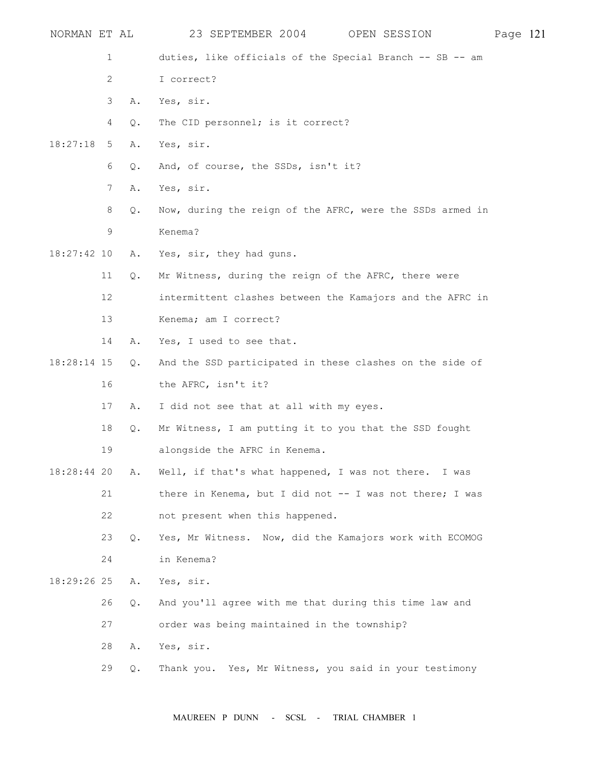| NORMAN ET AL  |    |       | 23 SEPTEMBER 2004<br>OPEN SESSION                         | Page 121 |  |
|---------------|----|-------|-----------------------------------------------------------|----------|--|
|               | 1  |       | duties, like officials of the Special Branch -- SB -- am  |          |  |
|               | 2  |       | I correct?                                                |          |  |
|               | 3  | Α.    | Yes, sir.                                                 |          |  |
|               | 4  | Q.    | The CID personnel; is it correct?                         |          |  |
| 18:27:18      | 5  | Α.    | Yes, sir.                                                 |          |  |
|               | 6  | $Q$ . | And, of course, the SSDs, isn't it?                       |          |  |
|               | 7  | Α.    | Yes, sir.                                                 |          |  |
|               | 8  | Q.    | Now, during the reign of the AFRC, were the SSDs armed in |          |  |
|               | 9  |       | Kenema?                                                   |          |  |
| $18:27:42$ 10 |    | Α.    | Yes, sir, they had guns.                                  |          |  |
|               | 11 | Q.    | Mr Witness, during the reign of the AFRC, there were      |          |  |
|               | 12 |       | intermittent clashes between the Kamajors and the AFRC in |          |  |
|               | 13 |       | Kenema; am I correct?                                     |          |  |
|               | 14 | Α.    | Yes, I used to see that.                                  |          |  |
| 18:28:14 15   |    | $Q$ . | And the SSD participated in these clashes on the side of  |          |  |
|               | 16 |       | the AFRC, isn't it?                                       |          |  |
|               | 17 | Α.    | I did not see that at all with my eyes.                   |          |  |
|               | 18 | Q.    | Mr Witness, I am putting it to you that the SSD fought    |          |  |
|               | 19 |       | alongside the AFRC in Kenema.                             |          |  |
| 18:28:44 20   |    | Α.    | Well, if that's what happened, I was not there. I was     |          |  |
|               | 21 |       | there in Kenema, but I did not -- I was not there; I was  |          |  |
|               | 22 |       | not present when this happened.                           |          |  |
|               | 23 | Q.    | Yes, Mr Witness. Now, did the Kamajors work with ECOMOG   |          |  |
|               | 24 |       | in Kenema?                                                |          |  |
| 18:29:26 25   |    | Α.    | Yes, sir.                                                 |          |  |
|               | 26 | $Q$ . | And you'll agree with me that during this time law and    |          |  |
|               | 27 |       | order was being maintained in the township?               |          |  |
|               | 28 | Α.    | Yes, sir.                                                 |          |  |
|               | 29 | Q.    | Thank you. Yes, Mr Witness, you said in your testimony    |          |  |
|               |    |       |                                                           |          |  |

MAUREEN P DUNN - SCSL - TRIAL CHAMBER 1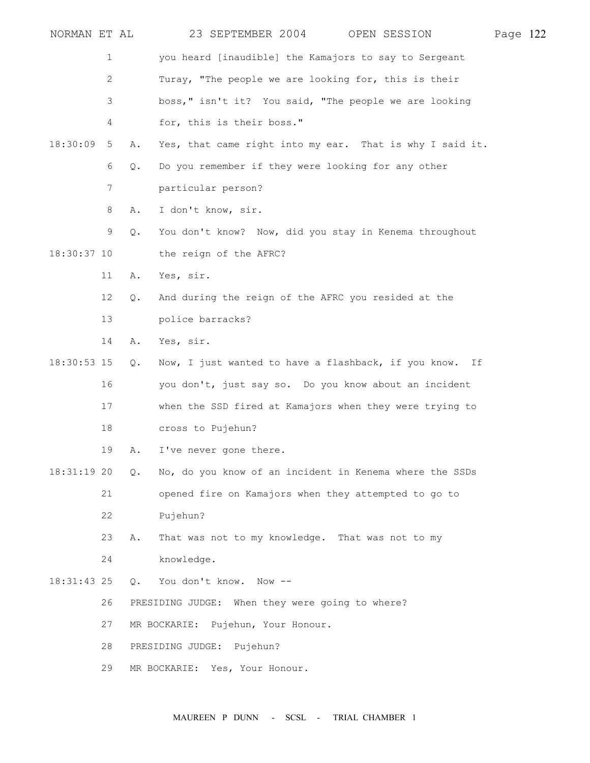| NORMAN ET AL  |                |       | 23 SEPTEMBER 2004                                        | OPEN SESSION | Page 122 |  |
|---------------|----------------|-------|----------------------------------------------------------|--------------|----------|--|
|               | $\mathbf 1$    |       | you heard [inaudible] the Kamajors to say to Sergeant    |              |          |  |
|               | $\mathbf{2}$   |       | Turay, "The people we are looking for, this is their     |              |          |  |
|               | 3              |       | boss, " isn't it? You said, "The people we are looking   |              |          |  |
|               | 4              |       | for, this is their boss."                                |              |          |  |
| 18:30:09      | 5              | Α.    | Yes, that came right into my ear. That is why I said it. |              |          |  |
|               | 6              | Q.    | Do you remember if they were looking for any other       |              |          |  |
|               | $\overline{7}$ |       | particular person?                                       |              |          |  |
|               | 8              | Α.    | I don't know, sir.                                       |              |          |  |
|               | 9              | Q.    | You don't know? Now, did you stay in Kenema throughout   |              |          |  |
| 18:30:37 10   |                |       | the reign of the AFRC?                                   |              |          |  |
|               | 11             | Α.    | Yes, sir.                                                |              |          |  |
|               | 12             | Q.    | And during the reign of the AFRC you resided at the      |              |          |  |
|               | 13             |       | police barracks?                                         |              |          |  |
|               | 14             | Α.    | Yes, sir.                                                |              |          |  |
| $18:30:53$ 15 |                | Q.    | Now, I just wanted to have a flashback, if you know. If  |              |          |  |
|               | 16             |       | you don't, just say so. Do you know about an incident    |              |          |  |
|               | 17             |       | when the SSD fired at Kamajors when they were trying to  |              |          |  |
|               | 18             |       | cross to Pujehun?                                        |              |          |  |
|               | 19             | Α.    | I've never gone there.                                   |              |          |  |
| $18:31:19$ 20 |                | Q.    | No, do you know of an incident in Kenema where the SSDs  |              |          |  |
|               | 21             |       | opened fire on Kamajors when they attempted to go to     |              |          |  |
|               | 22             |       | Pujehun?                                                 |              |          |  |
|               | 23             | Α.    | That was not to my knowledge. That was not to my         |              |          |  |
|               | 24             |       | knowledge.                                               |              |          |  |
| 18:31:43 25   |                | $Q$ . | You don't know. Now --                                   |              |          |  |
|               | 26             |       | PRESIDING JUDGE: When they were going to where?          |              |          |  |
|               | 27             |       | MR BOCKARIE: Pujehun, Your Honour.                       |              |          |  |
|               | 28             |       | PRESIDING JUDGE: Pujehun?                                |              |          |  |
|               | 29             |       | MR BOCKARIE: Yes, Your Honour.                           |              |          |  |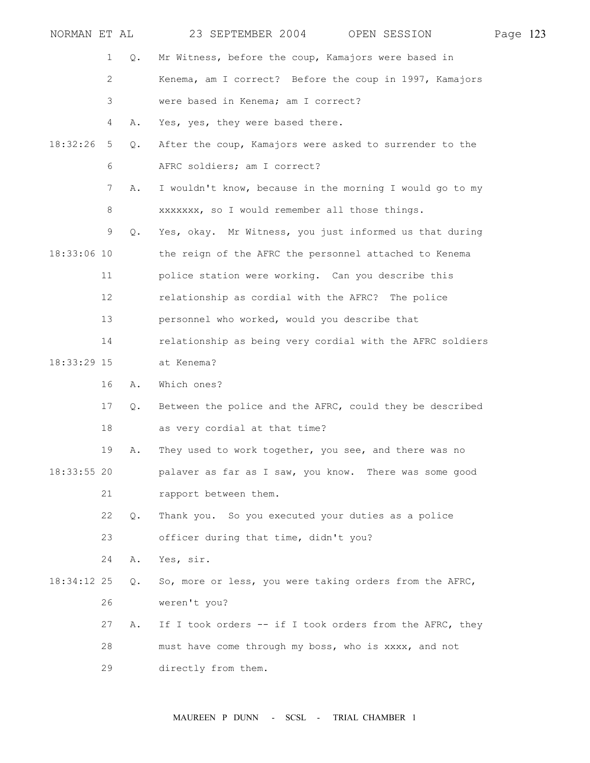| NORMAN ET AL  |                       |    | 23 SEPTEMBER 2004 OPEN SESSION                            | Page 123 |  |
|---------------|-----------------------|----|-----------------------------------------------------------|----------|--|
|               | 1                     | Q. | Mr Witness, before the coup, Kamajors were based in       |          |  |
|               | $\mathbf{2}^{\prime}$ |    | Kenema, am I correct? Before the coup in 1997, Kamajors   |          |  |
|               | 3                     |    | were based in Kenema; am I correct?                       |          |  |
|               | 4                     | Α. | Yes, yes, they were based there.                          |          |  |
| 18:32:26      | 5                     | Q. | After the coup, Kamajors were asked to surrender to the   |          |  |
|               | 6                     |    | AFRC soldiers; am I correct?                              |          |  |
|               | 7                     | Α. | I wouldn't know, because in the morning I would go to my  |          |  |
|               | 8                     |    | xxxxxxx, so I would remember all those things.            |          |  |
|               | 9                     | Q. | Yes, okay. Mr Witness, you just informed us that during   |          |  |
| 18:33:06 10   |                       |    | the reign of the AFRC the personnel attached to Kenema    |          |  |
|               | 11                    |    | police station were working. Can you describe this        |          |  |
|               | 12                    |    | relationship as cordial with the AFRC? The police         |          |  |
|               | 13                    |    | personnel who worked, would you describe that             |          |  |
|               | 14                    |    | relationship as being very cordial with the AFRC soldiers |          |  |
| 18:33:29 15   |                       |    | at Kenema?                                                |          |  |
|               | 16                    | Α. | Which ones?                                               |          |  |
|               | 17                    | Q. | Between the police and the AFRC, could they be described  |          |  |
|               | 18                    |    | as very cordial at that time?                             |          |  |
|               | 19                    | Α. | They used to work together, you see, and there was no     |          |  |
| $18:33:55$ 20 |                       |    | palaver as far as I saw, you know. There was some good    |          |  |
|               | 21                    |    | rapport between them.                                     |          |  |
|               | 22                    | Q. | Thank you. So you executed your duties as a police        |          |  |
|               | 23                    |    | officer during that time, didn't you?                     |          |  |
|               | 24                    | Α. | Yes, sir.                                                 |          |  |
| 18:34:12 25   |                       | Q. | So, more or less, you were taking orders from the AFRC,   |          |  |
|               | 26                    |    | weren't you?                                              |          |  |
|               | 27                    | Α. | If I took orders -- if I took orders from the AFRC, they  |          |  |
|               | 28                    |    | must have come through my boss, who is xxxx, and not      |          |  |
|               | 29                    |    | directly from them.                                       |          |  |

MAUREEN P DUNN - SCSL - TRIAL CHAMBER 1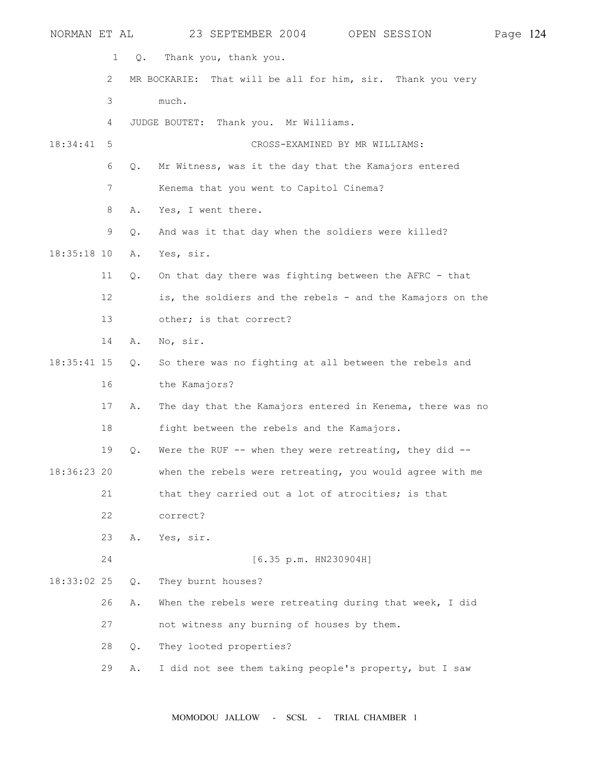| NORMAN ET AL  |    |       | 23 SEPTEMBER 2004                                            | OPEN SESSION | Page 124 |  |
|---------------|----|-------|--------------------------------------------------------------|--------------|----------|--|
|               | 1  | Q.    | Thank you, thank you.                                        |              |          |  |
|               | 2  |       | MR BOCKARIE: That will be all for him, sir. Thank you very   |              |          |  |
|               | 3  |       | much.                                                        |              |          |  |
|               | 4  |       | Thank you. Mr Williams.<br>JUDGE BOUTET:                     |              |          |  |
| 18:34:41      | 5  |       | CROSS-EXAMINED BY MR WILLIAMS:                               |              |          |  |
|               | 6  | Q.    | Mr Witness, was it the day that the Kamajors entered         |              |          |  |
|               | 7  |       | Kenema that you went to Capitol Cinema?                      |              |          |  |
|               | 8  | Α.    | Yes, I went there.                                           |              |          |  |
|               | 9  | $Q$ . | And was it that day when the soldiers were killed?           |              |          |  |
| $18:35:18$ 10 |    | Α.    | Yes, sir.                                                    |              |          |  |
|               | 11 | Q.    | On that day there was fighting between the AFRC - that       |              |          |  |
|               | 12 |       | is, the soldiers and the rebels - and the Kamajors on the    |              |          |  |
|               | 13 |       | other; is that correct?                                      |              |          |  |
|               | 14 | Α.    | No, sir.                                                     |              |          |  |
| $18:35:41$ 15 |    | Q.    | So there was no fighting at all between the rebels and       |              |          |  |
|               | 16 |       | the Kamajors?                                                |              |          |  |
|               | 17 | Α.    | The day that the Kamajors entered in Kenema, there was no    |              |          |  |
|               | 18 |       | fight between the rebels and the Kamajors.                   |              |          |  |
|               | 19 | Q.    | Were the RUF $-$ - when they were retreating, they did $-$ - |              |          |  |
| $18:36:23$ 20 |    |       | when the rebels were retreating, you would agree with me     |              |          |  |
|               | 21 |       | that they carried out a lot of atrocities; is that           |              |          |  |
|               | 22 |       | correct?                                                     |              |          |  |
|               | 23 | Α.    | Yes, sir.                                                    |              |          |  |
|               | 24 |       | [6.35 p.m. H N230904H]                                       |              |          |  |
| $18:33:02$ 25 |    | $Q$ . | They burnt houses?                                           |              |          |  |
|               | 26 | Α.    | When the rebels were retreating during that week, I did      |              |          |  |
|               | 27 |       | not witness any burning of houses by them.                   |              |          |  |
|               | 28 | Q.    | They looted properties?                                      |              |          |  |
|               | 29 | Α.    | I did not see them taking people's property, but I saw       |              |          |  |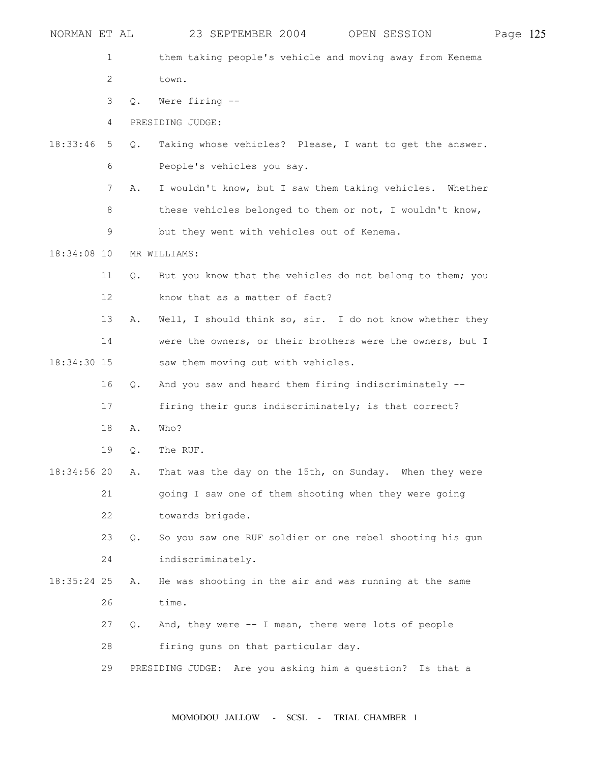| NORMAN ET AL  |                |               | 23 SEPTEMBER 2004<br>OPEN SESSION                            | Page 125 |  |
|---------------|----------------|---------------|--------------------------------------------------------------|----------|--|
|               | $\mathbf 1$    |               | them taking people's vehicle and moving away from Kenema     |          |  |
|               | $\overline{c}$ |               | town.                                                        |          |  |
|               | 3              | $Q_{\bullet}$ | Were firing --                                               |          |  |
|               | 4              |               | PRESIDING JUDGE:                                             |          |  |
| 18:33:46      | 5              | Q.            | Taking whose vehicles? Please, I want to get the answer.     |          |  |
|               | 6              |               | People's vehicles you say.                                   |          |  |
|               | 7              | Α.            | I wouldn't know, but I saw them taking vehicles. Whether     |          |  |
|               | 8              |               | these vehicles belonged to them or not, I wouldn't know,     |          |  |
|               | 9              |               | but they went with vehicles out of Kenema.                   |          |  |
| $18:34:08$ 10 |                |               | MR WILLIAMS:                                                 |          |  |
|               | 11             | $Q$ .         | But you know that the vehicles do not belong to them; you    |          |  |
|               | 12             |               | know that as a matter of fact?                               |          |  |
|               | 13             | Α.            | Well, I should think so, sir. I do not know whether they     |          |  |
|               | 14             |               | were the owners, or their brothers were the owners, but I    |          |  |
| 18:34:30 15   |                |               | saw them moving out with vehicles.                           |          |  |
|               | 16             | $Q_{\bullet}$ | And you saw and heard them firing indiscriminately --        |          |  |
|               | 17             |               | firing their guns indiscriminately; is that correct?         |          |  |
|               | 18             | Α.            | Who?                                                         |          |  |
|               | 19             | Q.            | The RUF.                                                     |          |  |
| 18:34:56 20   |                | Α.            | That was the day on the 15th, on Sunday. When they were      |          |  |
|               | 21             |               | going I saw one of them shooting when they were going        |          |  |
|               | 22             |               | towards brigade.                                             |          |  |
|               | 23             | $Q_{\bullet}$ | So you saw one RUF soldier or one rebel shooting his gun     |          |  |
|               | 24             |               | indiscriminately.                                            |          |  |
| 18:35:24 25   |                | Α.            | He was shooting in the air and was running at the same       |          |  |
|               | 26             |               | time.                                                        |          |  |
|               | 27             | Q.            | And, they were -- I mean, there were lots of people          |          |  |
|               | 28             |               | firing guns on that particular day.                          |          |  |
|               | 29             |               | Are you asking him a question? Is that a<br>PRESIDING JUDGE: |          |  |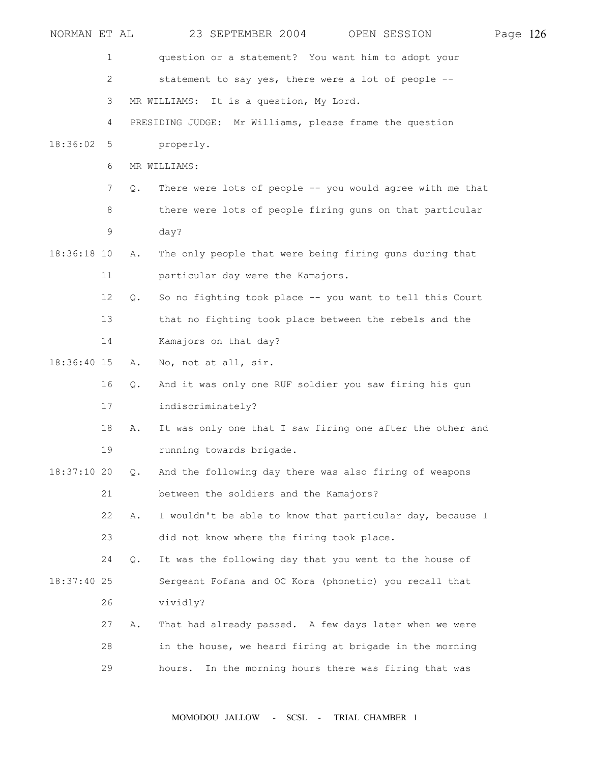| NORMAN ET AL  |                |    |                   | 23 SEPTEMBER 2004                         |  | OPEN SESSION                                              | Page 126 |  |
|---------------|----------------|----|-------------------|-------------------------------------------|--|-----------------------------------------------------------|----------|--|
|               | 1              |    |                   |                                           |  | question or a statement? You want him to adopt your       |          |  |
|               | $\overline{c}$ |    |                   |                                           |  | statement to say yes, there were a lot of people --       |          |  |
|               | 3              |    |                   | MR WILLIAMS: It is a question, My Lord.   |  |                                                           |          |  |
|               | 4              |    |                   |                                           |  | PRESIDING JUDGE: Mr Williams, please frame the question   |          |  |
| 18:36:02      | 5              |    | properly.         |                                           |  |                                                           |          |  |
|               | 6              |    | MR WILLIAMS:      |                                           |  |                                                           |          |  |
|               | $7\phantom{.}$ | Q. |                   |                                           |  | There were lots of people -- you would agree with me that |          |  |
|               | 8              |    |                   |                                           |  | there were lots of people firing guns on that particular  |          |  |
|               | 9              |    | day?              |                                           |  |                                                           |          |  |
| $18:36:18$ 10 |                | Α. |                   |                                           |  | The only people that were being firing guns during that   |          |  |
|               | 11             |    |                   | particular day were the Kamajors.         |  |                                                           |          |  |
|               | 12             | Q. |                   |                                           |  | So no fighting took place -- you want to tell this Court  |          |  |
|               | 13             |    |                   |                                           |  | that no fighting took place between the rebels and the    |          |  |
|               | 14             |    |                   | Kamajors on that day?                     |  |                                                           |          |  |
| 18:36:40 15   |                | Α. |                   | No, not at all, sir.                      |  |                                                           |          |  |
|               | 16             | Q. |                   |                                           |  | And it was only one RUF soldier you saw firing his gun    |          |  |
|               | 17             |    | indiscriminately? |                                           |  |                                                           |          |  |
|               | 18             | Α. |                   |                                           |  | It was only one that I saw firing one after the other and |          |  |
|               | 19             |    |                   | running towards brigade.                  |  |                                                           |          |  |
| $18:37:10$ 20 |                | Q. |                   |                                           |  | And the following day there was also firing of weapons    |          |  |
|               | 21             |    |                   | between the soldiers and the Kamajors?    |  |                                                           |          |  |
|               | 22             | Α. |                   |                                           |  | I wouldn't be able to know that particular day, because I |          |  |
|               | 23             |    |                   | did not know where the firing took place. |  |                                                           |          |  |
|               | 24             | Q. |                   |                                           |  | It was the following day that you went to the house of    |          |  |
| 18:37:40 25   |                |    |                   |                                           |  | Sergeant Fofana and OC Kora (phonetic) you recall that    |          |  |
|               | 26             |    | vividly?          |                                           |  |                                                           |          |  |
|               | 27             | Α. |                   |                                           |  | That had already passed. A few days later when we were    |          |  |
|               | 28             |    |                   |                                           |  | in the house, we heard firing at brigade in the morning   |          |  |
|               | 29             |    | hours.            |                                           |  | In the morning hours there was firing that was            |          |  |
|               |                |    |                   |                                           |  |                                                           |          |  |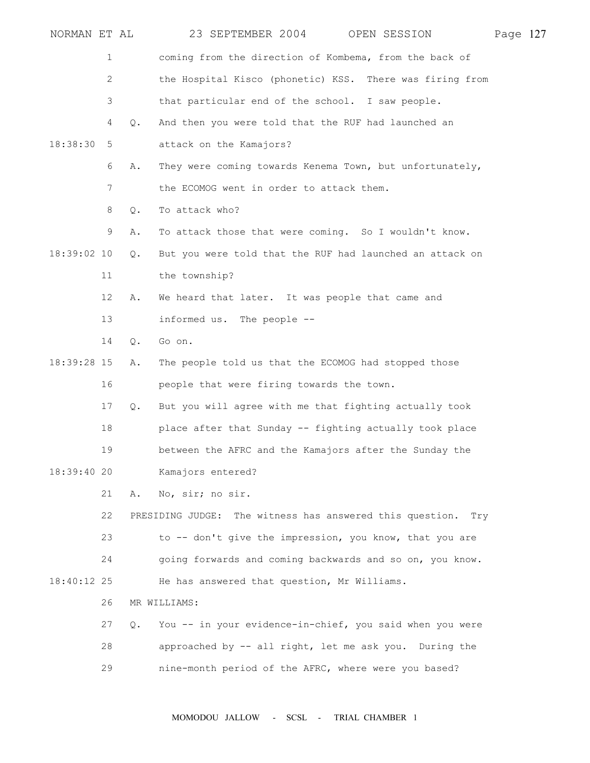| NORMAN ET AL |                       |       | 23 SEPTEMBER 2004<br>OPEN SESSION                               | Page 127 |  |
|--------------|-----------------------|-------|-----------------------------------------------------------------|----------|--|
|              | 1                     |       | coming from the direction of Kombema, from the back of          |          |  |
|              | $\mathbf{2}^{\prime}$ |       | the Hospital Kisco (phonetic) KSS. There was firing from        |          |  |
|              | 3                     |       | that particular end of the school. I saw people.                |          |  |
|              | 4                     | Q.    | And then you were told that the RUF had launched an             |          |  |
| 18:38:30     | 5                     |       | attack on the Kamajors?                                         |          |  |
|              | 6                     | Α.    | They were coming towards Kenema Town, but unfortunately,        |          |  |
|              | 7                     |       | the ECOMOG went in order to attack them.                        |          |  |
|              | 8                     | Q.    | To attack who?                                                  |          |  |
|              | 9                     | Α.    | To attack those that were coming. So I wouldn't know.           |          |  |
| 18:39:02 10  |                       | $Q$ . | But you were told that the RUF had launched an attack on        |          |  |
|              | 11                    |       | the township?                                                   |          |  |
|              | 12                    | Α.    | We heard that later. It was people that came and                |          |  |
|              | 13                    |       | informed us. The people --                                      |          |  |
|              | 14                    | $Q$ . | Go on.                                                          |          |  |
| 18:39:28 15  |                       | Α.    | The people told us that the ECOMOG had stopped those            |          |  |
|              | 16                    |       | people that were firing towards the town.                       |          |  |
|              | 17                    | Q.    | But you will agree with me that fighting actually took          |          |  |
|              | 18                    |       | place after that Sunday -- fighting actually took place         |          |  |
|              | 19                    |       | between the AFRC and the Kamajors after the Sunday the          |          |  |
| 18:39:40 20  |                       |       | Kamajors entered?                                               |          |  |
|              | 21                    | Α.    | No, sir; no sir.                                                |          |  |
|              | 22                    |       | PRESIDING JUDGE: The witness has answered this question.<br>Trv |          |  |
|              | 23                    |       | to -- don't give the impression, you know, that you are         |          |  |
|              | 24                    |       | going forwards and coming backwards and so on, you know.        |          |  |
| 18:40:12 25  |                       |       | He has answered that question, Mr Williams.                     |          |  |
|              | 26                    |       | MR WILLIAMS:                                                    |          |  |
|              | 27                    | Q.    | You -- in your evidence-in-chief, you said when you were        |          |  |
|              | 28                    |       | approached by -- all right, let me ask you. During the          |          |  |
|              | 29                    |       | nine-month period of the AFRC, where were you based?            |          |  |
|              |                       |       |                                                                 |          |  |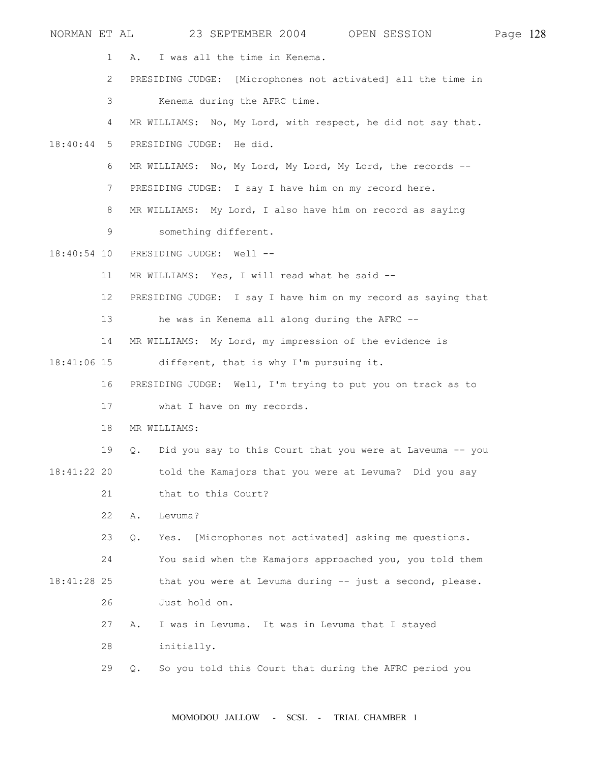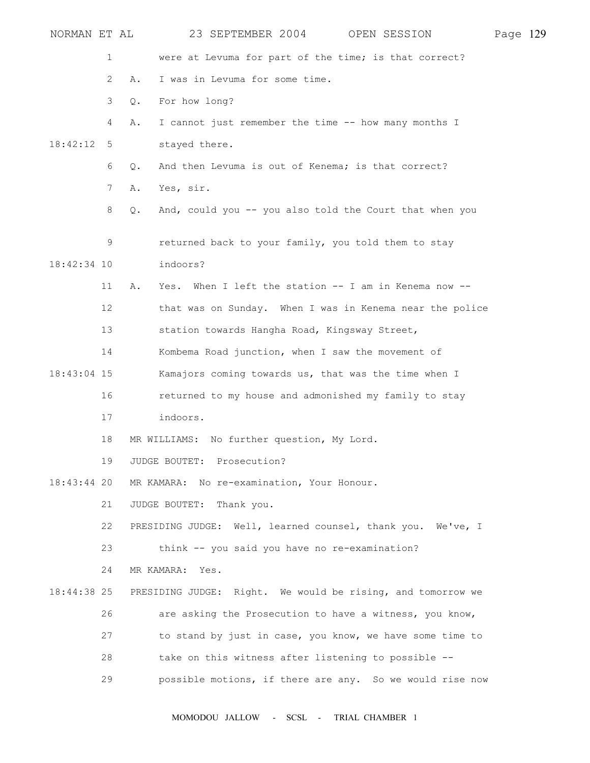| NORMAN ET AL |                |               |                                                      | 23 SEPTEMBER 2004 OPEN SESSION                              | Page 129 |  |
|--------------|----------------|---------------|------------------------------------------------------|-------------------------------------------------------------|----------|--|
|              | 1              |               |                                                      | were at Levuma for part of the time; is that correct?       |          |  |
|              | $\overline{2}$ | Α.            | I was in Levuma for some time.                       |                                                             |          |  |
|              | 3              | $Q_{\bullet}$ | For how long?                                        |                                                             |          |  |
|              | 4              | Α.            | I cannot just remember the time -- how many months I |                                                             |          |  |
| 18:42:12     | 5              |               | stayed there.                                        |                                                             |          |  |
|              | 6              | Q.            | And then Levuma is out of Kenema; is that correct?   |                                                             |          |  |
|              | 7              | Α.            | Yes, sir.                                            |                                                             |          |  |
|              | 8              | $Q$ .         |                                                      | And, could you -- you also told the Court that when you     |          |  |
|              | 9              |               | returned back to your family, you told them to stay  |                                                             |          |  |
| 18:42:34 10  |                |               | indoors?                                             |                                                             |          |  |
|              | 11             | Α.            |                                                      | Yes. When I left the station -- I am in Kenema now --       |          |  |
|              | 12             |               |                                                      | that was on Sunday. When I was in Kenema near the police    |          |  |
|              | 13             |               | station towards Hangha Road, Kingsway Street,        |                                                             |          |  |
|              | 14             |               | Kombema Road junction, when I saw the movement of    |                                                             |          |  |
| 18:43:04 15  |                |               | Kamajors coming towards us, that was the time when I |                                                             |          |  |
|              | 16             |               |                                                      | returned to my house and admonished my family to stay       |          |  |
|              | 17             |               | indoors.                                             |                                                             |          |  |
|              | 18             |               | MR WILLIAMS: No further question, My Lord.           |                                                             |          |  |
|              | 19             |               | JUDGE BOUTET: Prosecution?                           |                                                             |          |  |
| 18:43:44 20  |                |               | MR KAMARA: No re-examination, Your Honour.           |                                                             |          |  |
|              | 21             |               | JUDGE BOUTET:<br>Thank you.                          |                                                             |          |  |
|              | 22             |               |                                                      | PRESIDING JUDGE: Well, learned counsel, thank you. We've, I |          |  |
|              | 23             |               | think -- you said you have no re-examination?        |                                                             |          |  |
|              | 24             |               | MR KAMARA: Yes.                                      |                                                             |          |  |
| 18:44:38 25  |                |               |                                                      | PRESIDING JUDGE: Right. We would be rising, and tomorrow we |          |  |
|              | 26             |               |                                                      | are asking the Prosecution to have a witness, you know,     |          |  |
|              | 27             |               |                                                      | to stand by just in case, you know, we have some time to    |          |  |
|              | 28             |               | take on this witness after listening to possible --  |                                                             |          |  |
|              | 29             |               |                                                      | possible motions, if there are any. So we would rise now    |          |  |